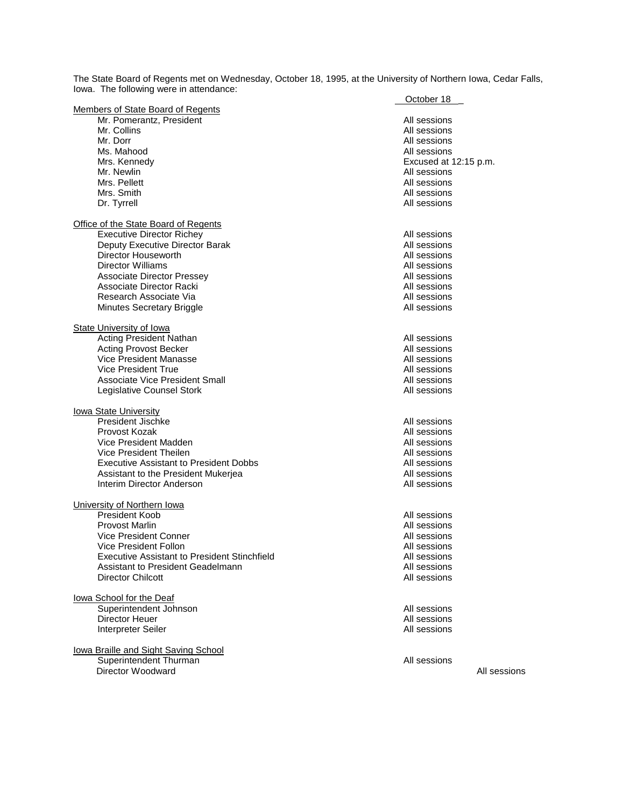The State Board of Regents met on Wednesday, October 18, 1995, at the University of Northern Iowa, Cedar Falls, Iowa. The following were in attendance:

|                                                     | October 18            |
|-----------------------------------------------------|-----------------------|
| Members of State Board of Regents                   |                       |
| Mr. Pomerantz, President                            | All sessions          |
| Mr. Collins                                         | All sessions          |
| Mr. Dorr                                            | All sessions          |
| Ms. Mahood                                          | All sessions          |
| Mrs. Kennedy                                        | Excused at 12:15 p.m. |
| Mr. Newlin                                          | All sessions          |
| Mrs. Pellett                                        |                       |
|                                                     | All sessions          |
| Mrs. Smith                                          | All sessions          |
| Dr. Tyrrell                                         | All sessions          |
| <b>Office of the State Board of Regents</b>         |                       |
| <b>Executive Director Richey</b>                    | All sessions          |
|                                                     | All sessions          |
| Deputy Executive Director Barak                     |                       |
| Director Houseworth                                 | All sessions          |
| Director Williams                                   | All sessions          |
| <b>Associate Director Pressey</b>                   | All sessions          |
| Associate Director Racki                            | All sessions          |
| Research Associate Via                              | All sessions          |
| Minutes Secretary Briggle                           | All sessions          |
|                                                     |                       |
| <b>State University of lowa</b>                     |                       |
| Acting President Nathan                             | All sessions          |
| <b>Acting Provost Becker</b>                        | All sessions          |
| Vice President Manasse                              | All sessions          |
| Vice President True                                 | All sessions          |
| Associate Vice President Small                      | All sessions          |
| Legislative Counsel Stork                           | All sessions          |
|                                                     |                       |
| <b>lowa State University</b>                        |                       |
| President Jischke                                   | All sessions          |
| Provost Kozak                                       | All sessions          |
| Vice President Madden                               | All sessions          |
| Vice President Theilen                              | All sessions          |
| <b>Executive Assistant to President Dobbs</b>       | All sessions          |
| Assistant to the President Mukerjea                 | All sessions          |
| Interim Director Anderson                           | All sessions          |
|                                                     |                       |
| University of Northern Iowa                         |                       |
| <b>President Koob</b>                               | All sessions          |
| Provost Marlin                                      | All sessions          |
| Vice President Conner                               | All sessions          |
| Vice President Follon                               | All sessions          |
| <b>Executive Assistant to President Stinchfield</b> | All sessions          |
| Assistant to President Geadelmann                   | All sessions          |
| Director Chilcott                                   | All sessions          |
|                                                     |                       |
| lowa School for the Deaf<br>Superintendent Johnson  | All sessions          |
| Director Heuer                                      | All sessions          |
|                                                     |                       |
| Interpreter Seiler                                  | All sessions          |
| lowa Braille and Sight Saving School                |                       |
| Superintendent Thurman                              | All sessions          |
| Director Woodward                                   | All sessions          |
|                                                     |                       |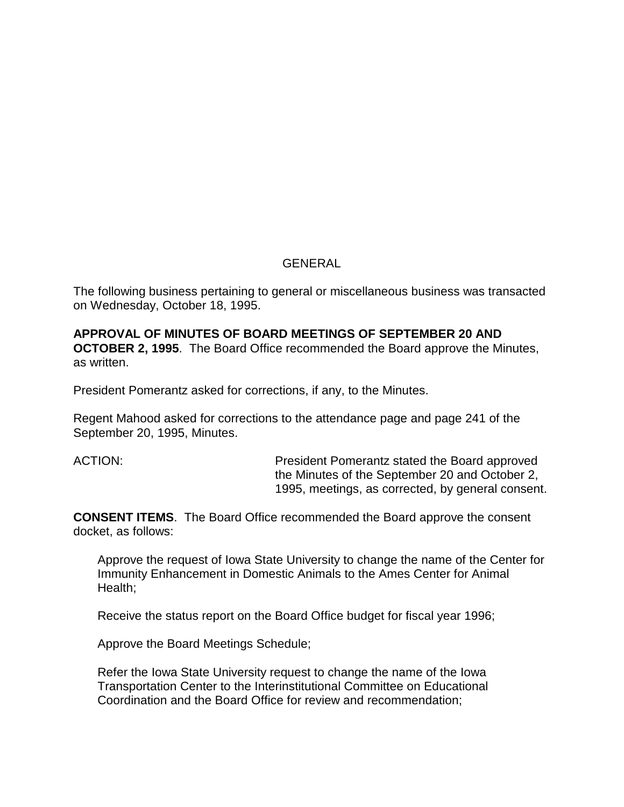### GENERAL

The following business pertaining to general or miscellaneous business was transacted on Wednesday, October 18, 1995.

**APPROVAL OF MINUTES OF BOARD MEETINGS OF SEPTEMBER 20 AND OCTOBER 2, 1995**. The Board Office recommended the Board approve the Minutes, as written.

President Pomerantz asked for corrections, if any, to the Minutes.

Regent Mahood asked for corrections to the attendance page and page 241 of the September 20, 1995, Minutes.

ACTION: President Pomerantz stated the Board approved the Minutes of the September 20 and October 2, 1995, meetings, as corrected, by general consent.

**CONSENT ITEMS**. The Board Office recommended the Board approve the consent docket, as follows:

Approve the request of Iowa State University to change the name of the Center for Immunity Enhancement in Domestic Animals to the Ames Center for Animal Health;

Receive the status report on the Board Office budget for fiscal year 1996;

Approve the Board Meetings Schedule;

Refer the Iowa State University request to change the name of the Iowa Transportation Center to the Interinstitutional Committee on Educational Coordination and the Board Office for review and recommendation;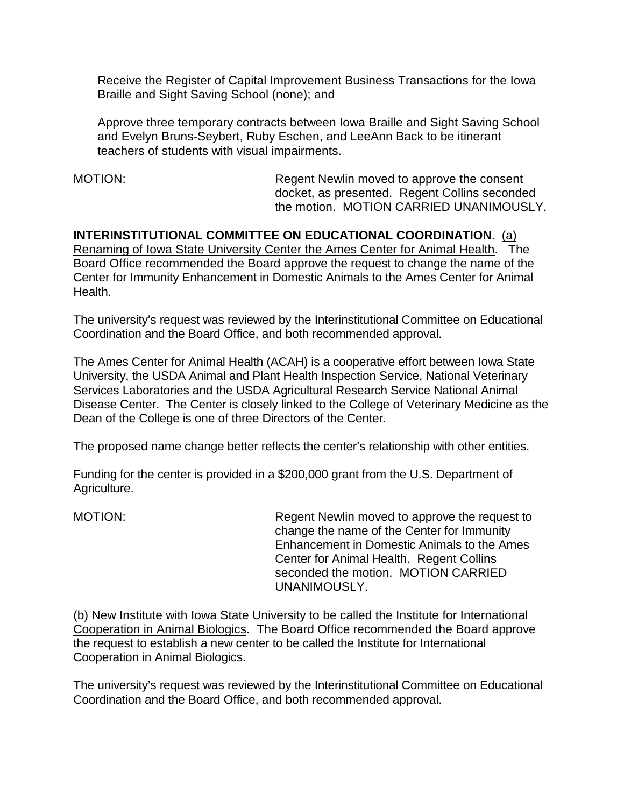Receive the Register of Capital Improvement Business Transactions for the Iowa Braille and Sight Saving School (none); and

Approve three temporary contracts between Iowa Braille and Sight Saving School and Evelyn Bruns-Seybert, Ruby Eschen, and LeeAnn Back to be itinerant teachers of students with visual impairments.

MOTION: Regent Newlin moved to approve the consent docket, as presented. Regent Collins seconded the motion. MOTION CARRIED UNANIMOUSLY.

**INTERINSTITUTIONAL COMMITTEE ON EDUCATIONAL COORDINATION**. (a) Renaming of Iowa State University Center the Ames Center for Animal Health. The Board Office recommended the Board approve the request to change the name of the Center for Immunity Enhancement in Domestic Animals to the Ames Center for Animal Health.

The university's request was reviewed by the Interinstitutional Committee on Educational Coordination and the Board Office, and both recommended approval.

The Ames Center for Animal Health (ACAH) is a cooperative effort between Iowa State University, the USDA Animal and Plant Health Inspection Service, National Veterinary Services Laboratories and the USDA Agricultural Research Service National Animal Disease Center. The Center is closely linked to the College of Veterinary Medicine as the Dean of the College is one of three Directors of the Center.

The proposed name change better reflects the center's relationship with other entities.

Funding for the center is provided in a \$200,000 grant from the U.S. Department of Agriculture.

MOTION: Regent Newlin moved to approve the request to change the name of the Center for Immunity Enhancement in Domestic Animals to the Ames Center for Animal Health. Regent Collins seconded the motion. MOTION CARRIED UNANIMOUSLY.

(b) New Institute with Iowa State University to be called the Institute for International Cooperation in Animal Biologics. The Board Office recommended the Board approve the request to establish a new center to be called the Institute for International Cooperation in Animal Biologics.

The university's request was reviewed by the Interinstitutional Committee on Educational Coordination and the Board Office, and both recommended approval.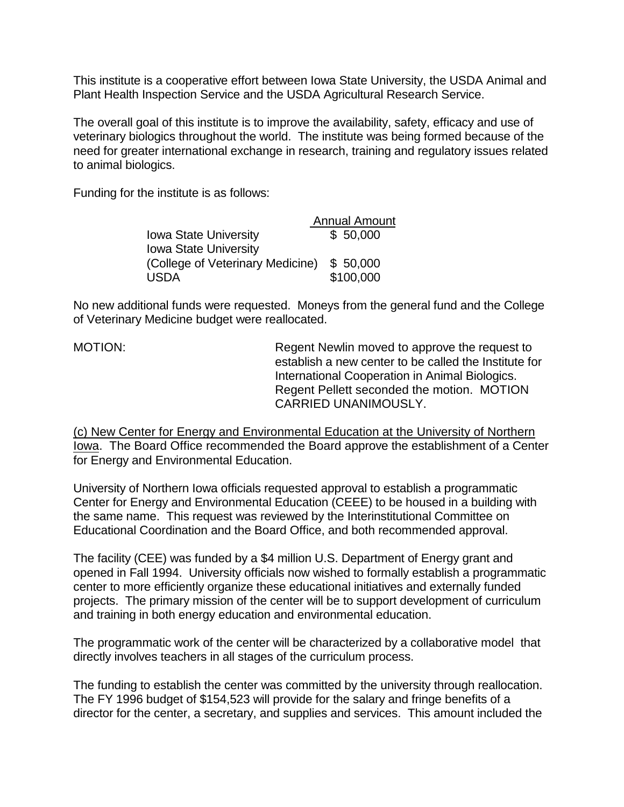This institute is a cooperative effort between Iowa State University, the USDA Animal and Plant Health Inspection Service and the USDA Agricultural Research Service.

The overall goal of this institute is to improve the availability, safety, efficacy and use of veterinary biologics throughout the world. The institute was being formed because of the need for greater international exchange in research, training and regulatory issues related to animal biologics.

Funding for the institute is as follows:

|                                  | <b>Annual Amount</b> |
|----------------------------------|----------------------|
| Iowa State University            | \$50,000             |
| <b>Iowa State University</b>     |                      |
| (College of Veterinary Medicine) | \$50,000             |
| <b>USDA</b>                      | \$100,000            |

No new additional funds were requested. Moneys from the general fund and the College of Veterinary Medicine budget were reallocated.

MOTION: Regent Newlin moved to approve the request to establish a new center to be called the Institute for International Cooperation in Animal Biologics. Regent Pellett seconded the motion. MOTION CARRIED UNANIMOUSLY.

(c) New Center for Energy and Environmental Education at the University of Northern Iowa. The Board Office recommended the Board approve the establishment of a Center for Energy and Environmental Education.

University of Northern Iowa officials requested approval to establish a programmatic Center for Energy and Environmental Education (CEEE) to be housed in a building with the same name. This request was reviewed by the Interinstitutional Committee on Educational Coordination and the Board Office, and both recommended approval.

The facility (CEE) was funded by a \$4 million U.S. Department of Energy grant and opened in Fall 1994. University officials now wished to formally establish a programmatic center to more efficiently organize these educational initiatives and externally funded projects. The primary mission of the center will be to support development of curriculum and training in both energy education and environmental education.

The programmatic work of the center will be characterized by a collaborative model that directly involves teachers in all stages of the curriculum process.

The funding to establish the center was committed by the university through reallocation. The FY 1996 budget of \$154,523 will provide for the salary and fringe benefits of a director for the center, a secretary, and supplies and services. This amount included the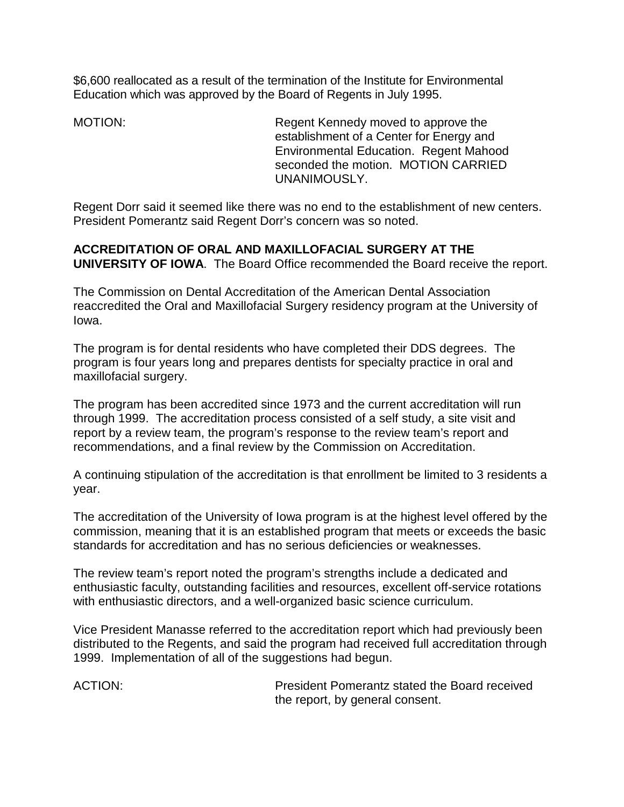\$6,600 reallocated as a result of the termination of the Institute for Environmental Education which was approved by the Board of Regents in July 1995.

MOTION: Regent Kennedy moved to approve the establishment of a Center for Energy and Environmental Education. Regent Mahood seconded the motion. MOTION CARRIED UNANIMOUSLY.

Regent Dorr said it seemed like there was no end to the establishment of new centers. President Pomerantz said Regent Dorr's concern was so noted.

# **ACCREDITATION OF ORAL AND MAXILLOFACIAL SURGERY AT THE**

**UNIVERSITY OF IOWA**. The Board Office recommended the Board receive the report.

The Commission on Dental Accreditation of the American Dental Association reaccredited the Oral and Maxillofacial Surgery residency program at the University of Iowa.

The program is for dental residents who have completed their DDS degrees. The program is four years long and prepares dentists for specialty practice in oral and maxillofacial surgery.

The program has been accredited since 1973 and the current accreditation will run through 1999. The accreditation process consisted of a self study, a site visit and report by a review team, the program's response to the review team's report and recommendations, and a final review by the Commission on Accreditation.

A continuing stipulation of the accreditation is that enrollment be limited to 3 residents a year.

The accreditation of the University of Iowa program is at the highest level offered by the commission, meaning that it is an established program that meets or exceeds the basic standards for accreditation and has no serious deficiencies or weaknesses.

The review team's report noted the program's strengths include a dedicated and enthusiastic faculty, outstanding facilities and resources, excellent off-service rotations with enthusiastic directors, and a well-organized basic science curriculum.

Vice President Manasse referred to the accreditation report which had previously been distributed to the Regents, and said the program had received full accreditation through 1999. Implementation of all of the suggestions had begun.

ACTION: President Pomerantz stated the Board received the report, by general consent.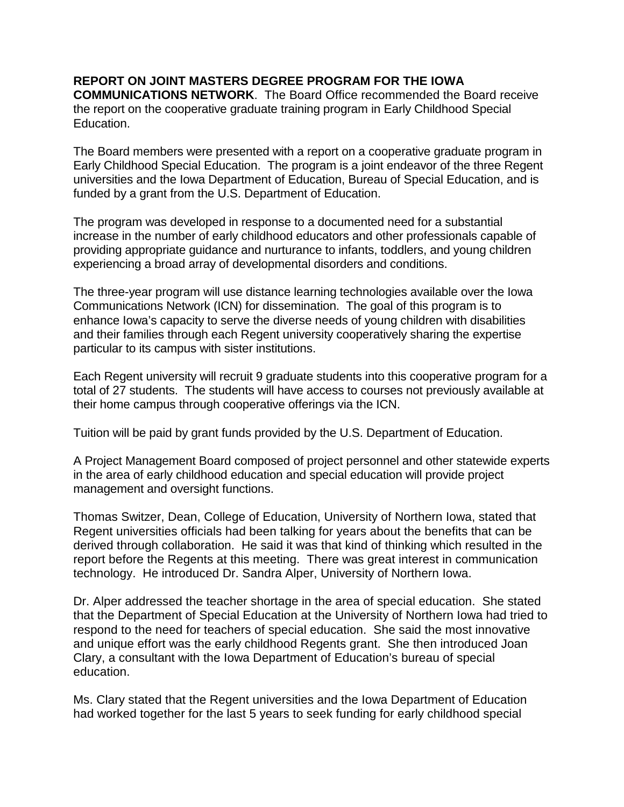# **REPORT ON JOINT MASTERS DEGREE PROGRAM FOR THE IOWA**

**COMMUNICATIONS NETWORK**. The Board Office recommended the Board receive the report on the cooperative graduate training program in Early Childhood Special Education.

The Board members were presented with a report on a cooperative graduate program in Early Childhood Special Education. The program is a joint endeavor of the three Regent universities and the Iowa Department of Education, Bureau of Special Education, and is funded by a grant from the U.S. Department of Education.

The program was developed in response to a documented need for a substantial increase in the number of early childhood educators and other professionals capable of providing appropriate guidance and nurturance to infants, toddlers, and young children experiencing a broad array of developmental disorders and conditions.

The three-year program will use distance learning technologies available over the Iowa Communications Network (ICN) for dissemination. The goal of this program is to enhance Iowa's capacity to serve the diverse needs of young children with disabilities and their families through each Regent university cooperatively sharing the expertise particular to its campus with sister institutions.

Each Regent university will recruit 9 graduate students into this cooperative program for a total of 27 students. The students will have access to courses not previously available at their home campus through cooperative offerings via the ICN.

Tuition will be paid by grant funds provided by the U.S. Department of Education.

A Project Management Board composed of project personnel and other statewide experts in the area of early childhood education and special education will provide project management and oversight functions.

Thomas Switzer, Dean, College of Education, University of Northern Iowa, stated that Regent universities officials had been talking for years about the benefits that can be derived through collaboration. He said it was that kind of thinking which resulted in the report before the Regents at this meeting. There was great interest in communication technology. He introduced Dr. Sandra Alper, University of Northern Iowa.

Dr. Alper addressed the teacher shortage in the area of special education. She stated that the Department of Special Education at the University of Northern Iowa had tried to respond to the need for teachers of special education. She said the most innovative and unique effort was the early childhood Regents grant. She then introduced Joan Clary, a consultant with the Iowa Department of Education's bureau of special education.

Ms. Clary stated that the Regent universities and the Iowa Department of Education had worked together for the last 5 years to seek funding for early childhood special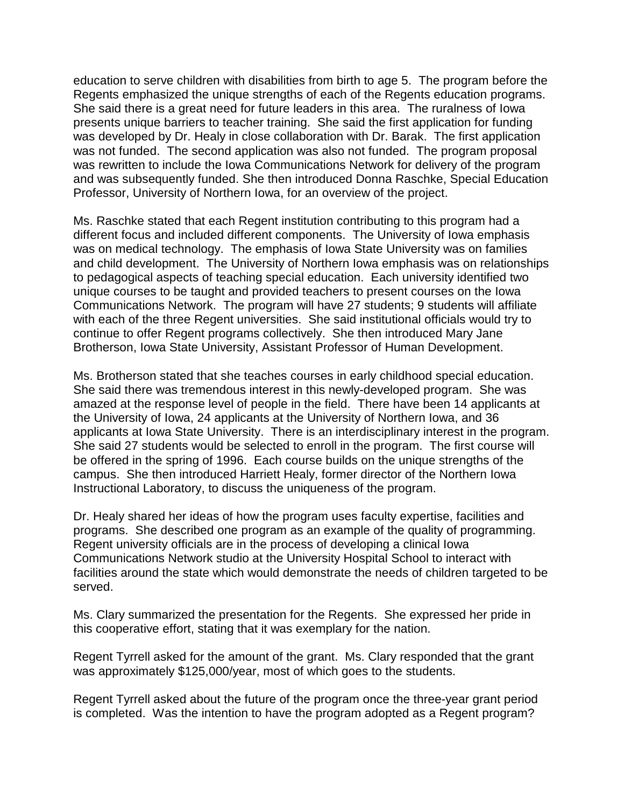education to serve children with disabilities from birth to age 5. The program before the Regents emphasized the unique strengths of each of the Regents education programs. She said there is a great need for future leaders in this area. The ruralness of Iowa presents unique barriers to teacher training. She said the first application for funding was developed by Dr. Healy in close collaboration with Dr. Barak. The first application was not funded. The second application was also not funded. The program proposal was rewritten to include the Iowa Communications Network for delivery of the program and was subsequently funded. She then introduced Donna Raschke, Special Education Professor, University of Northern Iowa, for an overview of the project.

Ms. Raschke stated that each Regent institution contributing to this program had a different focus and included different components. The University of Iowa emphasis was on medical technology. The emphasis of Iowa State University was on families and child development. The University of Northern Iowa emphasis was on relationships to pedagogical aspects of teaching special education. Each university identified two unique courses to be taught and provided teachers to present courses on the Iowa Communications Network. The program will have 27 students; 9 students will affiliate with each of the three Regent universities. She said institutional officials would try to continue to offer Regent programs collectively. She then introduced Mary Jane Brotherson, Iowa State University, Assistant Professor of Human Development.

Ms. Brotherson stated that she teaches courses in early childhood special education. She said there was tremendous interest in this newly-developed program. She was amazed at the response level of people in the field. There have been 14 applicants at the University of Iowa, 24 applicants at the University of Northern Iowa, and 36 applicants at Iowa State University. There is an interdisciplinary interest in the program. She said 27 students would be selected to enroll in the program. The first course will be offered in the spring of 1996. Each course builds on the unique strengths of the campus. She then introduced Harriett Healy, former director of the Northern Iowa Instructional Laboratory, to discuss the uniqueness of the program.

Dr. Healy shared her ideas of how the program uses faculty expertise, facilities and programs. She described one program as an example of the quality of programming. Regent university officials are in the process of developing a clinical Iowa Communications Network studio at the University Hospital School to interact with facilities around the state which would demonstrate the needs of children targeted to be served.

Ms. Clary summarized the presentation for the Regents. She expressed her pride in this cooperative effort, stating that it was exemplary for the nation.

Regent Tyrrell asked for the amount of the grant. Ms. Clary responded that the grant was approximately \$125,000/year, most of which goes to the students.

Regent Tyrrell asked about the future of the program once the three-year grant period is completed. Was the intention to have the program adopted as a Regent program?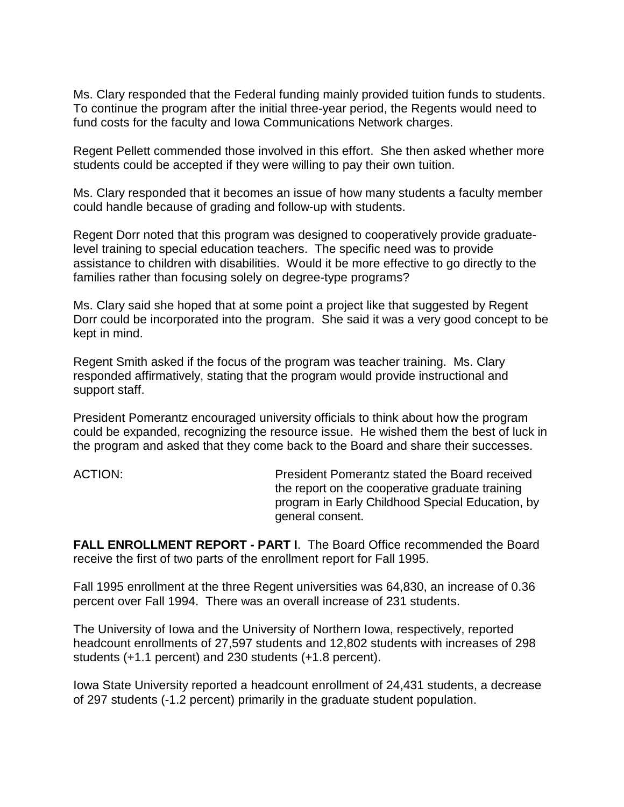Ms. Clary responded that the Federal funding mainly provided tuition funds to students. To continue the program after the initial three-year period, the Regents would need to fund costs for the faculty and Iowa Communications Network charges.

Regent Pellett commended those involved in this effort. She then asked whether more students could be accepted if they were willing to pay their own tuition.

Ms. Clary responded that it becomes an issue of how many students a faculty member could handle because of grading and follow-up with students.

Regent Dorr noted that this program was designed to cooperatively provide graduatelevel training to special education teachers. The specific need was to provide assistance to children with disabilities. Would it be more effective to go directly to the families rather than focusing solely on degree-type programs?

Ms. Clary said she hoped that at some point a project like that suggested by Regent Dorr could be incorporated into the program. She said it was a very good concept to be kept in mind.

Regent Smith asked if the focus of the program was teacher training. Ms. Clary responded affirmatively, stating that the program would provide instructional and support staff.

President Pomerantz encouraged university officials to think about how the program could be expanded, recognizing the resource issue. He wished them the best of luck in the program and asked that they come back to the Board and share their successes.

ACTION: President Pomerantz stated the Board received the report on the cooperative graduate training program in Early Childhood Special Education, by general consent.

**FALL ENROLLMENT REPORT - PART I**. The Board Office recommended the Board receive the first of two parts of the enrollment report for Fall 1995.

Fall 1995 enrollment at the three Regent universities was 64,830, an increase of 0.36 percent over Fall 1994. There was an overall increase of 231 students.

The University of Iowa and the University of Northern Iowa, respectively, reported headcount enrollments of 27,597 students and 12,802 students with increases of 298 students (+1.1 percent) and 230 students (+1.8 percent).

Iowa State University reported a headcount enrollment of 24,431 students, a decrease of 297 students (-1.2 percent) primarily in the graduate student population.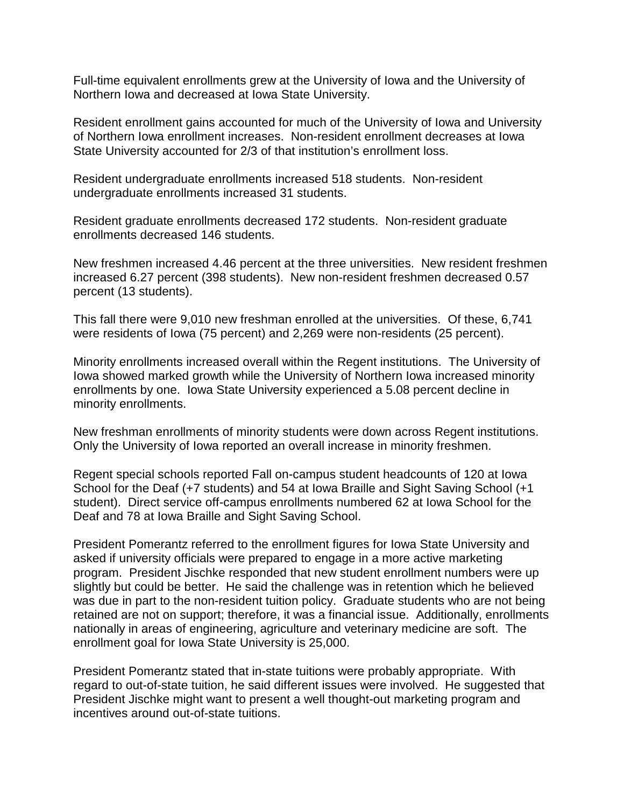Full-time equivalent enrollments grew at the University of Iowa and the University of Northern Iowa and decreased at Iowa State University.

Resident enrollment gains accounted for much of the University of Iowa and University of Northern Iowa enrollment increases. Non-resident enrollment decreases at Iowa State University accounted for 2/3 of that institution's enrollment loss.

Resident undergraduate enrollments increased 518 students. Non-resident undergraduate enrollments increased 31 students.

Resident graduate enrollments decreased 172 students. Non-resident graduate enrollments decreased 146 students.

New freshmen increased 4.46 percent at the three universities. New resident freshmen increased 6.27 percent (398 students). New non-resident freshmen decreased 0.57 percent (13 students).

This fall there were 9,010 new freshman enrolled at the universities. Of these, 6,741 were residents of Iowa (75 percent) and 2,269 were non-residents (25 percent).

Minority enrollments increased overall within the Regent institutions. The University of Iowa showed marked growth while the University of Northern Iowa increased minority enrollments by one. Iowa State University experienced a 5.08 percent decline in minority enrollments.

New freshman enrollments of minority students were down across Regent institutions. Only the University of Iowa reported an overall increase in minority freshmen.

Regent special schools reported Fall on-campus student headcounts of 120 at Iowa School for the Deaf (+7 students) and 54 at Iowa Braille and Sight Saving School (+1 student). Direct service off-campus enrollments numbered 62 at Iowa School for the Deaf and 78 at Iowa Braille and Sight Saving School.

President Pomerantz referred to the enrollment figures for Iowa State University and asked if university officials were prepared to engage in a more active marketing program. President Jischke responded that new student enrollment numbers were up slightly but could be better. He said the challenge was in retention which he believed was due in part to the non-resident tuition policy. Graduate students who are not being retained are not on support; therefore, it was a financial issue. Additionally, enrollments nationally in areas of engineering, agriculture and veterinary medicine are soft. The enrollment goal for Iowa State University is 25,000.

President Pomerantz stated that in-state tuitions were probably appropriate. With regard to out-of-state tuition, he said different issues were involved. He suggested that President Jischke might want to present a well thought-out marketing program and incentives around out-of-state tuitions.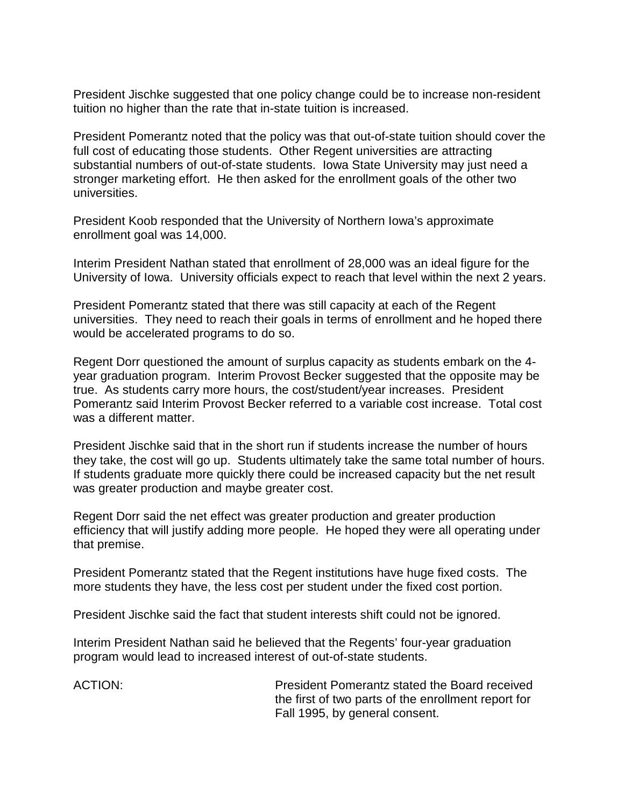President Jischke suggested that one policy change could be to increase non-resident tuition no higher than the rate that in-state tuition is increased.

President Pomerantz noted that the policy was that out-of-state tuition should cover the full cost of educating those students. Other Regent universities are attracting substantial numbers of out-of-state students. Iowa State University may just need a stronger marketing effort. He then asked for the enrollment goals of the other two universities.

President Koob responded that the University of Northern Iowa's approximate enrollment goal was 14,000.

Interim President Nathan stated that enrollment of 28,000 was an ideal figure for the University of Iowa. University officials expect to reach that level within the next 2 years.

President Pomerantz stated that there was still capacity at each of the Regent universities. They need to reach their goals in terms of enrollment and he hoped there would be accelerated programs to do so.

Regent Dorr questioned the amount of surplus capacity as students embark on the 4 year graduation program. Interim Provost Becker suggested that the opposite may be true. As students carry more hours, the cost/student/year increases. President Pomerantz said Interim Provost Becker referred to a variable cost increase. Total cost was a different matter.

President Jischke said that in the short run if students increase the number of hours they take, the cost will go up. Students ultimately take the same total number of hours. If students graduate more quickly there could be increased capacity but the net result was greater production and maybe greater cost.

Regent Dorr said the net effect was greater production and greater production efficiency that will justify adding more people. He hoped they were all operating under that premise.

President Pomerantz stated that the Regent institutions have huge fixed costs. The more students they have, the less cost per student under the fixed cost portion.

President Jischke said the fact that student interests shift could not be ignored.

Interim President Nathan said he believed that the Regents' four-year graduation program would lead to increased interest of out-of-state students.

ACTION: President Pomerantz stated the Board received the first of two parts of the enrollment report for Fall 1995, by general consent.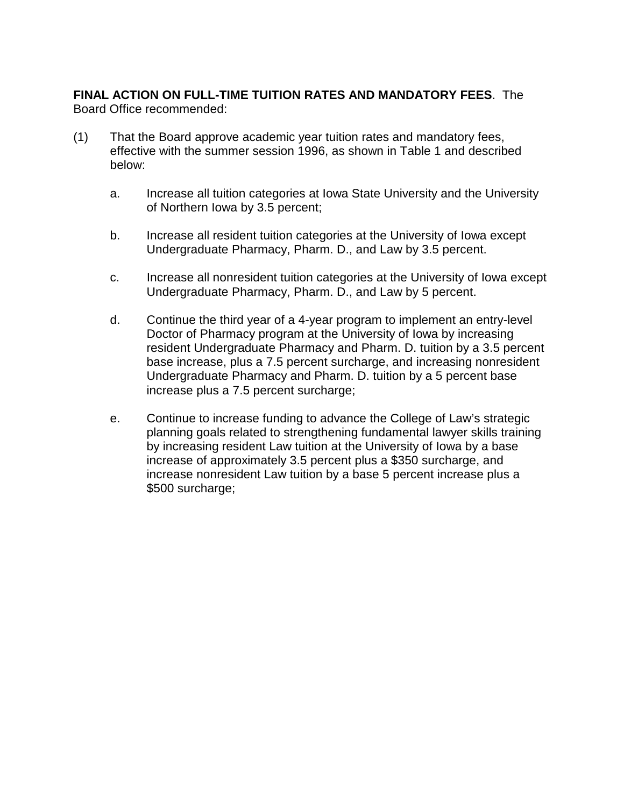### **FINAL ACTION ON FULL-TIME TUITION RATES AND MANDATORY FEES**. The Board Office recommended:

- (1) That the Board approve academic year tuition rates and mandatory fees, effective with the summer session 1996, as shown in Table 1 and described below:
	- a. Increase all tuition categories at Iowa State University and the University of Northern Iowa by 3.5 percent;
	- b. Increase all resident tuition categories at the University of Iowa except Undergraduate Pharmacy, Pharm. D., and Law by 3.5 percent.
	- c. Increase all nonresident tuition categories at the University of Iowa except Undergraduate Pharmacy, Pharm. D., and Law by 5 percent.
	- d. Continue the third year of a 4-year program to implement an entry-level Doctor of Pharmacy program at the University of Iowa by increasing resident Undergraduate Pharmacy and Pharm. D. tuition by a 3.5 percent base increase, plus a 7.5 percent surcharge, and increasing nonresident Undergraduate Pharmacy and Pharm. D. tuition by a 5 percent base increase plus a 7.5 percent surcharge;
	- e. Continue to increase funding to advance the College of Law's strategic planning goals related to strengthening fundamental lawyer skills training by increasing resident Law tuition at the University of Iowa by a base increase of approximately 3.5 percent plus a \$350 surcharge, and increase nonresident Law tuition by a base 5 percent increase plus a \$500 surcharge: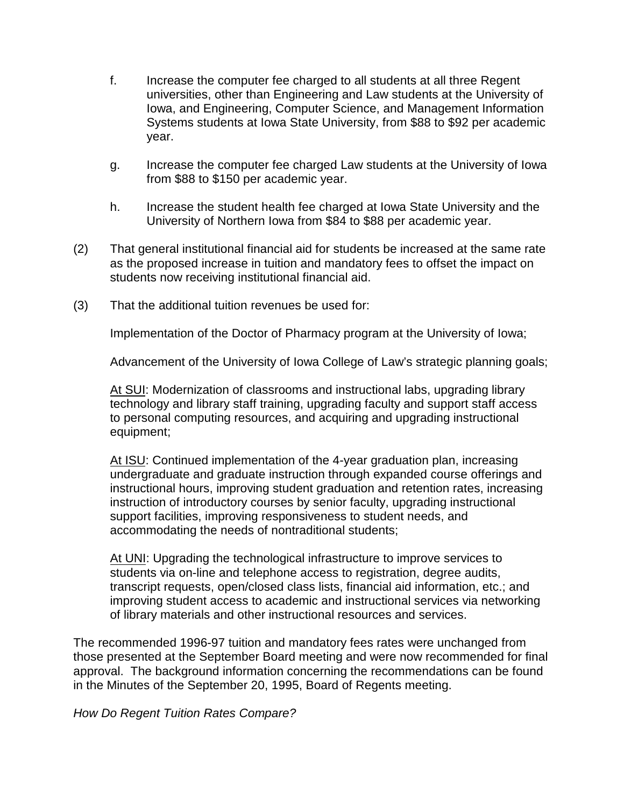- f. Increase the computer fee charged to all students at all three Regent universities, other than Engineering and Law students at the University of Iowa, and Engineering, Computer Science, and Management Information Systems students at Iowa State University, from \$88 to \$92 per academic year.
- g. Increase the computer fee charged Law students at the University of Iowa from \$88 to \$150 per academic year.
- h. Increase the student health fee charged at Iowa State University and the University of Northern Iowa from \$84 to \$88 per academic year.
- (2) That general institutional financial aid for students be increased at the same rate as the proposed increase in tuition and mandatory fees to offset the impact on students now receiving institutional financial aid.
- (3) That the additional tuition revenues be used for:

Implementation of the Doctor of Pharmacy program at the University of Iowa;

Advancement of the University of Iowa College of Law's strategic planning goals;

At SUI: Modernization of classrooms and instructional labs, upgrading library technology and library staff training, upgrading faculty and support staff access to personal computing resources, and acquiring and upgrading instructional equipment;

At ISU: Continued implementation of the 4-year graduation plan, increasing undergraduate and graduate instruction through expanded course offerings and instructional hours, improving student graduation and retention rates, increasing instruction of introductory courses by senior faculty, upgrading instructional support facilities, improving responsiveness to student needs, and accommodating the needs of nontraditional students;

At UNI: Upgrading the technological infrastructure to improve services to students via on-line and telephone access to registration, degree audits, transcript requests, open/closed class lists, financial aid information, etc.; and improving student access to academic and instructional services via networking of library materials and other instructional resources and services.

The recommended 1996-97 tuition and mandatory fees rates were unchanged from those presented at the September Board meeting and were now recommended for final approval. The background information concerning the recommendations can be found in the Minutes of the September 20, 1995, Board of Regents meeting.

*How Do Regent Tuition Rates Compare?*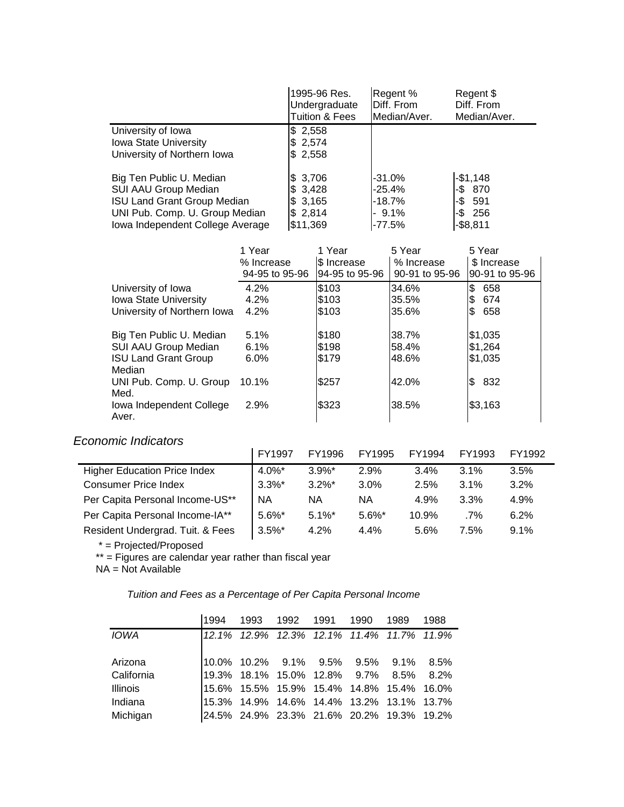|                                    | 1995-96 Res.<br>Undergraduate<br><b>Tuition &amp; Fees</b> | Regent %<br>Diff. From<br>Median/Aver. | Regent \$<br>Diff. From<br>Median/Aver. |
|------------------------------------|------------------------------------------------------------|----------------------------------------|-----------------------------------------|
| University of Iowa                 | \$2,558                                                    |                                        |                                         |
| <b>Iowa State University</b>       | \$2,574                                                    |                                        |                                         |
| University of Northern Iowa        | \$2,558                                                    |                                        |                                         |
| Big Ten Public U. Median           | \$3,706                                                    | $-31.0%$                               | $-$1,148$                               |
| <b>SUI AAU Group Median</b>        | \$3,428                                                    | -25.4%                                 | $-$ \$ 870                              |
| <b>ISU Land Grant Group Median</b> | \$3,165                                                    | $-18.7%$                               | $-$ \$591                               |
| UNI Pub. Comp. U. Group Median     | \$2,814                                                    | $-9.1\%$                               | $-$ \$ 256                              |
| Iowa Independent College Average   | \$11,369                                                   | $-77.5%$                               | $-$ \$8,811                             |

|                              | 1 Year         | 1 Year         | 5 Year         | 5 Year         |
|------------------------------|----------------|----------------|----------------|----------------|
|                              | % Increase     | S Increase     | % Increase     | \$ Increase    |
|                              | 94-95 to 95-96 | 94-95 to 95-96 | 90-91 to 95-96 | 90-91 to 95-96 |
| University of Iowa           | 4.2%           | \$103          | 34.6%          | \$<br>658      |
| <b>Iowa State University</b> | 4.2%           | \$103          | 35.5%          | 674<br>\$      |
| University of Northern Iowa  | 4.2%           | \$103          | 35.6%          | 658<br>S       |
|                              |                |                |                |                |
| Big Ten Public U. Median     | 5.1%           | \$180          | 38.7%          | \$1,035        |
| SUI AAU Group Median         | 6.1%           | \$198          | 58.4%          | \$1,264        |
| <b>ISU Land Grant Group</b>  | 6.0%           | \$179          | 48.6%          | \$1,035        |
| Median                       |                |                |                |                |
| UNI Pub. Comp. U. Group      | 10.1%          | \$257          | 42.0%          | 832<br>\$      |
| Med.                         |                |                |                |                |
| Iowa Independent College     | 2.9%           | \$323          | 38.5%          | \$3,163        |
| Aver.                        |                |                |                |                |

## *Economic Indicators*

| .,,,,,,,,,,,,,,,,,,,,,,,,           | FY1997    | FY1996    | FY1995    | FY1994 | FY1993 | FY1992 |
|-------------------------------------|-----------|-----------|-----------|--------|--------|--------|
| <b>Higher Education Price Index</b> | $4.0\%$ * | $3.9\%$ * | 2.9%      | 3.4%   | 3.1%   | 3.5%   |
| <b>Consumer Price Index</b>         | $3.3\%$ * | $3.2\%$ * | $3.0\%$   | 2.5%   | 3.1%   | 3.2%   |
| Per Capita Personal Income-US**     | <b>NA</b> | ΝA        | ΝA        | 4.9%   | 3.3%   | 4.9%   |
| Per Capita Personal Income-IA**     | $5.6\%$ * | $5.1\%$ * | $5.6\%$ * | 10.9%  | .7%    | 6.2%   |
| Resident Undergrad. Tuit. & Fees    | $3.5\%$ * | $4.2\%$   | $4.4\%$   | 5.6%   | 7.5%   | 9.1%   |

\* = Projected/Proposed

\*\* = Figures are calendar year rather than fiscal year

NA = Not Available

|  | Tuition and Fees as a Percentage of Per Capita Personal Income |  |  |
|--|----------------------------------------------------------------|--|--|
|  |                                                                |  |  |

|                 | 1994 | 1993 | 1992 1991 1990 |                                                                                | 1989 | 1988 |
|-----------------|------|------|----------------|--------------------------------------------------------------------------------|------|------|
| IOWA            |      |      |                | 12.1% 12.9% 12.3% 12.1% 11.4% 11.7% 11.9%                                      |      |      |
|                 |      |      |                |                                                                                |      |      |
| Arizona         |      |      |                |                                                                                |      |      |
| California      |      |      |                | 10.0% 10.2% 9.1% 9.5% 9.5% 9.1% 8.5%<br>19.3% 18.1% 15.0% 12.8% 9.7% 8.5% 8.2% |      |      |
| <b>Illinois</b> |      |      |                | 15.6% 15.5% 15.9% 15.4% 14.8% 15.4% 16.0%                                      |      |      |
| Indiana         |      |      |                | 15.3% 14.9% 14.6% 14.4% 13.2% 13.1% 13.7%                                      |      |      |
| Michigan        |      |      |                | 24.5% 24.9% 23.3% 21.6% 20.2% 19.3% 19.2%                                      |      |      |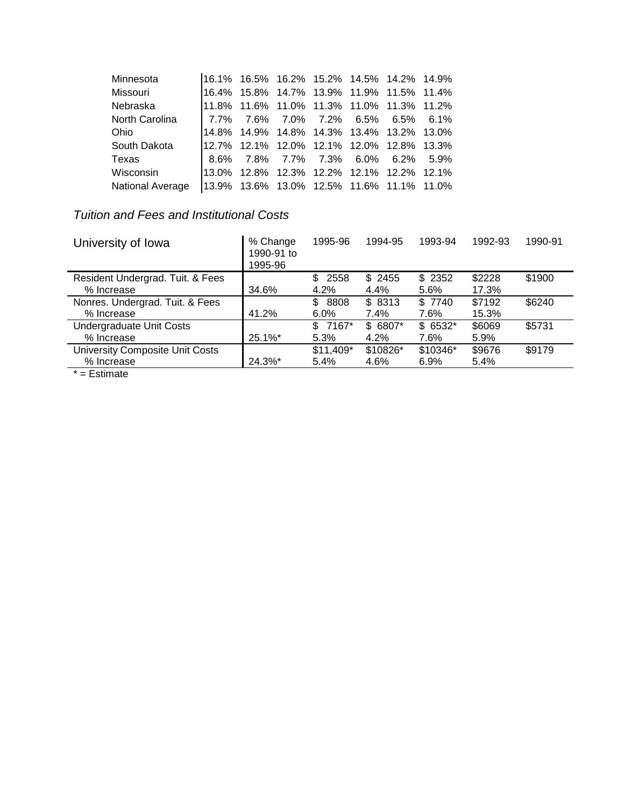| Minnesota        |  | 16.1% 16.5% 16.2% 15.2% 14.5% 14.2% 14.9% |  |  |
|------------------|--|-------------------------------------------|--|--|
| Missouri         |  | 16.4% 15.8% 14.7% 13.9% 11.9% 11.5% 11.4% |  |  |
| Nebraska         |  | 11.8% 11.6% 11.0% 11.3% 11.0% 11.3% 11.2% |  |  |
| North Carolina   |  | 7.7% 7.6% 7.0% 7.2% 6.5% 6.5% 6.1%        |  |  |
| Ohio             |  | 14.8% 14.9% 14.8% 14.3% 13.4% 13.2% 13.0% |  |  |
| South Dakota     |  | 12.7% 12.1% 12.0% 12.1% 12.0% 12.8% 13.3% |  |  |
| Texas            |  | 8.6% 7.8% 7.7% 7.3% 6.0% 6.2% 5.9%        |  |  |
| Wisconsin        |  | 13.0% 12.8% 12.3% 12.2% 12.1% 12.2% 12.1% |  |  |
| National Average |  | 13.9% 13.6% 13.0% 12.5% 11.6% 11.1% 11.0% |  |  |
|                  |  |                                           |  |  |

# *Tuition and Fees and Institutional Costs*

| University of Iowa                    | % Change<br>1990-91 to<br>1995-96 | 1995-96    | 1994-95  | 1993-94  | 1992-93 | 1990-91 |
|---------------------------------------|-----------------------------------|------------|----------|----------|---------|---------|
| Resident Undergrad. Tuit. & Fees      |                                   | 2558<br>\$ | \$2455   | \$2352   | \$2228  | \$1900  |
| % Increase                            | 34.6%                             | 4.2%       | 4.4%     | 5.6%     | 17.3%   |         |
| Nonres. Undergrad. Tuit. & Fees       |                                   | 8808<br>\$ | \$8313   | \$7740   | \$7192  | \$6240  |
| % Increase                            | 41.2%                             | $6.0\%$    | 7.4%     | 7.6%     | 15.3%   |         |
| Undergraduate Unit Costs              |                                   | $$7167*$   | $$6807*$ | $$6532*$ | \$6069  | \$5731  |
| % Increase                            | $25.1\%$ *                        | 5.3%       | 4.2%     | 7.6%     | 5.9%    |         |
| University Composite Unit Costs       |                                   | $$11,409*$ | \$10826* | \$10346* | \$9676  | \$9179  |
| % Increase                            | 24.3%*                            | 5.4%       | 4.6%     | 6.9%     | 5.4%    |         |
| $\star$ $\blacksquare$ $\blacksquare$ |                                   |            |          |          |         |         |

\* = Estimate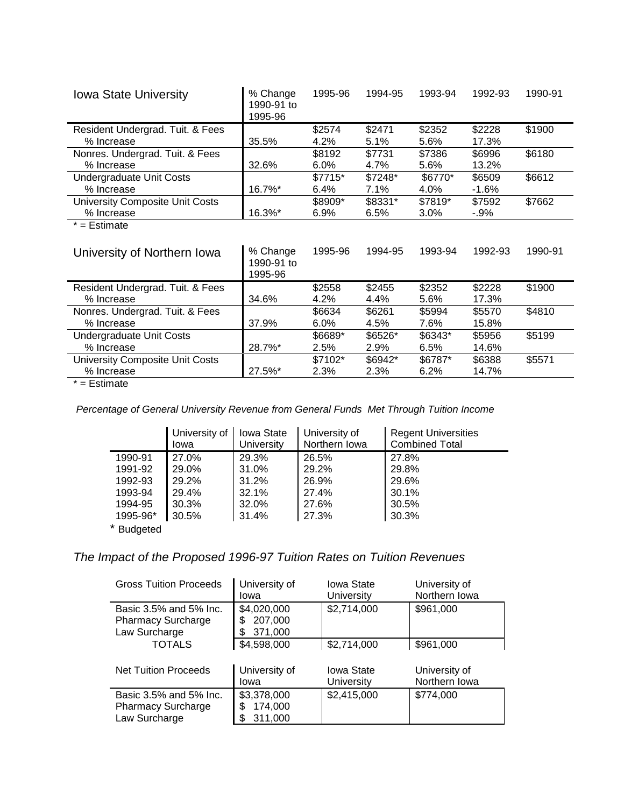| <b>Iowa State University</b>                  | % Change<br>1990-91 to<br>1995-96 | 1995-96 | 1994-95 | 1993-94  | 1992-93 | 1990-91 |
|-----------------------------------------------|-----------------------------------|---------|---------|----------|---------|---------|
| Resident Undergrad. Tuit. & Fees              |                                   | \$2574  | \$2471  | \$2352   | \$2228  | \$1900  |
| % Increase                                    | 35.5%                             | 4.2%    | 5.1%    | 5.6%     | 17.3%   |         |
| Nonres. Undergrad. Tuit. & Fees               |                                   | \$8192  | \$7731  | \$7386   | \$6996  | \$6180  |
| % Increase                                    | 32.6%                             | $6.0\%$ | 4.7%    | 5.6%     | 13.2%   |         |
| Undergraduate Unit Costs                      |                                   | \$7715* | \$7248* | \$6770*  | \$6509  | \$6612  |
| % Increase                                    | 16.7%*                            | 6.4%    | 7.1%    | 4.0%     | $-1.6%$ |         |
| University Composite Unit Costs               |                                   | \$8909* | \$8331* | \$7819*  | \$7592  | \$7662  |
| % Increase                                    | 16.3%*                            | 6.9%    | 6.5%    | 3.0%     | $-.9\%$ |         |
| $* =$ Estimate<br>University of Northern Iowa | % Change                          | 1995-96 | 1994-95 | 1993-94  | 1992-93 | 1990-91 |
|                                               | 1990-91 to<br>1995-96             |         |         |          |         |         |
| Resident Undergrad. Tuit. & Fees              |                                   | \$2558  | \$2455  | \$2352   | \$2228  | \$1900  |
| % Increase                                    | 34.6%                             | 4.2%    | 4.4%    | 5.6%     | 17.3%   |         |
| Nonres. Undergrad. Tuit. & Fees               |                                   | \$6634  | \$6261  | \$5994   | \$5570  | \$4810  |
| % Increase                                    | 37.9%                             | $6.0\%$ | 4.5%    | 7.6%     | 15.8%   |         |
| Undergraduate Unit Costs                      |                                   | \$6689* | \$6526* | $$6343*$ | \$5956  | \$5199  |
| % Increase                                    | 28.7%*                            | 2.5%    | 2.9%    | 6.5%     | 14.6%   |         |
| University Composite Unit Costs               |                                   | \$7102* | \$6942* | \$6787*  | \$6388  | \$5571  |
| % Increase                                    | 27.5%*                            | 2.3%    | 2.3%    | 6.2%     | 14.7%   |         |

 $* =$  Estimate

 *Percentage of General University Revenue from General Funds Met Through Tuition Income*

|          | University of<br>lowa | Iowa State<br>University | University of<br>Northern Iowa | <b>Regent Universities</b><br><b>Combined Total</b> |
|----------|-----------------------|--------------------------|--------------------------------|-----------------------------------------------------|
| 1990-91  | 27.0%                 | 29.3%                    | 26.5%                          | 27.8%                                               |
| 1991-92  | 29.0%                 | 31.0%                    | 29.2%                          | 29.8%                                               |
| 1992-93  | 29.2%                 | 31.2%                    | 26.9%                          | 29.6%                                               |
| 1993-94  | 29.4%                 | 32.1%                    | 27.4%                          | 30.1%                                               |
| 1994-95  | 30.3%                 | 32.0%                    | 27.6%                          | 30.5%                                               |
| 1995-96* | 30.5%                 | 31.4%                    | 27.3%                          | 30.3%                                               |
|          |                       |                          |                                |                                                     |

\* Budgeted

# *The Impact of the Proposed 1996-97 Tuition Rates on Tuition Revenues*

| <b>Gross Tuition Proceeds</b>                                        | University of<br>Iowa                         | Iowa State<br>University        | University of<br>Northern Iowa |
|----------------------------------------------------------------------|-----------------------------------------------|---------------------------------|--------------------------------|
| Basic 3.5% and 5% Inc.<br><b>Pharmacy Surcharge</b><br>Law Surcharge | \$4,020,000<br>207,000<br>\$<br>371,000<br>S  | \$2,714,000                     | \$961,000                      |
| <b>TOTALS</b>                                                        | \$4,598,000                                   | \$2,714,000                     | \$961,000                      |
| <b>Net Tuition Proceeds</b>                                          | University of<br>Iowa                         | <b>Iowa State</b><br>University | University of<br>Northern Iowa |
| Basic 3.5% and 5% Inc.<br><b>Pharmacy Surcharge</b><br>Law Surcharge | \$3,378,000<br>174,000<br>\$<br>311,000<br>\$ | \$2,415,000                     | \$774,000                      |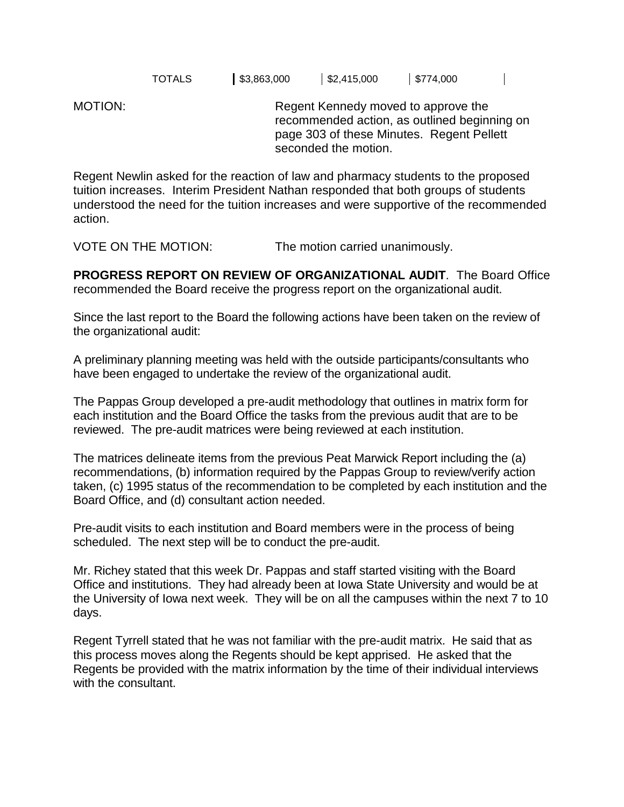TOTALS \$3,863,000 \$2,415,000 \$774,000

MOTION: Regent Kennedy moved to approve the recommended action, as outlined beginning on page 303 of these Minutes. Regent Pellett seconded the motion.

Regent Newlin asked for the reaction of law and pharmacy students to the proposed tuition increases. Interim President Nathan responded that both groups of students understood the need for the tuition increases and were supportive of the recommended action.

VOTE ON THE MOTION: The motion carried unanimously.

**PROGRESS REPORT ON REVIEW OF ORGANIZATIONAL AUDIT**. The Board Office recommended the Board receive the progress report on the organizational audit.

Since the last report to the Board the following actions have been taken on the review of the organizational audit:

A preliminary planning meeting was held with the outside participants/consultants who have been engaged to undertake the review of the organizational audit.

The Pappas Group developed a pre-audit methodology that outlines in matrix form for each institution and the Board Office the tasks from the previous audit that are to be reviewed. The pre-audit matrices were being reviewed at each institution.

The matrices delineate items from the previous Peat Marwick Report including the (a) recommendations, (b) information required by the Pappas Group to review/verify action taken, (c) 1995 status of the recommendation to be completed by each institution and the Board Office, and (d) consultant action needed.

Pre-audit visits to each institution and Board members were in the process of being scheduled. The next step will be to conduct the pre-audit.

Mr. Richey stated that this week Dr. Pappas and staff started visiting with the Board Office and institutions. They had already been at Iowa State University and would be at the University of Iowa next week. They will be on all the campuses within the next 7 to 10 days.

Regent Tyrrell stated that he was not familiar with the pre-audit matrix. He said that as this process moves along the Regents should be kept apprised. He asked that the Regents be provided with the matrix information by the time of their individual interviews with the consultant.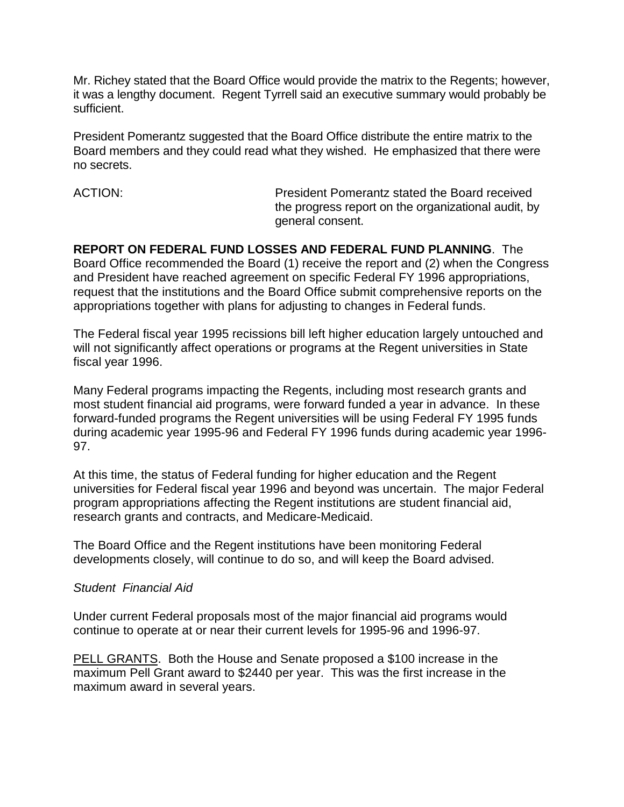Mr. Richey stated that the Board Office would provide the matrix to the Regents; however, it was a lengthy document. Regent Tyrrell said an executive summary would probably be sufficient.

President Pomerantz suggested that the Board Office distribute the entire matrix to the Board members and they could read what they wished. He emphasized that there were no secrets.

ACTION: President Pomerantz stated the Board received the progress report on the organizational audit, by general consent.

**REPORT ON FEDERAL FUND LOSSES AND FEDERAL FUND PLANNING**. The Board Office recommended the Board (1) receive the report and (2) when the Congress and President have reached agreement on specific Federal FY 1996 appropriations, request that the institutions and the Board Office submit comprehensive reports on the appropriations together with plans for adjusting to changes in Federal funds.

The Federal fiscal year 1995 recissions bill left higher education largely untouched and will not significantly affect operations or programs at the Regent universities in State fiscal year 1996.

Many Federal programs impacting the Regents, including most research grants and most student financial aid programs, were forward funded a year in advance. In these forward-funded programs the Regent universities will be using Federal FY 1995 funds during academic year 1995-96 and Federal FY 1996 funds during academic year 1996- 97.

At this time, the status of Federal funding for higher education and the Regent universities for Federal fiscal year 1996 and beyond was uncertain. The major Federal program appropriations affecting the Regent institutions are student financial aid, research grants and contracts, and Medicare-Medicaid.

The Board Office and the Regent institutions have been monitoring Federal developments closely, will continue to do so, and will keep the Board advised.

#### *Student Financial Aid*

Under current Federal proposals most of the major financial aid programs would continue to operate at or near their current levels for 1995-96 and 1996-97.

PELL GRANTS. Both the House and Senate proposed a \$100 increase in the maximum Pell Grant award to \$2440 per year. This was the first increase in the maximum award in several years.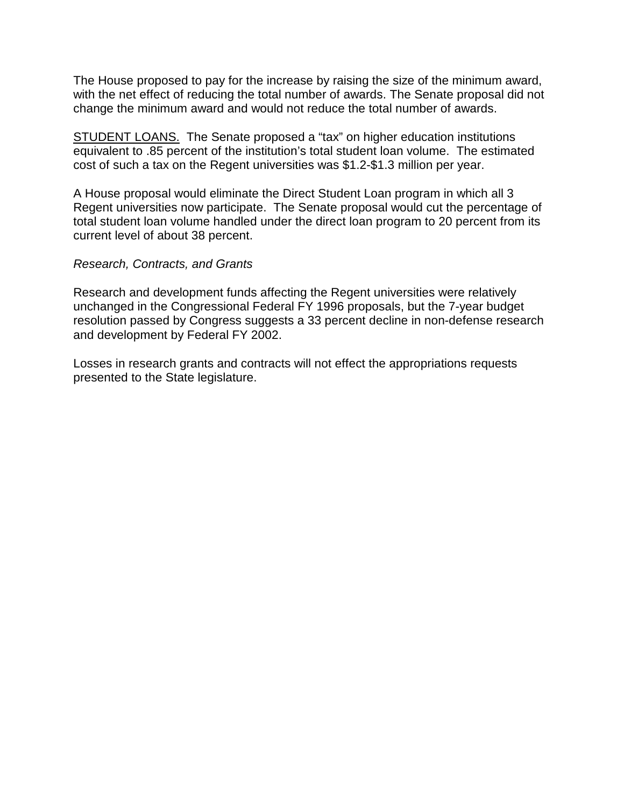The House proposed to pay for the increase by raising the size of the minimum award, with the net effect of reducing the total number of awards. The Senate proposal did not change the minimum award and would not reduce the total number of awards.

STUDENT LOANS. The Senate proposed a "tax" on higher education institutions equivalent to .85 percent of the institution's total student loan volume. The estimated cost of such a tax on the Regent universities was \$1.2-\$1.3 million per year.

A House proposal would eliminate the Direct Student Loan program in which all 3 Regent universities now participate. The Senate proposal would cut the percentage of total student loan volume handled under the direct loan program to 20 percent from its current level of about 38 percent.

#### *Research, Contracts, and Grants*

Research and development funds affecting the Regent universities were relatively unchanged in the Congressional Federal FY 1996 proposals, but the 7-year budget resolution passed by Congress suggests a 33 percent decline in non-defense research and development by Federal FY 2002.

Losses in research grants and contracts will not effect the appropriations requests presented to the State legislature.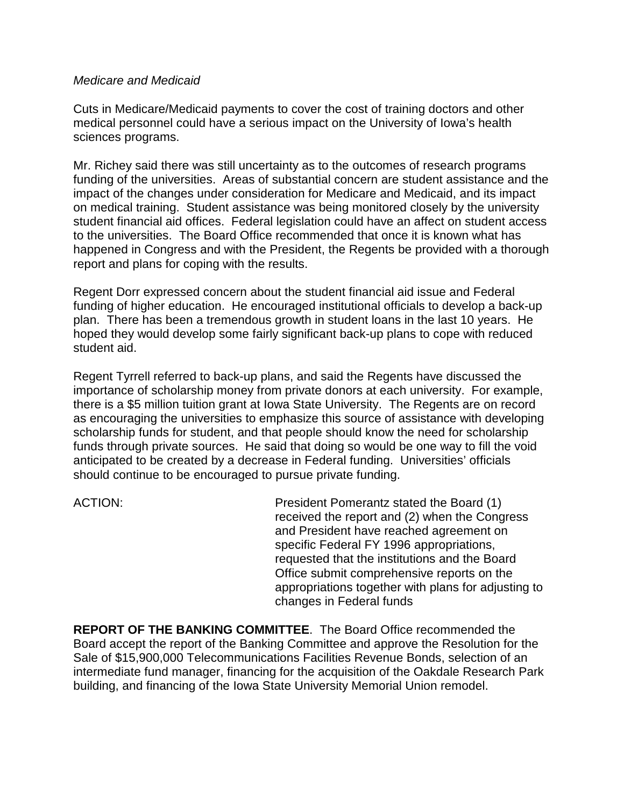#### *Medicare and Medicaid*

Cuts in Medicare/Medicaid payments to cover the cost of training doctors and other medical personnel could have a serious impact on the University of Iowa's health sciences programs.

Mr. Richey said there was still uncertainty as to the outcomes of research programs funding of the universities. Areas of substantial concern are student assistance and the impact of the changes under consideration for Medicare and Medicaid, and its impact on medical training. Student assistance was being monitored closely by the university student financial aid offices. Federal legislation could have an affect on student access to the universities. The Board Office recommended that once it is known what has happened in Congress and with the President, the Regents be provided with a thorough report and plans for coping with the results.

Regent Dorr expressed concern about the student financial aid issue and Federal funding of higher education. He encouraged institutional officials to develop a back-up plan. There has been a tremendous growth in student loans in the last 10 years. He hoped they would develop some fairly significant back-up plans to cope with reduced student aid.

Regent Tyrrell referred to back-up plans, and said the Regents have discussed the importance of scholarship money from private donors at each university. For example, there is a \$5 million tuition grant at Iowa State University. The Regents are on record as encouraging the universities to emphasize this source of assistance with developing scholarship funds for student, and that people should know the need for scholarship funds through private sources. He said that doing so would be one way to fill the void anticipated to be created by a decrease in Federal funding. Universities' officials should continue to be encouraged to pursue private funding.

ACTION: President Pomerantz stated the Board (1) received the report and (2) when the Congress and President have reached agreement on specific Federal FY 1996 appropriations, requested that the institutions and the Board Office submit comprehensive reports on the appropriations together with plans for adjusting to changes in Federal funds

**REPORT OF THE BANKING COMMITTEE**. The Board Office recommended the Board accept the report of the Banking Committee and approve the Resolution for the Sale of \$15,900,000 Telecommunications Facilities Revenue Bonds, selection of an intermediate fund manager, financing for the acquisition of the Oakdale Research Park building, and financing of the Iowa State University Memorial Union remodel.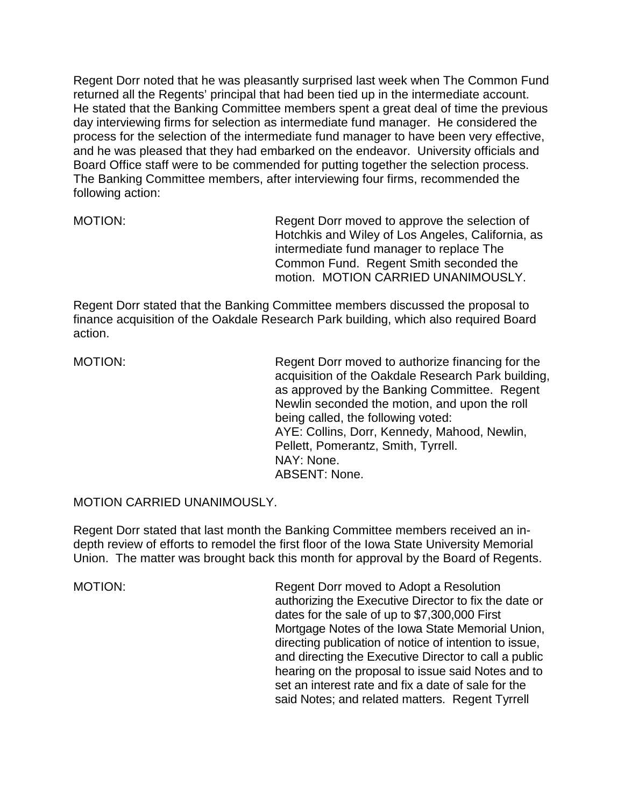Regent Dorr noted that he was pleasantly surprised last week when The Common Fund returned all the Regents' principal that had been tied up in the intermediate account. He stated that the Banking Committee members spent a great deal of time the previous day interviewing firms for selection as intermediate fund manager. He considered the process for the selection of the intermediate fund manager to have been very effective, and he was pleased that they had embarked on the endeavor. University officials and Board Office staff were to be commended for putting together the selection process. The Banking Committee members, after interviewing four firms, recommended the following action:

MOTION: Regent Dorr moved to approve the selection of Hotchkis and Wiley of Los Angeles, California, as intermediate fund manager to replace The Common Fund. Regent Smith seconded the motion. MOTION CARRIED UNANIMOUSLY.

Regent Dorr stated that the Banking Committee members discussed the proposal to finance acquisition of the Oakdale Research Park building, which also required Board action.

MOTION: Regent Dorr moved to authorize financing for the acquisition of the Oakdale Research Park building, as approved by the Banking Committee. Regent Newlin seconded the motion, and upon the roll being called, the following voted: AYE: Collins, Dorr, Kennedy, Mahood, Newlin, Pellett, Pomerantz, Smith, Tyrrell. NAY: None. ABSENT: None.

MOTION CARRIED UNANIMOUSLY.

Regent Dorr stated that last month the Banking Committee members received an indepth review of efforts to remodel the first floor of the Iowa State University Memorial Union. The matter was brought back this month for approval by the Board of Regents.

MOTION: Regent Dorr moved to Adopt a Resolution authorizing the Executive Director to fix the date or dates for the sale of up to \$7,300,000 First Mortgage Notes of the Iowa State Memorial Union, directing publication of notice of intention to issue, and directing the Executive Director to call a public hearing on the proposal to issue said Notes and to set an interest rate and fix a date of sale for the said Notes; and related matters. Regent Tyrrell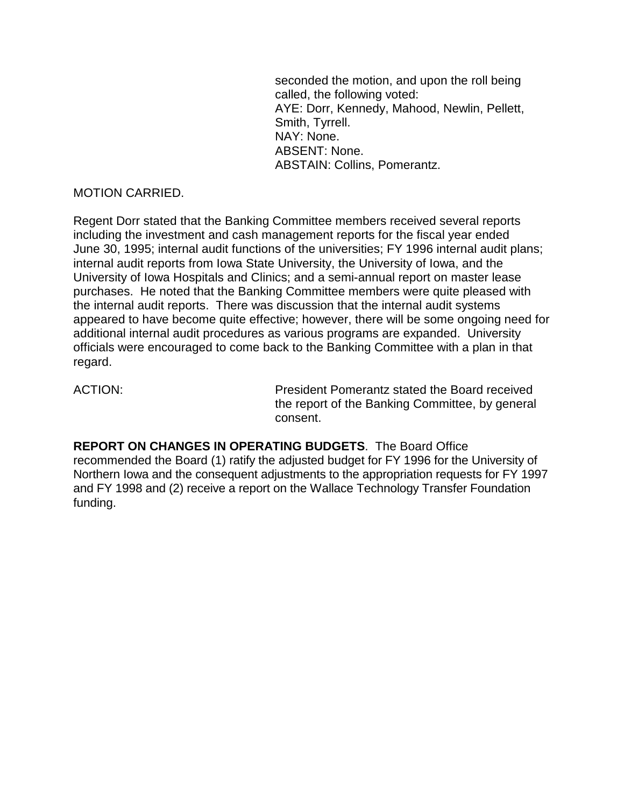seconded the motion, and upon the roll being called, the following voted: AYE: Dorr, Kennedy, Mahood, Newlin, Pellett, Smith, Tyrrell. NAY: None. ABSENT: None. ABSTAIN: Collins, Pomerantz.

#### MOTION CARRIED.

Regent Dorr stated that the Banking Committee members received several reports including the investment and cash management reports for the fiscal year ended June 30, 1995; internal audit functions of the universities; FY 1996 internal audit plans; internal audit reports from Iowa State University, the University of Iowa, and the University of Iowa Hospitals and Clinics; and a semi-annual report on master lease purchases. He noted that the Banking Committee members were quite pleased with the internal audit reports. There was discussion that the internal audit systems appeared to have become quite effective; however, there will be some ongoing need for additional internal audit procedures as various programs are expanded. University officials were encouraged to come back to the Banking Committee with a plan in that regard.

ACTION: President Pomerantz stated the Board received the report of the Banking Committee, by general consent.

**REPORT ON CHANGES IN OPERATING BUDGETS**. The Board Office recommended the Board (1) ratify the adjusted budget for FY 1996 for the University of Northern Iowa and the consequent adjustments to the appropriation requests for FY 1997 and FY 1998 and (2) receive a report on the Wallace Technology Transfer Foundation funding.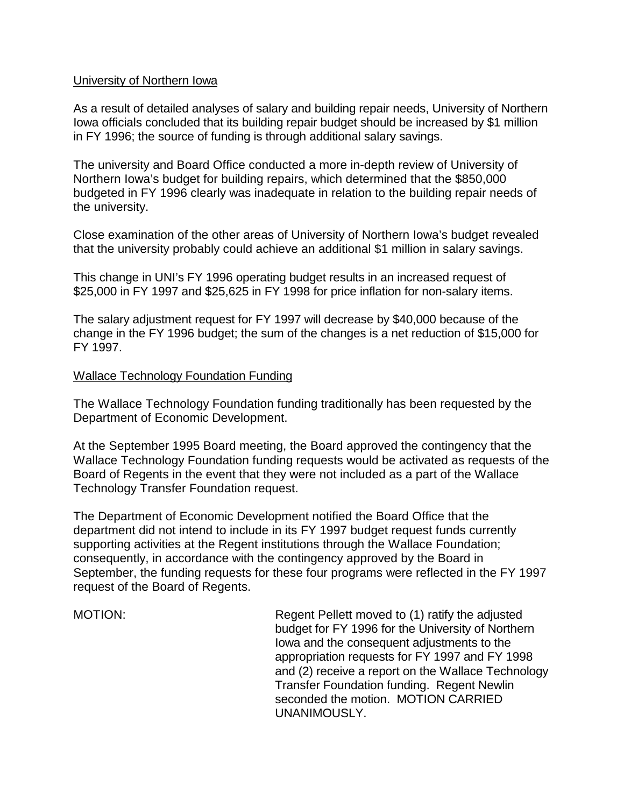#### University of Northern Iowa

As a result of detailed analyses of salary and building repair needs, University of Northern Iowa officials concluded that its building repair budget should be increased by \$1 million in FY 1996; the source of funding is through additional salary savings.

The university and Board Office conducted a more in-depth review of University of Northern Iowa's budget for building repairs, which determined that the \$850,000 budgeted in FY 1996 clearly was inadequate in relation to the building repair needs of the university.

Close examination of the other areas of University of Northern Iowa's budget revealed that the university probably could achieve an additional \$1 million in salary savings.

This change in UNI's FY 1996 operating budget results in an increased request of \$25,000 in FY 1997 and \$25,625 in FY 1998 for price inflation for non-salary items.

The salary adjustment request for FY 1997 will decrease by \$40,000 because of the change in the FY 1996 budget; the sum of the changes is a net reduction of \$15,000 for FY 1997.

#### Wallace Technology Foundation Funding

The Wallace Technology Foundation funding traditionally has been requested by the Department of Economic Development.

At the September 1995 Board meeting, the Board approved the contingency that the Wallace Technology Foundation funding requests would be activated as requests of the Board of Regents in the event that they were not included as a part of the Wallace Technology Transfer Foundation request.

The Department of Economic Development notified the Board Office that the department did not intend to include in its FY 1997 budget request funds currently supporting activities at the Regent institutions through the Wallace Foundation; consequently, in accordance with the contingency approved by the Board in September, the funding requests for these four programs were reflected in the FY 1997 request of the Board of Regents.

MOTION: Regent Pellett moved to (1) ratify the adjusted budget for FY 1996 for the University of Northern Iowa and the consequent adjustments to the appropriation requests for FY 1997 and FY 1998 and (2) receive a report on the Wallace Technology Transfer Foundation funding. Regent Newlin seconded the motion. MOTION CARRIED UNANIMOUSLY.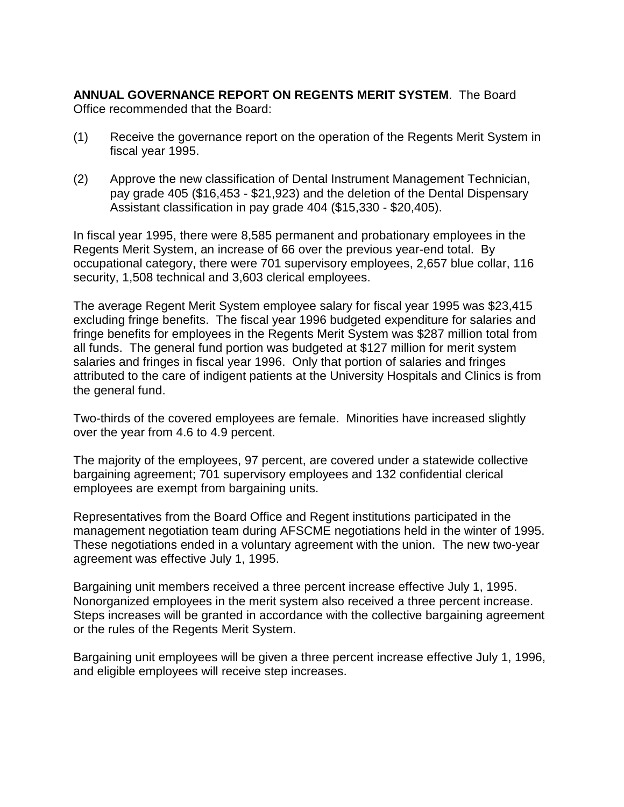**ANNUAL GOVERNANCE REPORT ON REGENTS MERIT SYSTEM**. The Board Office recommended that the Board:

- (1) Receive the governance report on the operation of the Regents Merit System in fiscal year 1995.
- (2) Approve the new classification of Dental Instrument Management Technician, pay grade 405 (\$16,453 - \$21,923) and the deletion of the Dental Dispensary Assistant classification in pay grade 404 (\$15,330 - \$20,405).

In fiscal year 1995, there were 8,585 permanent and probationary employees in the Regents Merit System, an increase of 66 over the previous year-end total. By occupational category, there were 701 supervisory employees, 2,657 blue collar, 116 security, 1,508 technical and 3,603 clerical employees.

The average Regent Merit System employee salary for fiscal year 1995 was \$23,415 excluding fringe benefits. The fiscal year 1996 budgeted expenditure for salaries and fringe benefits for employees in the Regents Merit System was \$287 million total from all funds. The general fund portion was budgeted at \$127 million for merit system salaries and fringes in fiscal year 1996. Only that portion of salaries and fringes attributed to the care of indigent patients at the University Hospitals and Clinics is from the general fund.

Two-thirds of the covered employees are female. Minorities have increased slightly over the year from 4.6 to 4.9 percent.

The majority of the employees, 97 percent, are covered under a statewide collective bargaining agreement; 701 supervisory employees and 132 confidential clerical employees are exempt from bargaining units.

Representatives from the Board Office and Regent institutions participated in the management negotiation team during AFSCME negotiations held in the winter of 1995. These negotiations ended in a voluntary agreement with the union. The new two-year agreement was effective July 1, 1995.

Bargaining unit members received a three percent increase effective July 1, 1995. Nonorganized employees in the merit system also received a three percent increase. Steps increases will be granted in accordance with the collective bargaining agreement or the rules of the Regents Merit System.

Bargaining unit employees will be given a three percent increase effective July 1, 1996, and eligible employees will receive step increases.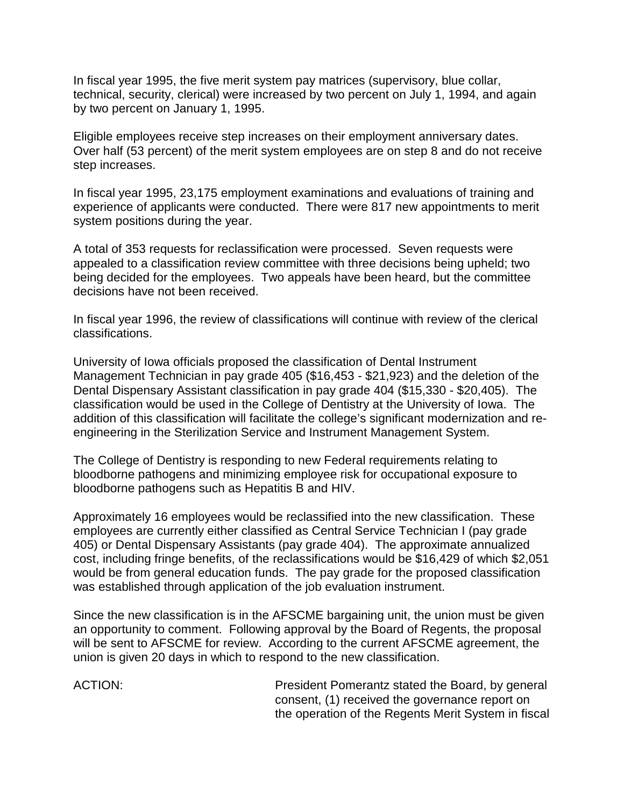In fiscal year 1995, the five merit system pay matrices (supervisory, blue collar, technical, security, clerical) were increased by two percent on July 1, 1994, and again by two percent on January 1, 1995.

Eligible employees receive step increases on their employment anniversary dates. Over half (53 percent) of the merit system employees are on step 8 and do not receive step increases.

In fiscal year 1995, 23,175 employment examinations and evaluations of training and experience of applicants were conducted. There were 817 new appointments to merit system positions during the year.

A total of 353 requests for reclassification were processed. Seven requests were appealed to a classification review committee with three decisions being upheld; two being decided for the employees. Two appeals have been heard, but the committee decisions have not been received.

In fiscal year 1996, the review of classifications will continue with review of the clerical classifications.

University of Iowa officials proposed the classification of Dental Instrument Management Technician in pay grade 405 (\$16,453 - \$21,923) and the deletion of the Dental Dispensary Assistant classification in pay grade 404 (\$15,330 - \$20,405). The classification would be used in the College of Dentistry at the University of Iowa. The addition of this classification will facilitate the college's significant modernization and reengineering in the Sterilization Service and Instrument Management System.

The College of Dentistry is responding to new Federal requirements relating to bloodborne pathogens and minimizing employee risk for occupational exposure to bloodborne pathogens such as Hepatitis B and HIV.

Approximately 16 employees would be reclassified into the new classification. These employees are currently either classified as Central Service Technician I (pay grade 405) or Dental Dispensary Assistants (pay grade 404). The approximate annualized cost, including fringe benefits, of the reclassifications would be \$16,429 of which \$2,051 would be from general education funds. The pay grade for the proposed classification was established through application of the job evaluation instrument.

Since the new classification is in the AFSCME bargaining unit, the union must be given an opportunity to comment. Following approval by the Board of Regents, the proposal will be sent to AFSCME for review. According to the current AFSCME agreement, the union is given 20 days in which to respond to the new classification.

ACTION: President Pomerantz stated the Board, by general consent, (1) received the governance report on the operation of the Regents Merit System in fiscal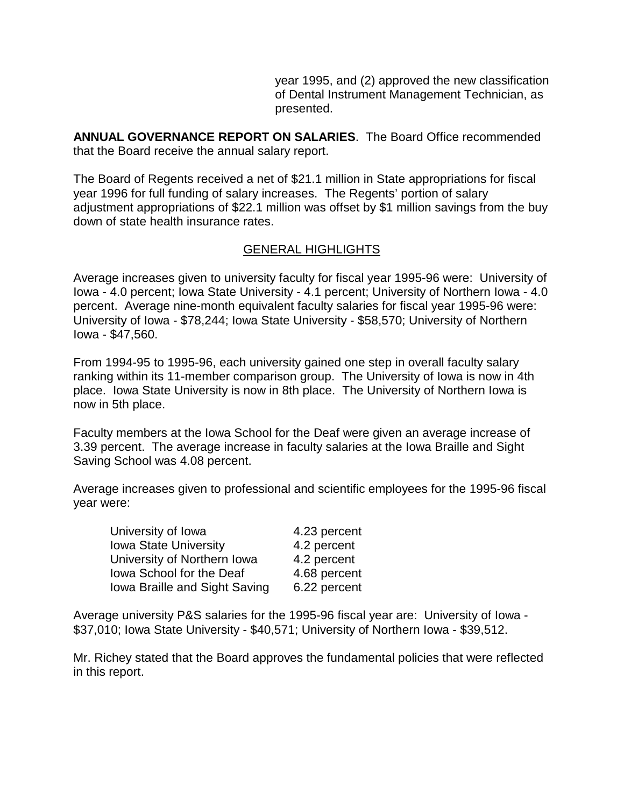year 1995, and (2) approved the new classification of Dental Instrument Management Technician, as presented.

**ANNUAL GOVERNANCE REPORT ON SALARIES**. The Board Office recommended that the Board receive the annual salary report.

The Board of Regents received a net of \$21.1 million in State appropriations for fiscal year 1996 for full funding of salary increases. The Regents' portion of salary adjustment appropriations of \$22.1 million was offset by \$1 million savings from the buy down of state health insurance rates.

### GENERAL HIGHLIGHTS

Average increases given to university faculty for fiscal year 1995-96 were: University of Iowa - 4.0 percent; Iowa State University - 4.1 percent; University of Northern Iowa - 4.0 percent. Average nine-month equivalent faculty salaries for fiscal year 1995-96 were: University of Iowa - \$78,244; Iowa State University - \$58,570; University of Northern Iowa - \$47,560.

From 1994-95 to 1995-96, each university gained one step in overall faculty salary ranking within its 11-member comparison group. The University of Iowa is now in 4th place. Iowa State University is now in 8th place. The University of Northern Iowa is now in 5th place.

Faculty members at the Iowa School for the Deaf were given an average increase of 3.39 percent. The average increase in faculty salaries at the Iowa Braille and Sight Saving School was 4.08 percent.

Average increases given to professional and scientific employees for the 1995-96 fiscal year were:

| University of Iowa            | 4.23 percent |
|-------------------------------|--------------|
| <b>Iowa State University</b>  | 4.2 percent  |
| University of Northern Iowa   | 4.2 percent  |
| lowa School for the Deaf      | 4.68 percent |
| Iowa Braille and Sight Saving | 6.22 percent |

Average university P&S salaries for the 1995-96 fiscal year are: University of Iowa - \$37,010; Iowa State University - \$40,571; University of Northern Iowa - \$39,512.

Mr. Richey stated that the Board approves the fundamental policies that were reflected in this report.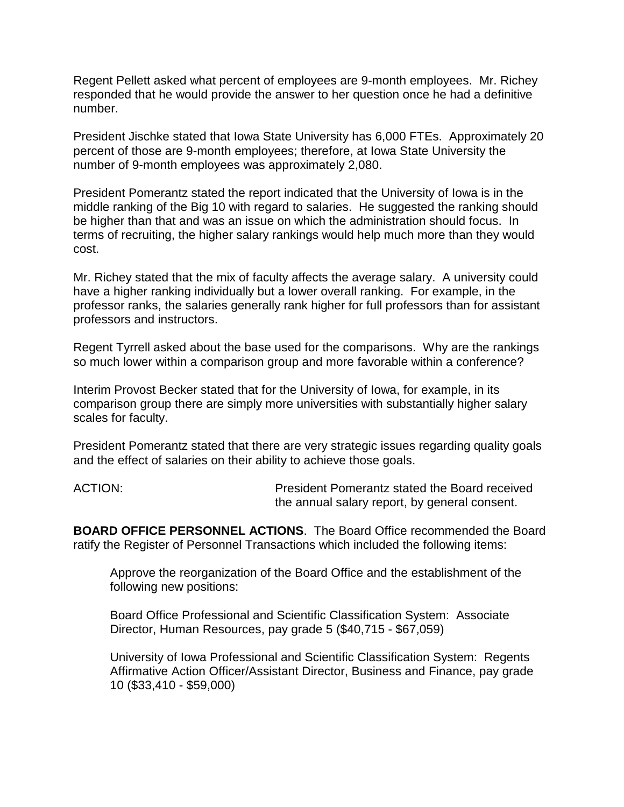Regent Pellett asked what percent of employees are 9-month employees. Mr. Richey responded that he would provide the answer to her question once he had a definitive number.

President Jischke stated that Iowa State University has 6,000 FTEs. Approximately 20 percent of those are 9-month employees; therefore, at Iowa State University the number of 9-month employees was approximately 2,080.

President Pomerantz stated the report indicated that the University of Iowa is in the middle ranking of the Big 10 with regard to salaries. He suggested the ranking should be higher than that and was an issue on which the administration should focus. In terms of recruiting, the higher salary rankings would help much more than they would cost.

Mr. Richey stated that the mix of faculty affects the average salary. A university could have a higher ranking individually but a lower overall ranking. For example, in the professor ranks, the salaries generally rank higher for full professors than for assistant professors and instructors.

Regent Tyrrell asked about the base used for the comparisons. Why are the rankings so much lower within a comparison group and more favorable within a conference?

Interim Provost Becker stated that for the University of Iowa, for example, in its comparison group there are simply more universities with substantially higher salary scales for faculty.

President Pomerantz stated that there are very strategic issues regarding quality goals and the effect of salaries on their ability to achieve those goals.

ACTION: President Pomerantz stated the Board received the annual salary report, by general consent.

**BOARD OFFICE PERSONNEL ACTIONS**. The Board Office recommended the Board ratify the Register of Personnel Transactions which included the following items:

Approve the reorganization of the Board Office and the establishment of the following new positions:

Board Office Professional and Scientific Classification System: Associate Director, Human Resources, pay grade 5 (\$40,715 - \$67,059)

University of Iowa Professional and Scientific Classification System: Regents Affirmative Action Officer/Assistant Director, Business and Finance, pay grade 10 (\$33,410 - \$59,000)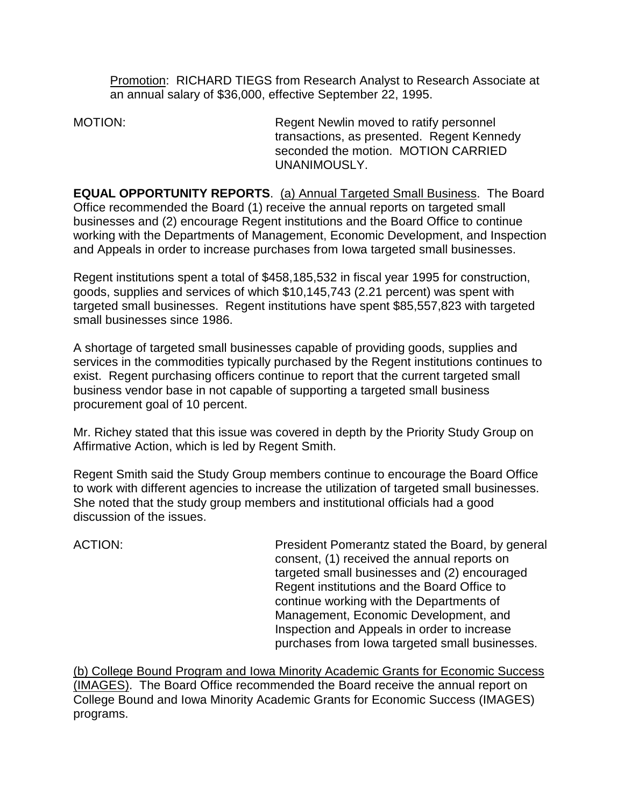Promotion: RICHARD TIEGS from Research Analyst to Research Associate at an annual salary of \$36,000, effective September 22, 1995.

MOTION: Regent Newlin moved to ratify personnel transactions, as presented. Regent Kennedy seconded the motion. MOTION CARRIED UNANIMOUSLY.

**EQUAL OPPORTUNITY REPORTS**. (a) Annual Targeted Small Business. The Board Office recommended the Board (1) receive the annual reports on targeted small businesses and (2) encourage Regent institutions and the Board Office to continue working with the Departments of Management, Economic Development, and Inspection and Appeals in order to increase purchases from Iowa targeted small businesses.

Regent institutions spent a total of \$458,185,532 in fiscal year 1995 for construction, goods, supplies and services of which \$10,145,743 (2.21 percent) was spent with targeted small businesses. Regent institutions have spent \$85,557,823 with targeted small businesses since 1986.

A shortage of targeted small businesses capable of providing goods, supplies and services in the commodities typically purchased by the Regent institutions continues to exist. Regent purchasing officers continue to report that the current targeted small business vendor base in not capable of supporting a targeted small business procurement goal of 10 percent.

Mr. Richey stated that this issue was covered in depth by the Priority Study Group on Affirmative Action, which is led by Regent Smith.

Regent Smith said the Study Group members continue to encourage the Board Office to work with different agencies to increase the utilization of targeted small businesses. She noted that the study group members and institutional officials had a good discussion of the issues.

ACTION: President Pomerantz stated the Board, by general consent, (1) received the annual reports on targeted small businesses and (2) encouraged Regent institutions and the Board Office to continue working with the Departments of Management, Economic Development, and Inspection and Appeals in order to increase purchases from Iowa targeted small businesses.

(b) College Bound Program and Iowa Minority Academic Grants for Economic Success (IMAGES). The Board Office recommended the Board receive the annual report on College Bound and Iowa Minority Academic Grants for Economic Success (IMAGES) programs.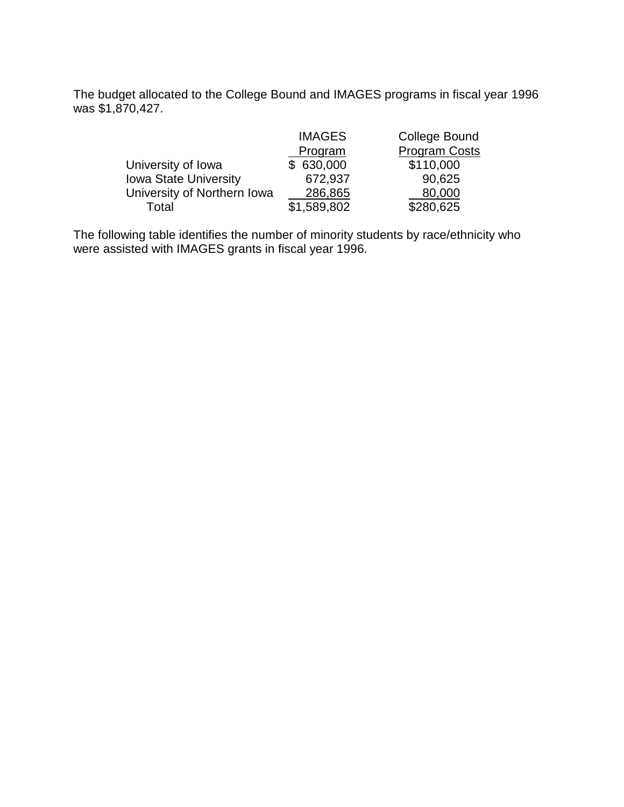The budget allocated to the College Bound and IMAGES programs in fiscal year 1996 was \$1,870,427.

|                              | <b>IMAGES</b> | <b>College Bound</b> |
|------------------------------|---------------|----------------------|
|                              | Program       | <b>Program Costs</b> |
| University of Iowa           | \$630,000     | \$110,000            |
| <b>Iowa State University</b> | 672,937       | 90,625               |
| University of Northern Iowa  | 286,865       | 80,000               |
| Total                        | \$1,589,802   | \$280,625            |

The following table identifies the number of minority students by race/ethnicity who were assisted with IMAGES grants in fiscal year 1996.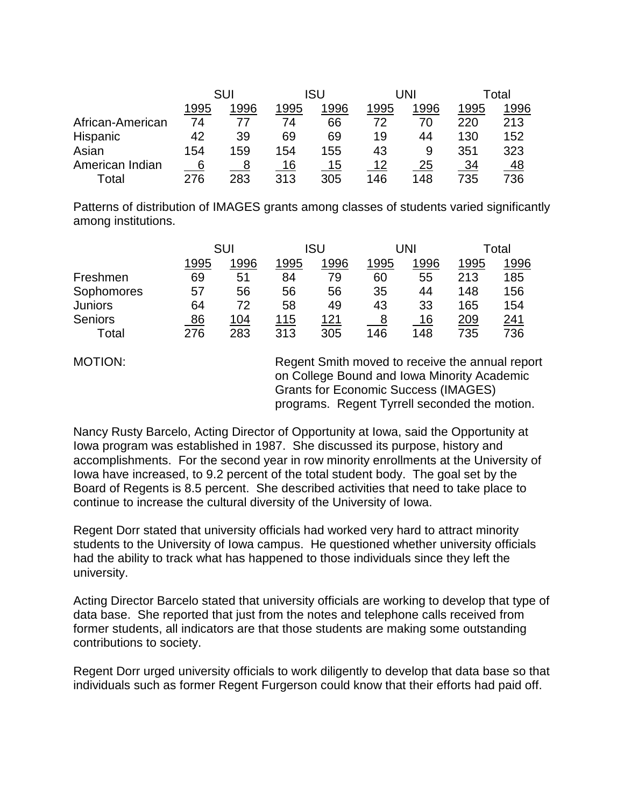|                  | SUI  |      | ISU  |      | UNI  |      | Total |           |
|------------------|------|------|------|------|------|------|-------|-----------|
|                  | 1995 | 1996 | 1995 | 1996 | 1995 | 1996 | 1995  | 1996      |
| African-American | 74   |      | 74   | 66   | 72   | 70   | 220   | 213       |
| Hispanic         | 42   | 39   | 69   | 69   | 19   | 44   | 130   | 152       |
| Asian            | 154  | 159  | 154  | 155  | 43   | 9    | 351   | 323       |
| American Indian  | 6    |      | 16   | 15   | 12   | 25   | 34    | <u>48</u> |
| Total            | 276  | 283  | 313  | 305  | 146  | 148  | 735   | 736       |

Patterns of distribution of IMAGES grants among classes of students varied significantly among institutions.

|                | SUI  |      | ISU  |             | UNI  |      | Total |      |
|----------------|------|------|------|-------------|------|------|-------|------|
|                | 1995 | 1996 | 1995 | 1996        | 1995 | 1996 | 1995  | 1996 |
| Freshmen       | 69   | 51   | 84   | 79          | 60   | 55   | 213   | 185  |
| Sophomores     | 57   | 56   | 56   | 56          | 35   | 44   | 148   | 156  |
| <b>Juniors</b> | 64   | 72   | 58   | 49          | 43   | 33   | 165   | 154  |
| <b>Seniors</b> | 86   | 104  | 115  | <u> 121</u> | 8    | 16   | 209   | 241  |
| Total          | 276  | 283  | 313  | 305         | 146  | 148  | 735   | 736  |

MOTION: Regent Smith moved to receive the annual report on College Bound and Iowa Minority Academic Grants for Economic Success (IMAGES) programs. Regent Tyrrell seconded the motion.

Nancy Rusty Barcelo, Acting Director of Opportunity at Iowa, said the Opportunity at Iowa program was established in 1987. She discussed its purpose, history and accomplishments. For the second year in row minority enrollments at the University of Iowa have increased, to 9.2 percent of the total student body. The goal set by the Board of Regents is 8.5 percent. She described activities that need to take place to continue to increase the cultural diversity of the University of Iowa.

Regent Dorr stated that university officials had worked very hard to attract minority students to the University of Iowa campus. He questioned whether university officials had the ability to track what has happened to those individuals since they left the university.

Acting Director Barcelo stated that university officials are working to develop that type of data base. She reported that just from the notes and telephone calls received from former students, all indicators are that those students are making some outstanding contributions to society.

Regent Dorr urged university officials to work diligently to develop that data base so that individuals such as former Regent Furgerson could know that their efforts had paid off.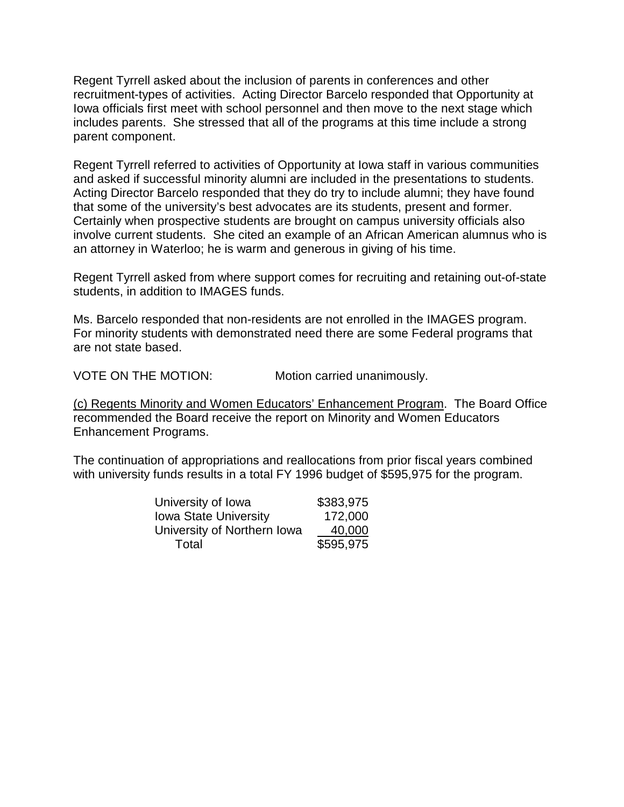Regent Tyrrell asked about the inclusion of parents in conferences and other recruitment-types of activities. Acting Director Barcelo responded that Opportunity at Iowa officials first meet with school personnel and then move to the next stage which includes parents. She stressed that all of the programs at this time include a strong parent component.

Regent Tyrrell referred to activities of Opportunity at Iowa staff in various communities and asked if successful minority alumni are included in the presentations to students. Acting Director Barcelo responded that they do try to include alumni; they have found that some of the university's best advocates are its students, present and former. Certainly when prospective students are brought on campus university officials also involve current students. She cited an example of an African American alumnus who is an attorney in Waterloo; he is warm and generous in giving of his time.

Regent Tyrrell asked from where support comes for recruiting and retaining out-of-state students, in addition to IMAGES funds.

Ms. Barcelo responded that non-residents are not enrolled in the IMAGES program. For minority students with demonstrated need there are some Federal programs that are not state based.

VOTE ON THE MOTION: Motion carried unanimously.

(c) Regents Minority and Women Educators' Enhancement Program. The Board Office recommended the Board receive the report on Minority and Women Educators Enhancement Programs.

The continuation of appropriations and reallocations from prior fiscal years combined with university funds results in a total FY 1996 budget of \$595,975 for the program.

| University of Iowa           | \$383,975 |
|------------------------------|-----------|
| <b>Iowa State University</b> | 172,000   |
| University of Northern Iowa  | 40,000    |
| Total                        | \$595,975 |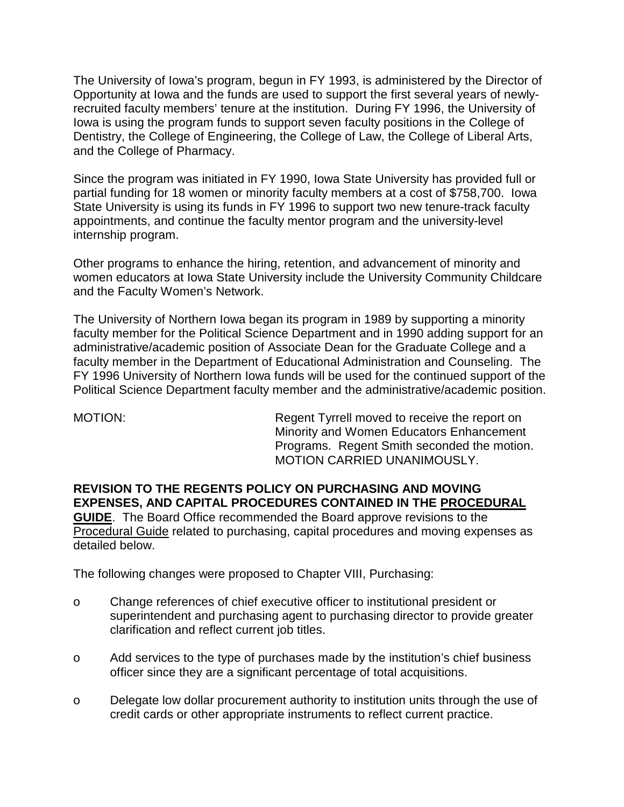The University of Iowa's program, begun in FY 1993, is administered by the Director of Opportunity at Iowa and the funds are used to support the first several years of newlyrecruited faculty members' tenure at the institution. During FY 1996, the University of Iowa is using the program funds to support seven faculty positions in the College of Dentistry, the College of Engineering, the College of Law, the College of Liberal Arts, and the College of Pharmacy.

Since the program was initiated in FY 1990, Iowa State University has provided full or partial funding for 18 women or minority faculty members at a cost of \$758,700.Iowa State University is using its funds in FY 1996 to support two new tenure-track faculty appointments, and continue the faculty mentor program and the university-level internship program.

Other programs to enhance the hiring, retention, and advancement of minority and women educators at Iowa State University include the University Community Childcare and the Faculty Women's Network.

The University of Northern Iowa began its program in 1989 by supporting a minority faculty member for the Political Science Department and in 1990 adding support for an administrative/academic position of Associate Dean for the Graduate College and a faculty member in the Department of Educational Administration and Counseling. The FY 1996 University of Northern Iowa funds will be used for the continued support of the Political Science Department faculty member and the administrative/academic position.

MOTION: Regent Tyrrell moved to receive the report on Minority and Women Educators Enhancement Programs. Regent Smith seconded the motion. MOTION CARRIED UNANIMOUSLY.

**REVISION TO THE REGENTS POLICY ON PURCHASING AND MOVING EXPENSES, AND CAPITAL PROCEDURES CONTAINED IN THE PROCEDURAL GUIDE**. The Board Office recommended the Board approve revisions to the Procedural Guide related to purchasing, capital procedures and moving expenses as detailed below.

The following changes were proposed to Chapter VIII, Purchasing:

- o Change references of chief executive officer to institutional president or superintendent and purchasing agent to purchasing director to provide greater clarification and reflect current job titles.
- o Add services to the type of purchases made by the institution's chief business officer since they are a significant percentage of total acquisitions.
- o Delegate low dollar procurement authority to institution units through the use of credit cards or other appropriate instruments to reflect current practice.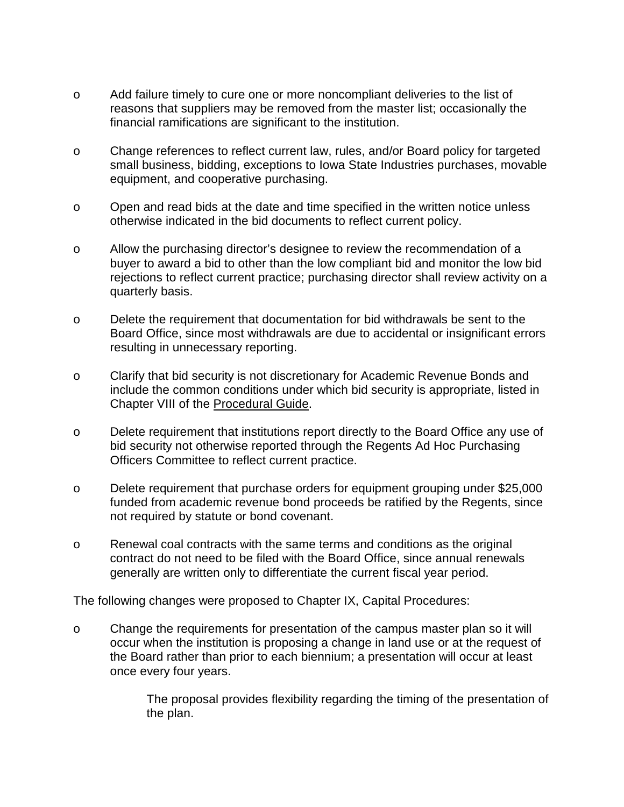- o Add failure timely to cure one or more noncompliant deliveries to the list of reasons that suppliers may be removed from the master list; occasionally the financial ramifications are significant to the institution.
- o Change references to reflect current law, rules, and/or Board policy for targeted small business, bidding, exceptions to Iowa State Industries purchases, movable equipment, and cooperative purchasing.
- o Open and read bids at the date and time specified in the written notice unless otherwise indicated in the bid documents to reflect current policy.
- o Allow the purchasing director's designee to review the recommendation of a buyer to award a bid to other than the low compliant bid and monitor the low bid rejections to reflect current practice; purchasing director shall review activity on a quarterly basis.
- o Delete the requirement that documentation for bid withdrawals be sent to the Board Office, since most withdrawals are due to accidental or insignificant errors resulting in unnecessary reporting.
- o Clarify that bid security is not discretionary for Academic Revenue Bonds and include the common conditions under which bid security is appropriate, listed in Chapter VIII of the Procedural Guide.
- o Delete requirement that institutions report directly to the Board Office any use of bid security not otherwise reported through the Regents Ad Hoc Purchasing Officers Committee to reflect current practice.
- o Delete requirement that purchase orders for equipment grouping under \$25,000 funded from academic revenue bond proceeds be ratified by the Regents, since not required by statute or bond covenant.
- o Renewal coal contracts with the same terms and conditions as the original contract do not need to be filed with the Board Office, since annual renewals generally are written only to differentiate the current fiscal year period.

The following changes were proposed to Chapter IX, Capital Procedures:

o Change the requirements for presentation of the campus master plan so it will occur when the institution is proposing a change in land use or at the request of the Board rather than prior to each biennium; a presentation will occur at least once every four years.

> The proposal provides flexibility regarding the timing of the presentation of the plan.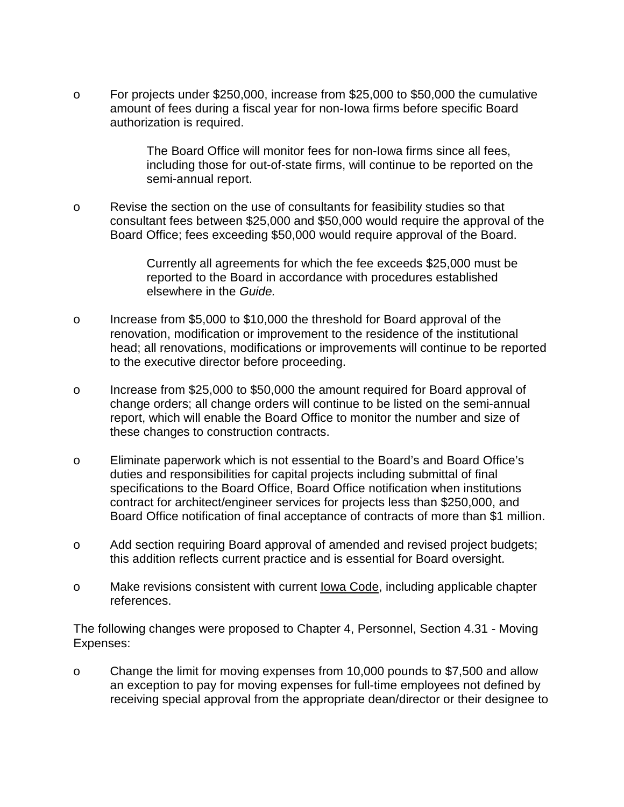o For projects under \$250,000, increase from \$25,000 to \$50,000 the cumulative amount of fees during a fiscal year for non-Iowa firms before specific Board authorization is required.

> The Board Office will monitor fees for non-Iowa firms since all fees, including those for out-of-state firms, will continue to be reported on the semi-annual report.

o Revise the section on the use of consultants for feasibility studies so that consultant fees between \$25,000 and \$50,000 would require the approval of the Board Office; fees exceeding \$50,000 would require approval of the Board.

> Currently all agreements for which the fee exceeds \$25,000 must be reported to the Board in accordance with procedures established elsewhere in the *Guide.*

- o Increase from \$5,000 to \$10,000 the threshold for Board approval of the renovation, modification or improvement to the residence of the institutional head; all renovations, modifications or improvements will continue to be reported to the executive director before proceeding.
- o Increase from \$25,000 to \$50,000 the amount required for Board approval of change orders; all change orders will continue to be listed on the semi-annual report, which will enable the Board Office to monitor the number and size of these changes to construction contracts.
- o Eliminate paperwork which is not essential to the Board's and Board Office's duties and responsibilities for capital projects including submittal of final specifications to the Board Office, Board Office notification when institutions contract for architect/engineer services for projects less than \$250,000, and Board Office notification of final acceptance of contracts of more than \$1 million.
- o Add section requiring Board approval of amended and revised project budgets; this addition reflects current practice and is essential for Board oversight.
- o Make revisions consistent with current Iowa Code, including applicable chapter references.

The following changes were proposed to Chapter 4, Personnel, Section 4.31 - Moving Expenses:

o Change the limit for moving expenses from 10,000 pounds to \$7,500 and allow an exception to pay for moving expenses for full-time employees not defined by receiving special approval from the appropriate dean/director or their designee to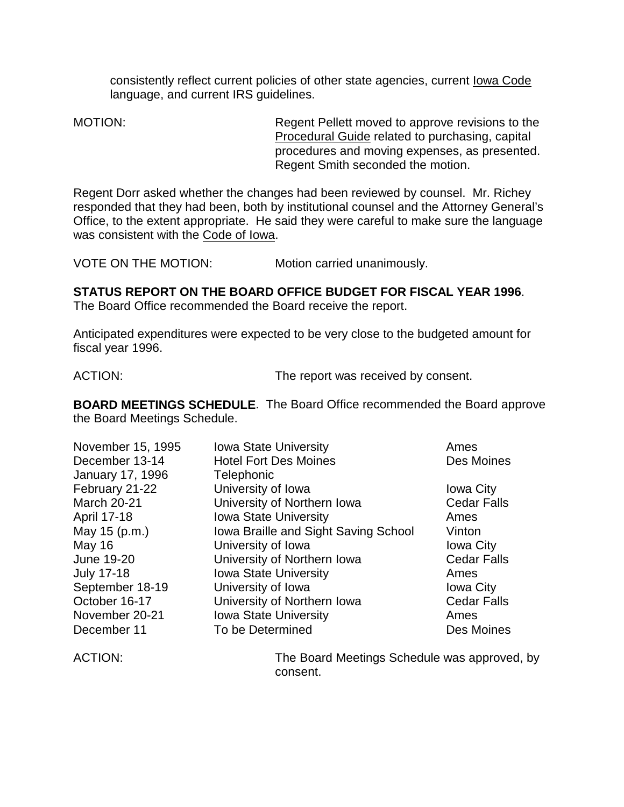consistently reflect current policies of other state agencies, current Iowa Code language, and current IRS guidelines.

MOTION: Regent Pellett moved to approve revisions to the Procedural Guide related to purchasing, capital procedures and moving expenses, as presented. Regent Smith seconded the motion.

Regent Dorr asked whether the changes had been reviewed by counsel. Mr. Richey responded that they had been, both by institutional counsel and the Attorney General's Office, to the extent appropriate. He said they were careful to make sure the language was consistent with the Code of Iowa.

VOTE ON THE MOTION: Motion carried unanimously.

### **STATUS REPORT ON THE BOARD OFFICE BUDGET FOR FISCAL YEAR 1996**.

The Board Office recommended the Board receive the report.

Anticipated expenditures were expected to be very close to the budgeted amount for fiscal year 1996.

ACTION: The report was received by consent.

**BOARD MEETINGS SCHEDULE**. The Board Office recommended the Board approve the Board Meetings Schedule.

| November 15, 1995       | <b>Iowa State University</b>         | Ames               |
|-------------------------|--------------------------------------|--------------------|
| December 13-14          | <b>Hotel Fort Des Moines</b>         | Des Moines         |
| <b>January 17, 1996</b> | Telephonic                           |                    |
| February 21-22          | University of Iowa                   | <b>Iowa City</b>   |
| <b>March 20-21</b>      | University of Northern Iowa          | <b>Cedar Falls</b> |
| April 17-18             | <b>Iowa State University</b>         | Ames               |
| May 15 (p.m.)           | Iowa Braille and Sight Saving School | Vinton             |
| <b>May 16</b>           | University of Iowa                   | <b>Iowa City</b>   |
| June 19-20              | University of Northern Iowa          | <b>Cedar Falls</b> |
| <b>July 17-18</b>       | <b>Iowa State University</b>         | Ames               |
| September 18-19         | University of Iowa                   | <b>Iowa City</b>   |
| October 16-17           | University of Northern Iowa          | <b>Cedar Falls</b> |
| November 20-21          | <b>Iowa State University</b>         | Ames               |
| December 11             | To be Determined                     | Des Moines         |

ACTION: The Board Meetings Schedule was approved, by consent.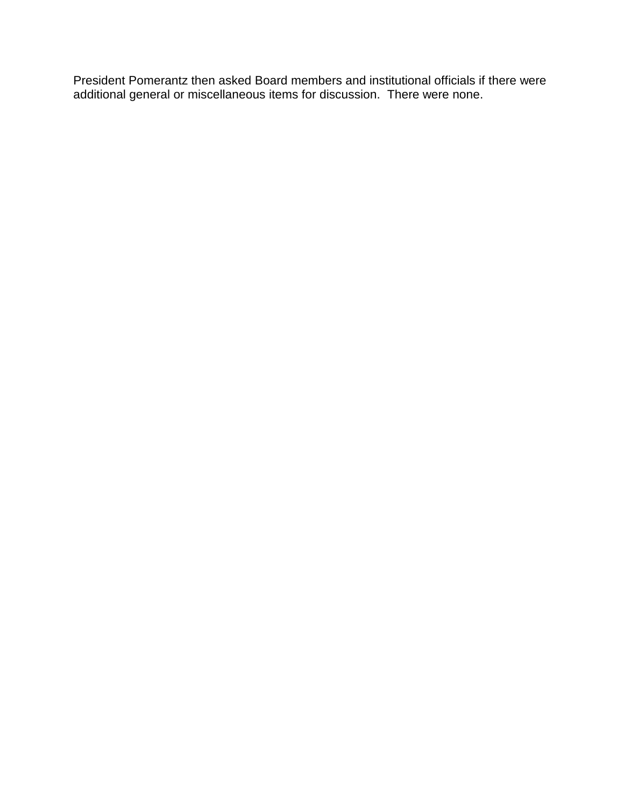President Pomerantz then asked Board members and institutional officials if there were additional general or miscellaneous items for discussion. There were none.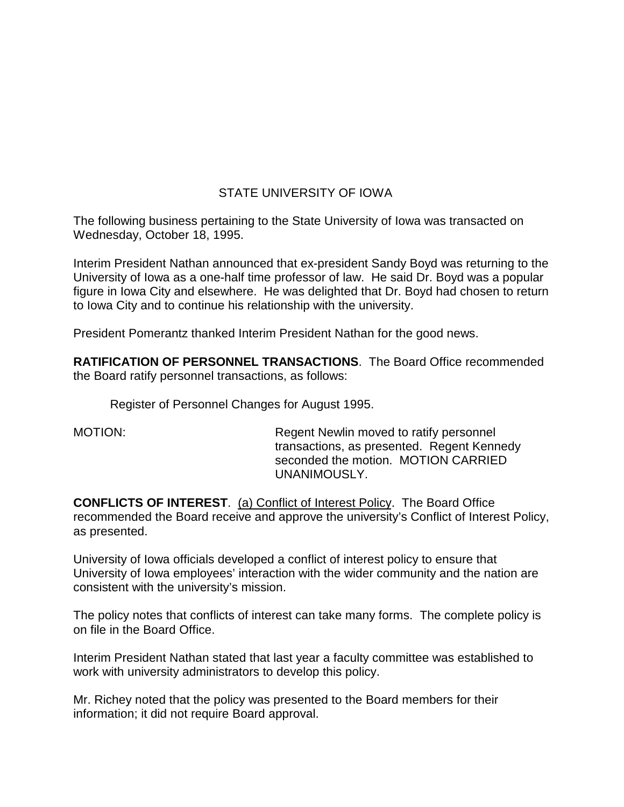# STATE UNIVERSITY OF IOWA

The following business pertaining to the State University of Iowa was transacted on Wednesday, October 18, 1995.

Interim President Nathan announced that ex-president Sandy Boyd was returning to the University of Iowa as a one-half time professor of law. He said Dr. Boyd was a popular figure in Iowa City and elsewhere. He was delighted that Dr. Boyd had chosen to return to Iowa City and to continue his relationship with the university.

President Pomerantz thanked Interim President Nathan for the good news.

**RATIFICATION OF PERSONNEL TRANSACTIONS**. The Board Office recommended the Board ratify personnel transactions, as follows:

Register of Personnel Changes for August 1995.

MOTION: Regent Newlin moved to ratify personnel transactions, as presented. Regent Kennedy seconded the motion. MOTION CARRIED UNANIMOUSLY.

**CONFLICTS OF INTEREST**. (a) Conflict of Interest Policy. The Board Office recommended the Board receive and approve the university's Conflict of Interest Policy, as presented.

University of Iowa officials developed a conflict of interest policy to ensure that University of Iowa employees' interaction with the wider community and the nation are consistent with the university's mission.

The policy notes that conflicts of interest can take many forms. The complete policy is on file in the Board Office.

Interim President Nathan stated that last year a faculty committee was established to work with university administrators to develop this policy.

Mr. Richey noted that the policy was presented to the Board members for their information; it did not require Board approval.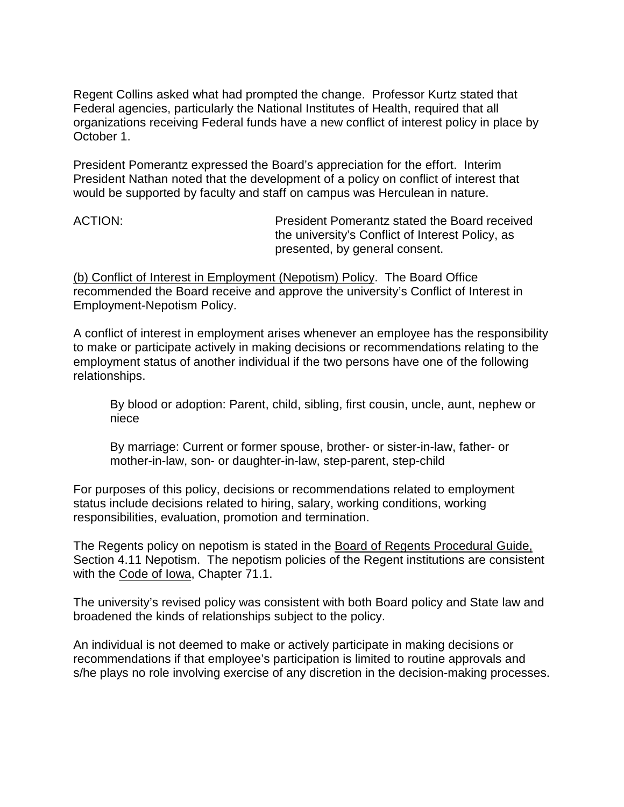Regent Collins asked what had prompted the change. Professor Kurtz stated that Federal agencies, particularly the National Institutes of Health, required that all organizations receiving Federal funds have a new conflict of interest policy in place by October 1.

President Pomerantz expressed the Board's appreciation for the effort. Interim President Nathan noted that the development of a policy on conflict of interest that would be supported by faculty and staff on campus was Herculean in nature.

ACTION: President Pomerantz stated the Board received the university's Conflict of Interest Policy, as presented, by general consent.

(b) Conflict of Interest in Employment (Nepotism) Policy. The Board Office recommended the Board receive and approve the university's Conflict of Interest in Employment-Nepotism Policy.

A conflict of interest in employment arises whenever an employee has the responsibility to make or participate actively in making decisions or recommendations relating to the employment status of another individual if the two persons have one of the following relationships.

By blood or adoption: Parent, child, sibling, first cousin, uncle, aunt, nephew or niece

By marriage: Current or former spouse, brother- or sister-in-law, father- or mother-in-law, son- or daughter-in-law, step-parent, step-child

For purposes of this policy, decisions or recommendations related to employment status include decisions related to hiring, salary, working conditions, working responsibilities, evaluation, promotion and termination.

The Regents policy on nepotism is stated in the Board of Regents Procedural Guide, Section 4.11 Nepotism. The nepotism policies of the Regent institutions are consistent with the Code of Iowa, Chapter 71.1.

The university's revised policy was consistent with both Board policy and State law and broadened the kinds of relationships subject to the policy.

An individual is not deemed to make or actively participate in making decisions or recommendations if that employee's participation is limited to routine approvals and s/he plays no role involving exercise of any discretion in the decision-making processes.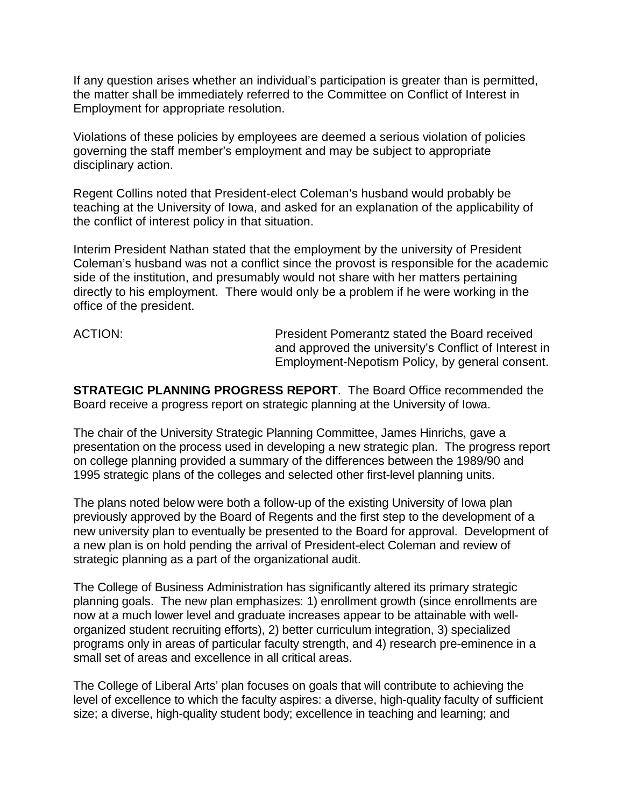If any question arises whether an individual's participation is greater than is permitted, the matter shall be immediately referred to the Committee on Conflict of Interest in Employment for appropriate resolution.

Violations of these policies by employees are deemed a serious violation of policies governing the staff member's employment and may be subject to appropriate disciplinary action.

Regent Collins noted that President-elect Coleman's husband would probably be teaching at the University of Iowa, and asked for an explanation of the applicability of the conflict of interest policy in that situation.

Interim President Nathan stated that the employment by the university of President Coleman's husband was not a conflict since the provost is responsible for the academic side of the institution, and presumably would not share with her matters pertaining directly to his employment. There would only be a problem if he were working in the office of the president.

ACTION: President Pomerantz stated the Board received and approved the university's Conflict of Interest in Employment-Nepotism Policy, by general consent.

**STRATEGIC PLANNING PROGRESS REPORT**. The Board Office recommended the Board receive a progress report on strategic planning at the University of Iowa.

The chair of the University Strategic Planning Committee, James Hinrichs, gave a presentation on the process used in developing a new strategic plan. The progress report on college planning provided a summary of the differences between the 1989/90 and 1995 strategic plans of the colleges and selected other first-level planning units.

The plans noted below were both a follow-up of the existing University of Iowa plan previously approved by the Board of Regents and the first step to the development of a new university plan to eventually be presented to the Board for approval. Development of a new plan is on hold pending the arrival of President-elect Coleman and review of strategic planning as a part of the organizational audit.

The College of Business Administration has significantly altered its primary strategic planning goals. The new plan emphasizes: 1) enrollment growth (since enrollments are now at a much lower level and graduate increases appear to be attainable with wellorganized student recruiting efforts), 2) better curriculum integration, 3) specialized programs only in areas of particular faculty strength, and 4) research pre-eminence in a small set of areas and excellence in all critical areas.

The College of Liberal Arts' plan focuses on goals that will contribute to achieving the level of excellence to which the faculty aspires: a diverse, high-quality faculty of sufficient size; a diverse, high-quality student body; excellence in teaching and learning; and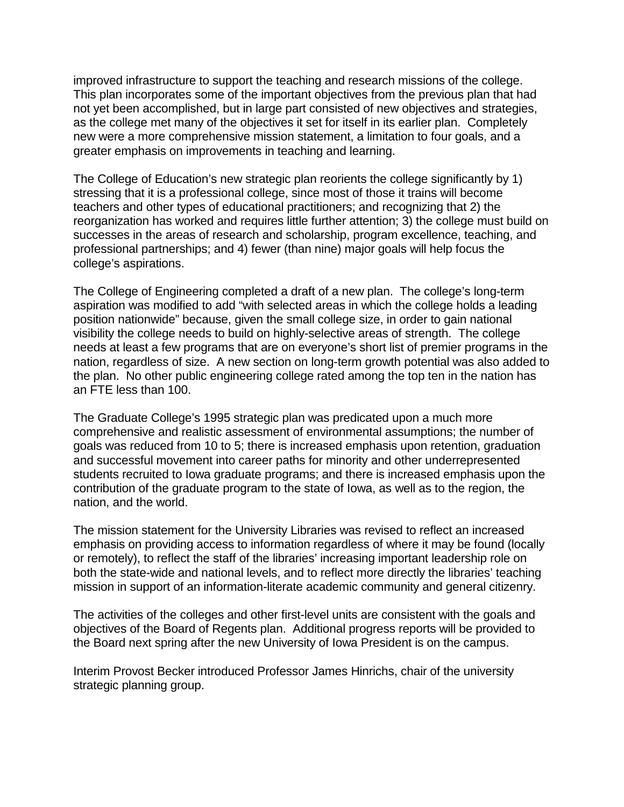improved infrastructure to support the teaching and research missions of the college. This plan incorporates some of the important objectives from the previous plan that had not yet been accomplished, but in large part consisted of new objectives and strategies, as the college met many of the objectives it set for itself in its earlier plan. Completely new were a more comprehensive mission statement, a limitation to four goals, and a greater emphasis on improvements in teaching and learning.

The College of Education's new strategic plan reorients the college significantly by 1) stressing that it is a professional college, since most of those it trains will become teachers and other types of educational practitioners; and recognizing that 2) the reorganization has worked and requires little further attention; 3) the college must build on successes in the areas of research and scholarship, program excellence, teaching, and professional partnerships; and 4) fewer (than nine) major goals will help focus the college's aspirations.

The College of Engineering completed a draft of a new plan. The college's long-term aspiration was modified to add "with selected areas in which the college holds a leading position nationwide" because, given the small college size, in order to gain national visibility the college needs to build on highly-selective areas of strength. The college needs at least a few programs that are on everyone's short list of premier programs in the nation, regardless of size. A new section on long-term growth potential was also added to the plan. No other public engineering college rated among the top ten in the nation has an FTE less than 100.

The Graduate College's 1995 strategic plan was predicated upon a much more comprehensive and realistic assessment of environmental assumptions; the number of goals was reduced from 10 to 5; there is increased emphasis upon retention, graduation and successful movement into career paths for minority and other underrepresented students recruited to Iowa graduate programs; and there is increased emphasis upon the contribution of the graduate program to the state of Iowa, as well as to the region, the nation, and the world.

The mission statement for the University Libraries was revised to reflect an increased emphasis on providing access to information regardless of where it may be found (locally or remotely), to reflect the staff of the libraries' increasing important leadership role on both the state-wide and national levels, and to reflect more directly the libraries' teaching mission in support of an information-literate academic community and general citizenry.

The activities of the colleges and other first-level units are consistent with the goals and objectives of the Board of Regents plan. Additional progress reports will be provided to the Board next spring after the new University of Iowa President is on the campus.

Interim Provost Becker introduced Professor James Hinrichs, chair of the university strategic planning group.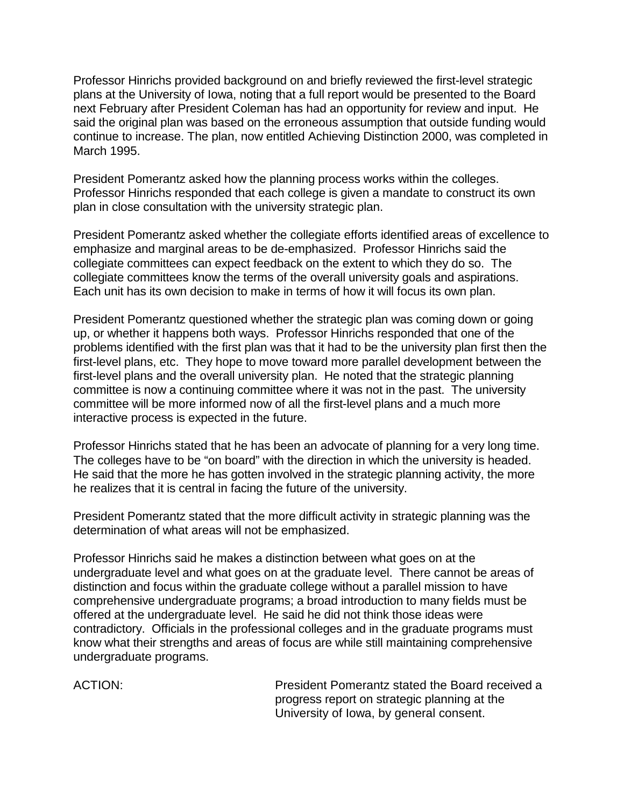Professor Hinrichs provided background on and briefly reviewed the first-level strategic plans at the University of Iowa, noting that a full report would be presented to the Board next February after President Coleman has had an opportunity for review and input. He said the original plan was based on the erroneous assumption that outside funding would continue to increase. The plan, now entitled Achieving Distinction 2000, was completed in March 1995.

President Pomerantz asked how the planning process works within the colleges. Professor Hinrichs responded that each college is given a mandate to construct its own plan in close consultation with the university strategic plan.

President Pomerantz asked whether the collegiate efforts identified areas of excellence to emphasize and marginal areas to be de-emphasized. Professor Hinrichs said the collegiate committees can expect feedback on the extent to which they do so. The collegiate committees know the terms of the overall university goals and aspirations. Each unit has its own decision to make in terms of how it will focus its own plan.

President Pomerantz questioned whether the strategic plan was coming down or going up, or whether it happens both ways. Professor Hinrichs responded that one of the problems identified with the first plan was that it had to be the university plan first then the first-level plans, etc. They hope to move toward more parallel development between the first-level plans and the overall university plan. He noted that the strategic planning committee is now a continuing committee where it was not in the past. The university committee will be more informed now of all the first-level plans and a much more interactive process is expected in the future.

Professor Hinrichs stated that he has been an advocate of planning for a very long time. The colleges have to be "on board" with the direction in which the university is headed. He said that the more he has gotten involved in the strategic planning activity, the more he realizes that it is central in facing the future of the university.

President Pomerantz stated that the more difficult activity in strategic planning was the determination of what areas will not be emphasized.

Professor Hinrichs said he makes a distinction between what goes on at the undergraduate level and what goes on at the graduate level. There cannot be areas of distinction and focus within the graduate college without a parallel mission to have comprehensive undergraduate programs; a broad introduction to many fields must be offered at the undergraduate level. He said he did not think those ideas were contradictory. Officials in the professional colleges and in the graduate programs must know what their strengths and areas of focus are while still maintaining comprehensive undergraduate programs.

ACTION: President Pomerantz stated the Board received a progress report on strategic planning at the University of Iowa, by general consent.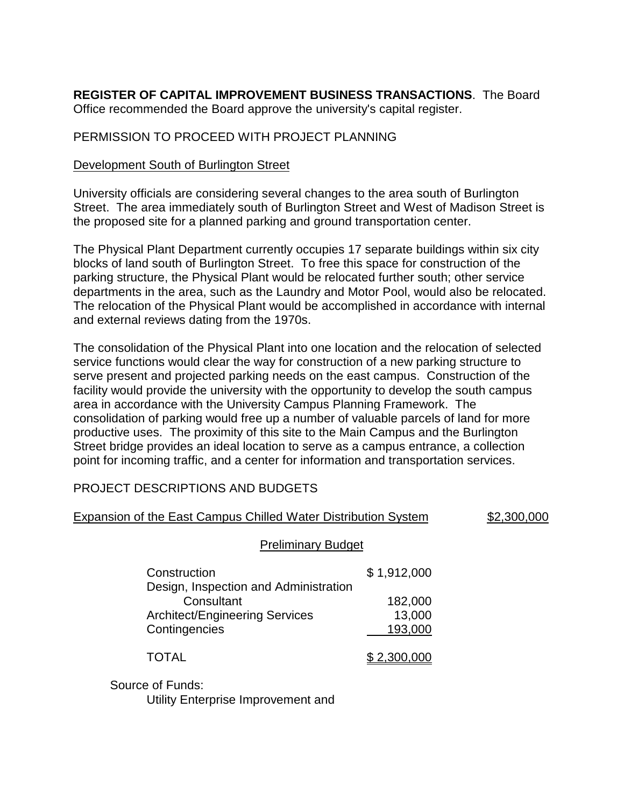**REGISTER OF CAPITAL IMPROVEMENT BUSINESS TRANSACTIONS**. The Board Office recommended the Board approve the university's capital register.

## PERMISSION TO PROCEED WITH PROJECT PLANNING

## Development South of Burlington Street

University officials are considering several changes to the area south of Burlington Street. The area immediately south of Burlington Street and West of Madison Street is the proposed site for a planned parking and ground transportation center.

The Physical Plant Department currently occupies 17 separate buildings within six city blocks of land south of Burlington Street. To free this space for construction of the parking structure, the Physical Plant would be relocated further south; other service departments in the area, such as the Laundry and Motor Pool, would also be relocated. The relocation of the Physical Plant would be accomplished in accordance with internal and external reviews dating from the 1970s.

The consolidation of the Physical Plant into one location and the relocation of selected service functions would clear the way for construction of a new parking structure to serve present and projected parking needs on the east campus. Construction of the facility would provide the university with the opportunity to develop the south campus area in accordance with the University Campus Planning Framework. The consolidation of parking would free up a number of valuable parcels of land for more productive uses. The proximity of this site to the Main Campus and the Burlington Street bridge provides an ideal location to serve as a campus entrance, a collection point for incoming traffic, and a center for information and transportation services.

## PROJECT DESCRIPTIONS AND BUDGETS

| Expansion of the East Campus Chilled Water Distribution System                               |                   | \$2,300,000 |
|----------------------------------------------------------------------------------------------|-------------------|-------------|
| <b>Preliminary Budget</b>                                                                    |                   |             |
| Construction                                                                                 | \$1,912,000       |             |
| Design, Inspection and Administration<br>Consultant<br><b>Architect/Engineering Services</b> | 182,000<br>13,000 |             |
| Contingencies                                                                                | 193,000           |             |
| <b>TOTAL</b>                                                                                 | \$2,300,000       |             |
| Source of Funds:                                                                             |                   |             |

Utility Enterprise Improvement and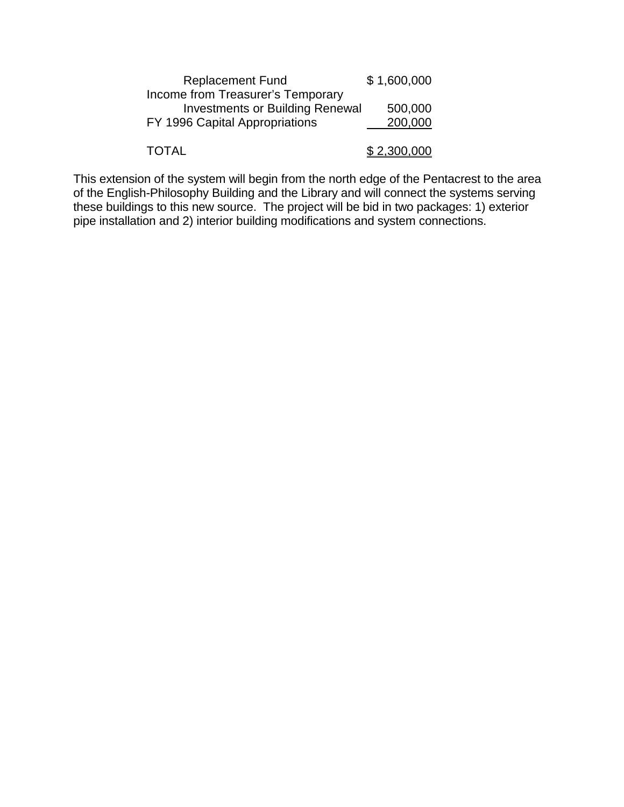| <b>Replacement Fund</b>                | \$1,600,000 |
|----------------------------------------|-------------|
| Income from Treasurer's Temporary      |             |
| <b>Investments or Building Renewal</b> | 500,000     |
| FY 1996 Capital Appropriations         | 200,000     |
|                                        |             |
| <b>TOTAL</b>                           | \$2,300,000 |

This extension of the system will begin from the north edge of the Pentacrest to the area of the English-Philosophy Building and the Library and will connect the systems serving these buildings to this new source. The project will be bid in two packages: 1) exterior pipe installation and 2) interior building modifications and system connections.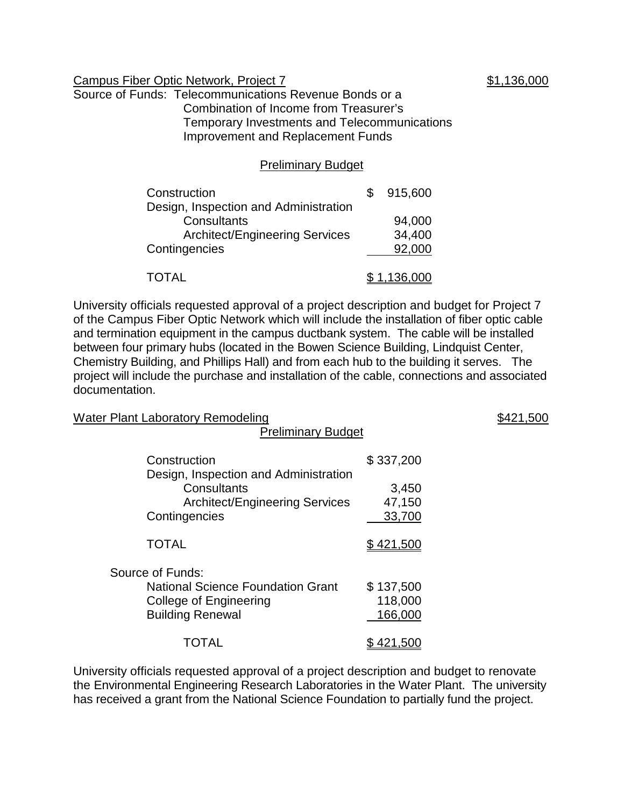#### Campus Fiber Optic Network, Project 7  $$1,136,000$

Source of Funds: Telecommunications Revenue Bonds or a Combination of Income from Treasurer's Temporary Investments and Telecommunications Improvement and Replacement Funds

#### Preliminary Budget

| Construction                          | 915,600     |
|---------------------------------------|-------------|
| Design, Inspection and Administration |             |
| Consultants                           | 94,000      |
| <b>Architect/Engineering Services</b> | 34,400      |
| Contingencies                         | 92,000      |
|                                       |             |
| <b>TOTAL</b>                          | \$1,136,000 |

University officials requested approval of a project description and budget for Project 7 of the Campus Fiber Optic Network which will include the installation of fiber optic cable and termination equipment in the campus ductbank system. The cable will be installed between four primary hubs (located in the Bowen Science Building, Lindquist Center, Chemistry Building, and Phillips Hall) and from each hub to the building it serves. The project will include the purchase and installation of the cable, connections and associated documentation.

| <b>Water Plant Laboratory Remodeling</b><br><b>Preliminary Budget</b>                                             |                                 | \$421,500 |
|-------------------------------------------------------------------------------------------------------------------|---------------------------------|-----------|
| Construction<br>Design, Inspection and Administration                                                             | \$337,200                       |           |
| Consultants<br><b>Architect/Engineering Services</b><br>Contingencies                                             | 3,450<br>47,150<br>33,700       |           |
| <b>TOTAL</b>                                                                                                      | \$421,500                       |           |
| Source of Funds:<br><b>National Science Foundation Grant</b><br>College of Engineering<br><b>Building Renewal</b> | \$137,500<br>118,000<br>166,000 |           |
| TOTAL                                                                                                             | \$ 421.500                      |           |

University officials requested approval of a project description and budget to renovate the Environmental Engineering Research Laboratories in the Water Plant. The university has received a grant from the National Science Foundation to partially fund the project.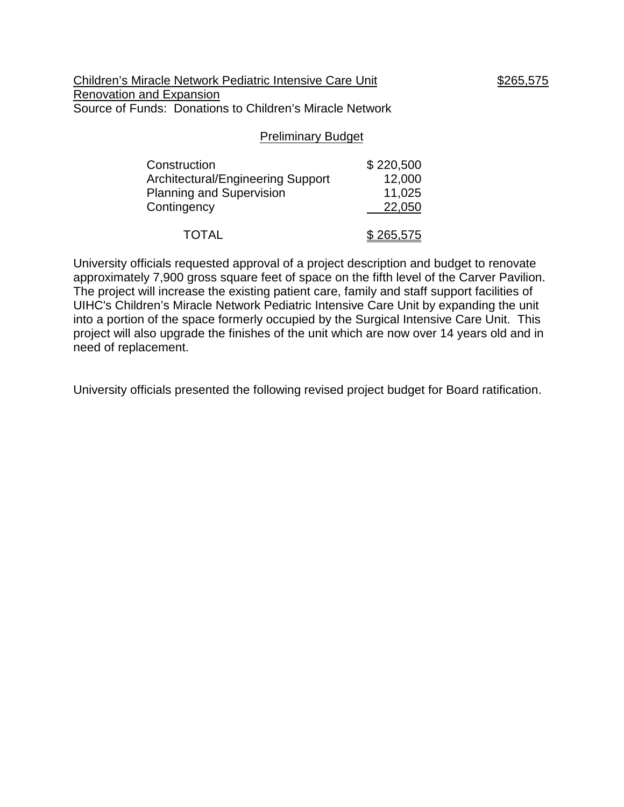Children's Miracle Network Pediatric Intensive Care Unit \$265,575 Renovation and Expansion Source of Funds: Donations to Children's Miracle Network

#### Preliminary Budget

| Construction                             | \$220,500 |
|------------------------------------------|-----------|
| <b>Architectural/Engineering Support</b> | 12,000    |
| <b>Planning and Supervision</b>          | 11,025    |
| Contingency                              | 22,050    |
| <b>TOTAL</b>                             | \$265,575 |

University officials requested approval of a project description and budget to renovate approximately 7,900 gross square feet of space on the fifth level of the Carver Pavilion. The project will increase the existing patient care, family and staff support facilities of UIHC's Children's Miracle Network Pediatric Intensive Care Unit by expanding the unit into a portion of the space formerly occupied by the Surgical Intensive Care Unit. This project will also upgrade the finishes of the unit which are now over 14 years old and in need of replacement.

University officials presented the following revised project budget for Board ratification.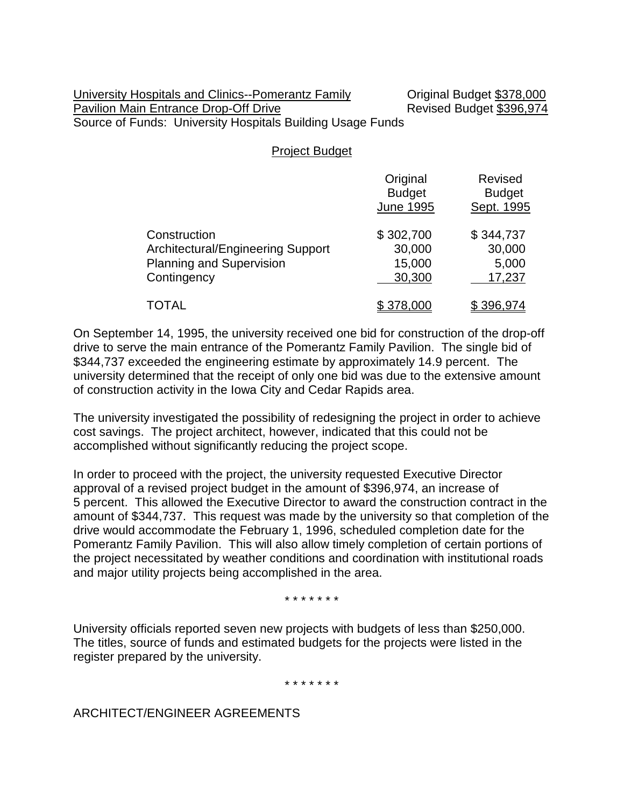#### University Hospitals and Clinics--Pomerantz Family **Communical Budget \$378,000** Pavilion Main Entrance Drop-Off Drive **Revised Budget \$396,974** Source of Funds: University Hospitals Building Usage Funds

Project Budget

|                                                                                                     | Original<br><b>Budget</b><br><b>June 1995</b> | <b>Revised</b><br><b>Budget</b><br>Sept. 1995 |
|-----------------------------------------------------------------------------------------------------|-----------------------------------------------|-----------------------------------------------|
| Construction<br>Architectural/Engineering Support<br><b>Planning and Supervision</b><br>Contingency | \$302,700<br>30,000<br>15,000<br>30,300       | \$344,737<br>30,000<br>5,000<br>17,237        |
| TOTAL                                                                                               | \$378,000                                     | \$396,974                                     |

On September 14, 1995, the university received one bid for construction of the drop-off drive to serve the main entrance of the Pomerantz Family Pavilion. The single bid of \$344,737 exceeded the engineering estimate by approximately 14.9 percent. The university determined that the receipt of only one bid was due to the extensive amount of construction activity in the Iowa City and Cedar Rapids area.

The university investigated the possibility of redesigning the project in order to achieve cost savings. The project architect, however, indicated that this could not be accomplished without significantly reducing the project scope.

In order to proceed with the project, the university requested Executive Director approval of a revised project budget in the amount of \$396,974, an increase of 5 percent. This allowed the Executive Director to award the construction contract in the amount of \$344,737. This request was made by the university so that completion of the drive would accommodate the February 1, 1996, scheduled completion date for the Pomerantz Family Pavilion. This will also allow timely completion of certain portions of the project necessitated by weather conditions and coordination with institutional roads and major utility projects being accomplished in the area.

\* \* \* \* \* \* \*

University officials reported seven new projects with budgets of less than \$250,000. The titles, source of funds and estimated budgets for the projects were listed in the register prepared by the university.

\* \* \* \* \* \* \*

ARCHITECT/ENGINEER AGREEMENTS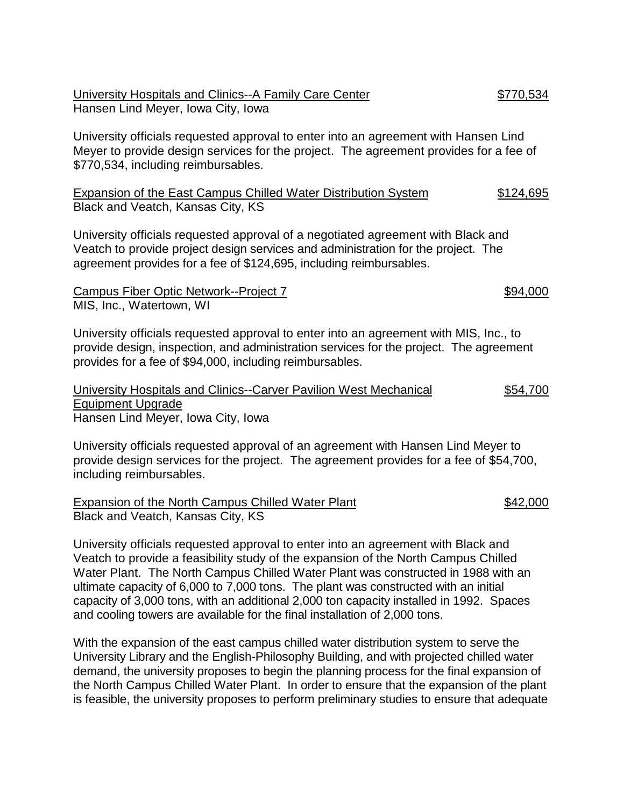| University Hospitals and Clinics--A Family Care Center | \$770,534 |
|--------------------------------------------------------|-----------|
| Hansen Lind Meyer, Iowa City, Iowa                     |           |

University officials requested approval to enter into an agreement with Hansen Lind Meyer to provide design services for the project. The agreement provides for a fee of \$770,534, including reimbursables.

Expansion of the East Campus Chilled Water Distribution System \$124,695 Black and Veatch, Kansas City, KS

University officials requested approval of a negotiated agreement with Black and Veatch to provide project design services and administration for the project. The agreement provides for a fee of \$124,695, including reimbursables.

Campus Fiber Optic Network--Project 7 \$94,000 MIS, Inc., Watertown, WI

University officials requested approval to enter into an agreement with MIS, Inc., to provide design, inspection, and administration services for the project. The agreement provides for a fee of \$94,000, including reimbursables.

| University Hospitals and Clinics--Carver Pavilion West Mechanical | \$54,700 |
|-------------------------------------------------------------------|----------|
| Equipment Upgrade                                                 |          |
| Hansen Lind Meyer, Iowa City, Iowa                                |          |

University officials requested approval of an agreement with Hansen Lind Meyer to provide design services for the project. The agreement provides for a fee of \$54,700, including reimbursables.

Expansion of the North Campus Chilled Water Plant **\$42,000** Black and Veatch, Kansas City, KS

University officials requested approval to enter into an agreement with Black and Veatch to provide a feasibility study of the expansion of the North Campus Chilled Water Plant. The North Campus Chilled Water Plant was constructed in 1988 with an ultimate capacity of 6,000 to 7,000 tons. The plant was constructed with an initial capacity of 3,000 tons, with an additional 2,000 ton capacity installed in 1992. Spaces and cooling towers are available for the final installation of 2,000 tons.

With the expansion of the east campus chilled water distribution system to serve the University Library and the English-Philosophy Building, and with projected chilled water demand, the university proposes to begin the planning process for the final expansion of the North Campus Chilled Water Plant. In order to ensure that the expansion of the plant is feasible, the university proposes to perform preliminary studies to ensure that adequate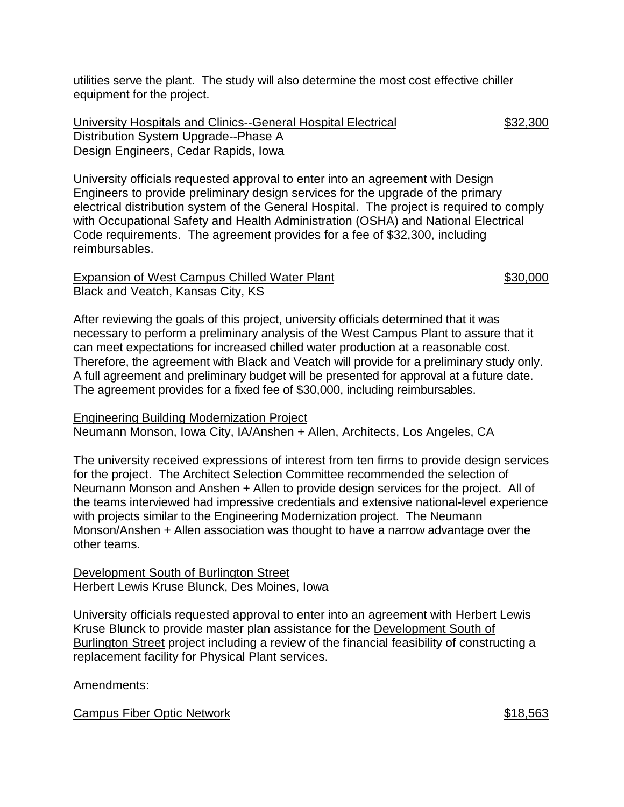utilities serve the plant. The study will also determine the most cost effective chiller equipment for the project.

University Hospitals and Clinics--General Hospital Electrical \$32,300 Distribution System Upgrade--Phase A Design Engineers, Cedar Rapids, Iowa

University officials requested approval to enter into an agreement with Design Engineers to provide preliminary design services for the upgrade of the primary electrical distribution system of the General Hospital. The project is required to comply with Occupational Safety and Health Administration (OSHA) and National Electrical Code requirements. The agreement provides for a fee of \$32,300, including reimbursables.

Expansion of West Campus Chilled Water Plant  $$30,000$ Black and Veatch, Kansas City, KS

After reviewing the goals of this project, university officials determined that it was necessary to perform a preliminary analysis of the West Campus Plant to assure that it can meet expectations for increased chilled water production at a reasonable cost. Therefore, the agreement with Black and Veatch will provide for a preliminary study only. A full agreement and preliminary budget will be presented for approval at a future date. The agreement provides for a fixed fee of \$30,000, including reimbursables.

#### Engineering Building Modernization Project

Neumann Monson, Iowa City, IA/Anshen + Allen, Architects, Los Angeles, CA

The university received expressions of interest from ten firms to provide design services for the project. The Architect Selection Committee recommended the selection of Neumann Monson and Anshen + Allen to provide design services for the project. All of the teams interviewed had impressive credentials and extensive national-level experience with projects similar to the Engineering Modernization project. The Neumann Monson/Anshen + Allen association was thought to have a narrow advantage over the other teams.

#### Development South of Burlington Street Herbert Lewis Kruse Blunck, Des Moines, Iowa

University officials requested approval to enter into an agreement with Herbert Lewis Kruse Blunck to provide master plan assistance for the Development South of Burlington Street project including a review of the financial feasibility of constructing a replacement facility for Physical Plant services.

## Amendments:

Campus Fiber Optic Network  $\sim$  818,563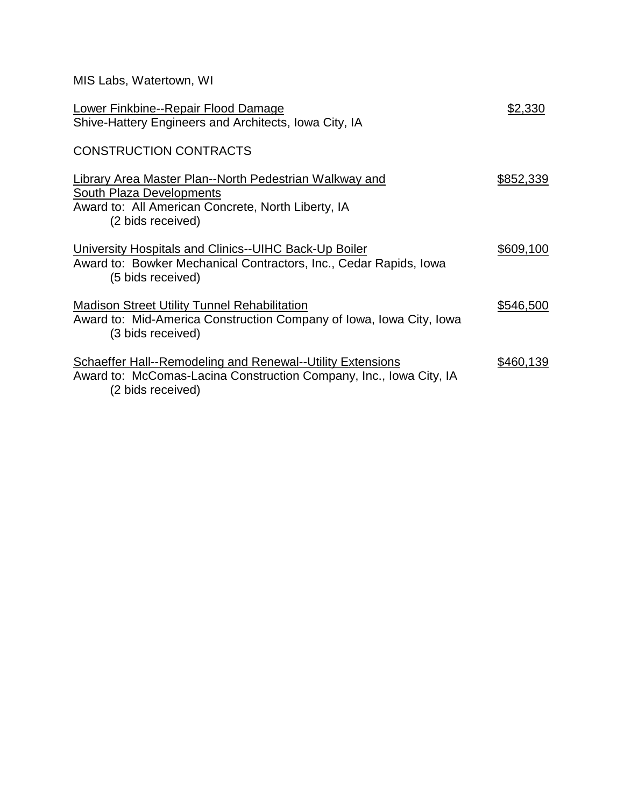| MIS Labs, Watertown, WI                                                                                                                                       |           |
|---------------------------------------------------------------------------------------------------------------------------------------------------------------|-----------|
| Lower Finkbine--Repair Flood Damage<br>Shive-Hattery Engineers and Architects, Iowa City, IA                                                                  | \$2,330   |
| <b>CONSTRUCTION CONTRACTS</b>                                                                                                                                 |           |
| Library Area Master Plan--North Pedestrian Walkway and<br>South Plaza Developments<br>Award to: All American Concrete, North Liberty, IA<br>(2 bids received) | \$852,339 |
| University Hospitals and Clinics--UIHC Back-Up Boiler<br>Award to: Bowker Mechanical Contractors, Inc., Cedar Rapids, Iowa<br>(5 bids received)               | \$609,100 |
| <b>Madison Street Utility Tunnel Rehabilitation</b><br>Award to: Mid-America Construction Company of Iowa, Iowa City, Iowa<br>(3 bids received)               | \$546,500 |
| <b>Schaeffer Hall--Remodeling and Renewal--Utility Extensions</b><br>Award to: McComas-Lacina Construction Company, Inc., Iowa City, IA<br>(2 bids received)  | \$460,139 |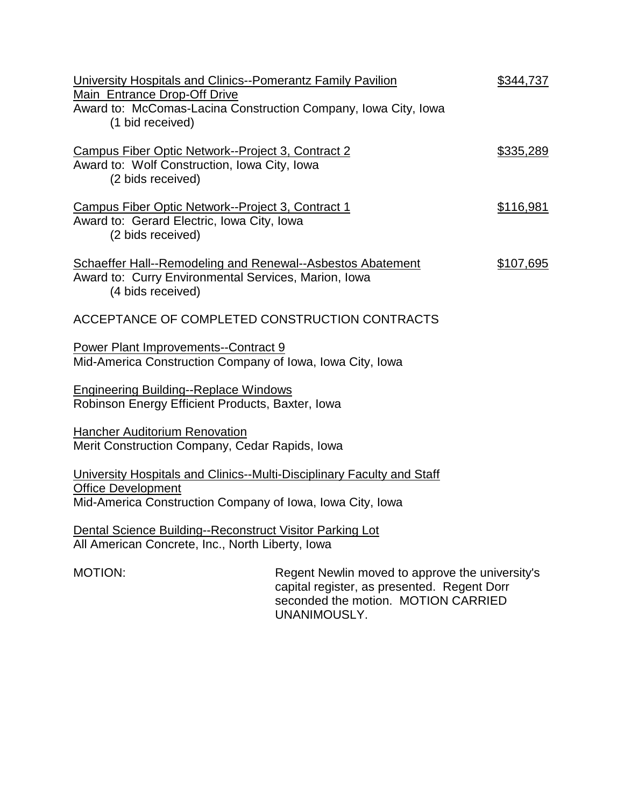| University Hospitals and Clinics--Pomerantz Family Pavilion<br>Main Entrance Drop-Off Drive<br>Award to: McComas-Lacina Construction Company, Iowa City, Iowa<br>(1 bid received) |                                                                                                                                       | \$344,737        |
|-----------------------------------------------------------------------------------------------------------------------------------------------------------------------------------|---------------------------------------------------------------------------------------------------------------------------------------|------------------|
| Campus Fiber Optic Network--Project 3, Contract 2<br>Award to: Wolf Construction, Iowa City, Iowa<br>(2 bids received)                                                            |                                                                                                                                       | \$335,289        |
| Campus Fiber Optic Network--Project 3, Contract 1<br>Award to: Gerard Electric, Iowa City, Iowa<br>(2 bids received)                                                              |                                                                                                                                       | <u>\$116,981</u> |
| <b>Schaeffer Hall--Remodeling and Renewal--Asbestos Abatement</b><br>Award to: Curry Environmental Services, Marion, Iowa<br>(4 bids received)                                    |                                                                                                                                       | \$107,695        |
| ACCEPTANCE OF COMPLETED CONSTRUCTION CONTRACTS                                                                                                                                    |                                                                                                                                       |                  |
| <b>Power Plant Improvements--Contract 9</b><br>Mid-America Construction Company of Iowa, Iowa City, Iowa                                                                          |                                                                                                                                       |                  |
| <b>Engineering Building--Replace Windows</b><br>Robinson Energy Efficient Products, Baxter, Iowa                                                                                  |                                                                                                                                       |                  |
| <b>Hancher Auditorium Renovation</b><br>Merit Construction Company, Cedar Rapids, Iowa                                                                                            |                                                                                                                                       |                  |
| University Hospitals and Clinics--Multi-Disciplinary Faculty and Staff<br><b>Office Development</b><br>Mid-America Construction Company of Iowa, Iowa City, Iowa                  |                                                                                                                                       |                  |
| Dental Science Building--Reconstruct Visitor Parking Lot<br>All American Concrete, Inc., North Liberty, Iowa                                                                      |                                                                                                                                       |                  |
| MOTION:                                                                                                                                                                           | Regent Newlin moved to approve the university's<br>capital register, as presented. Regent Dorr<br>seconded the motion. MOTION CARRIED |                  |

UNANIMOUSLY.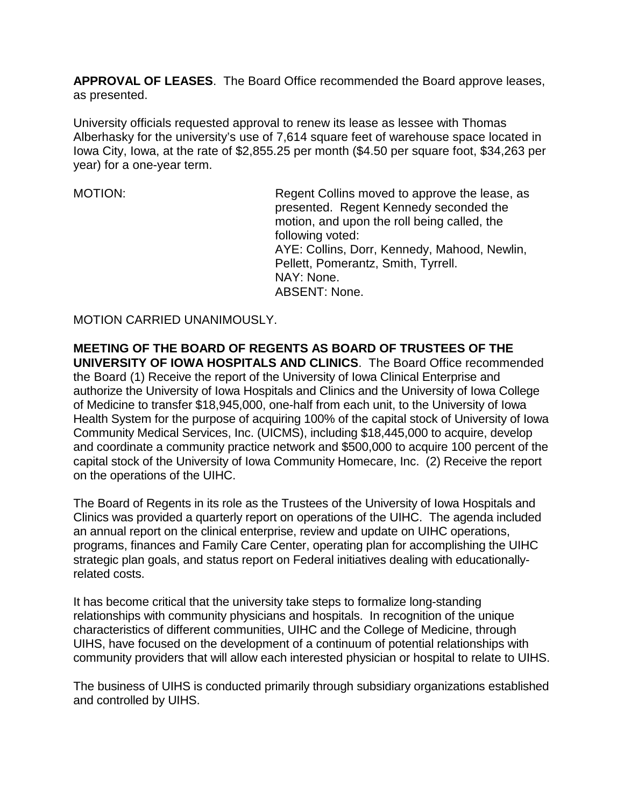**APPROVAL OF LEASES**. The Board Office recommended the Board approve leases, as presented.

University officials requested approval to renew its lease as lessee with Thomas Alberhasky for the university's use of 7,614 square feet of warehouse space located in Iowa City, Iowa, at the rate of \$2,855.25 per month (\$4.50 per square foot, \$34,263 per year) for a one-year term.

MOTION: Regent Collins moved to approve the lease, as presented. Regent Kennedy seconded the motion, and upon the roll being called, the following voted: AYE: Collins, Dorr, Kennedy, Mahood, Newlin, Pellett, Pomerantz, Smith, Tyrrell. NAY: None. ABSENT: None.

MOTION CARRIED UNANIMOUSLY.

**MEETING OF THE BOARD OF REGENTS AS BOARD OF TRUSTEES OF THE UNIVERSITY OF IOWA HOSPITALS AND CLINICS**. The Board Office recommended the Board (1) Receive the report of the University of Iowa Clinical Enterprise and authorize the University of Iowa Hospitals and Clinics and the University of Iowa College of Medicine to transfer \$18,945,000, one-half from each unit, to the University of Iowa Health System for the purpose of acquiring 100% of the capital stock of University of Iowa Community Medical Services, Inc. (UICMS), including \$18,445,000 to acquire, develop and coordinate a community practice network and \$500,000 to acquire 100 percent of the capital stock of the University of Iowa Community Homecare, Inc. (2) Receive the report on the operations of the UIHC.

The Board of Regents in its role as the Trustees of the University of Iowa Hospitals and Clinics was provided a quarterly report on operations of the UIHC. The agenda included an annual report on the clinical enterprise, review and update on UIHC operations, programs, finances and Family Care Center, operating plan for accomplishing the UIHC strategic plan goals, and status report on Federal initiatives dealing with educationallyrelated costs.

It has become critical that the university take steps to formalize long-standing relationships with community physicians and hospitals. In recognition of the unique characteristics of different communities, UIHC and the College of Medicine, through UIHS, have focused on the development of a continuum of potential relationships with community providers that will allow each interested physician or hospital to relate to UIHS.

The business of UIHS is conducted primarily through subsidiary organizations established and controlled by UIHS.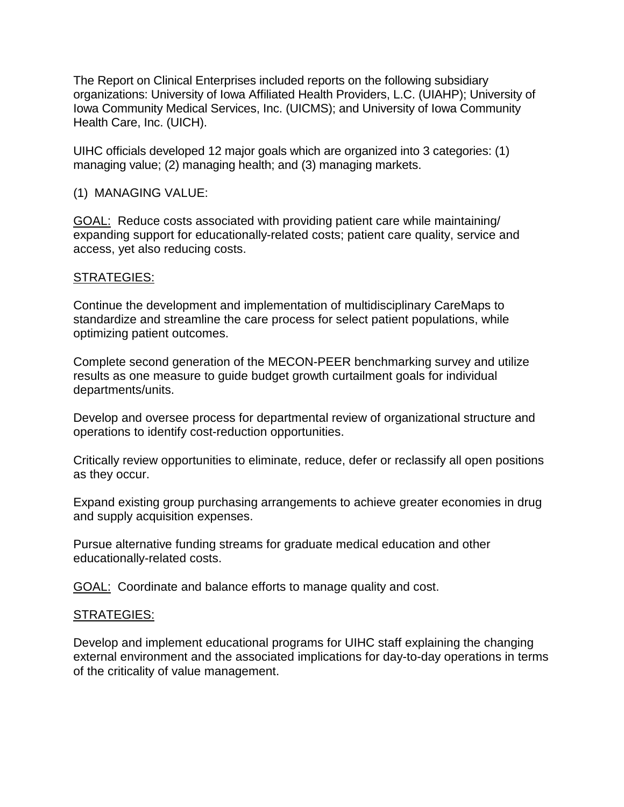The Report on Clinical Enterprises included reports on the following subsidiary organizations: University of Iowa Affiliated Health Providers, L.C. (UIAHP); University of Iowa Community Medical Services, Inc. (UICMS); and University of Iowa Community Health Care, Inc. (UICH).

UIHC officials developed 12 major goals which are organized into 3 categories: (1) managing value; (2) managing health; and (3) managing markets.

## (1) MANAGING VALUE:

GOAL: Reduce costs associated with providing patient care while maintaining/ expanding support for educationally-related costs; patient care quality, service and access, yet also reducing costs.

## STRATEGIES:

Continue the development and implementation of multidisciplinary CareMaps to standardize and streamline the care process for select patient populations, while optimizing patient outcomes.

Complete second generation of the MECON-PEER benchmarking survey and utilize results as one measure to guide budget growth curtailment goals for individual departments/units.

Develop and oversee process for departmental review of organizational structure and operations to identify cost-reduction opportunities.

Critically review opportunities to eliminate, reduce, defer or reclassify all open positions as they occur.

Expand existing group purchasing arrangements to achieve greater economies in drug and supply acquisition expenses.

Pursue alternative funding streams for graduate medical education and other educationally-related costs.

GOAL: Coordinate and balance efforts to manage quality and cost.

## STRATEGIES:

Develop and implement educational programs for UIHC staff explaining the changing external environment and the associated implications for day-to-day operations in terms of the criticality of value management.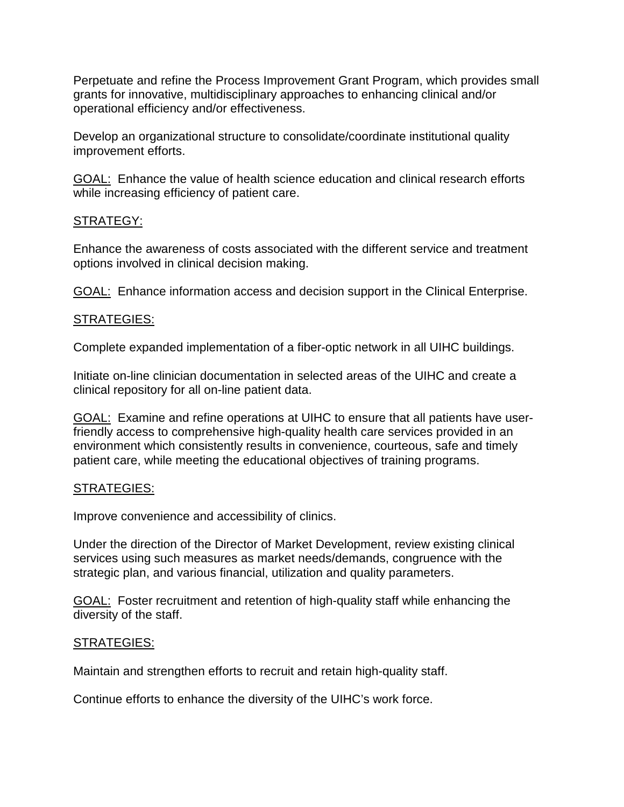Perpetuate and refine the Process Improvement Grant Program, which provides small grants for innovative, multidisciplinary approaches to enhancing clinical and/or operational efficiency and/or effectiveness.

Develop an organizational structure to consolidate/coordinate institutional quality improvement efforts.

GOAL: Enhance the value of health science education and clinical research efforts while increasing efficiency of patient care.

## STRATEGY:

Enhance the awareness of costs associated with the different service and treatment options involved in clinical decision making.

GOAL: Enhance information access and decision support in the Clinical Enterprise.

## STRATEGIES:

Complete expanded implementation of a fiber-optic network in all UIHC buildings.

Initiate on-line clinician documentation in selected areas of the UIHC and create a clinical repository for all on-line patient data.

GOAL: Examine and refine operations at UIHC to ensure that all patients have userfriendly access to comprehensive high-quality health care services provided in an environment which consistently results in convenience, courteous, safe and timely patient care, while meeting the educational objectives of training programs.

## STRATEGIES:

Improve convenience and accessibility of clinics.

Under the direction of the Director of Market Development, review existing clinical services using such measures as market needs/demands, congruence with the strategic plan, and various financial, utilization and quality parameters.

GOAL: Foster recruitment and retention of high-quality staff while enhancing the diversity of the staff.

## STRATEGIES:

Maintain and strengthen efforts to recruit and retain high-quality staff.

Continue efforts to enhance the diversity of the UIHC's work force.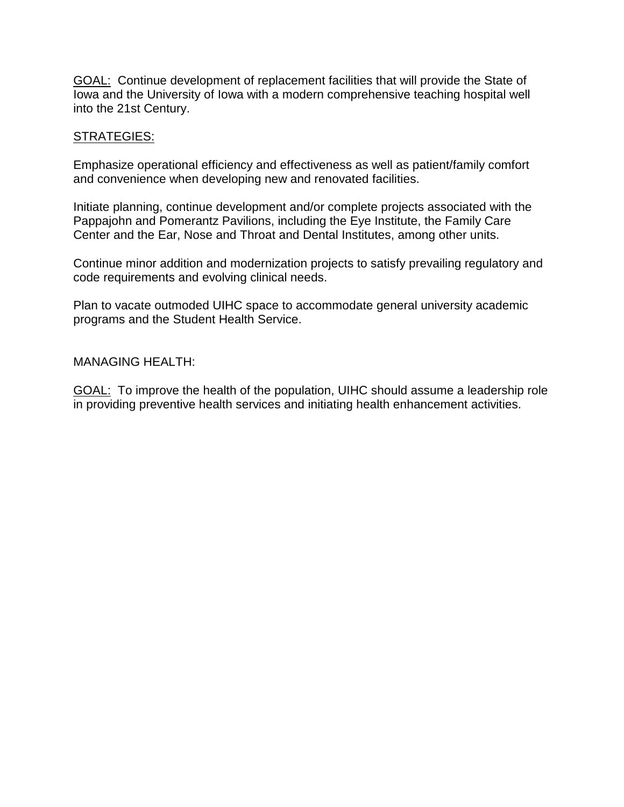GOAL: Continue development of replacement facilities that will provide the State of Iowa and the University of Iowa with a modern comprehensive teaching hospital well into the 21st Century.

#### STRATEGIES:

Emphasize operational efficiency and effectiveness as well as patient/family comfort and convenience when developing new and renovated facilities.

Initiate planning, continue development and/or complete projects associated with the Pappajohn and Pomerantz Pavilions, including the Eye Institute, the Family Care Center and the Ear, Nose and Throat and Dental Institutes, among other units.

Continue minor addition and modernization projects to satisfy prevailing regulatory and code requirements and evolving clinical needs.

Plan to vacate outmoded UIHC space to accommodate general university academic programs and the Student Health Service.

#### MANAGING HEALTH:

GOAL: To improve the health of the population, UIHC should assume a leadership role in providing preventive health services and initiating health enhancement activities.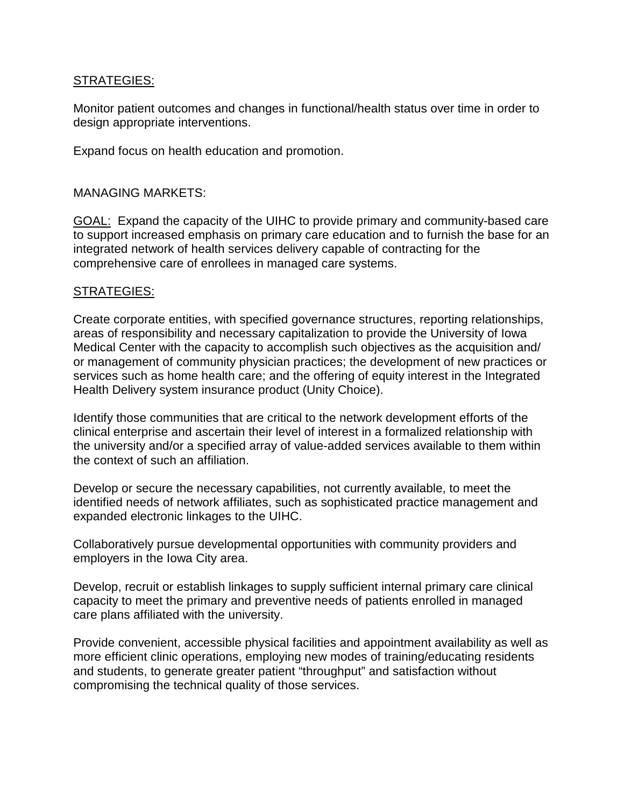## STRATEGIES:

Monitor patient outcomes and changes in functional/health status over time in order to design appropriate interventions.

Expand focus on health education and promotion.

## MANAGING MARKETS:

GOAL: Expand the capacity of the UIHC to provide primary and community-based care to support increased emphasis on primary care education and to furnish the base for an integrated network of health services delivery capable of contracting for the comprehensive care of enrollees in managed care systems.

## STRATEGIES:

Create corporate entities, with specified governance structures, reporting relationships, areas of responsibility and necessary capitalization to provide the University of Iowa Medical Center with the capacity to accomplish such objectives as the acquisition and/ or management of community physician practices; the development of new practices or services such as home health care; and the offering of equity interest in the Integrated Health Delivery system insurance product (Unity Choice).

Identify those communities that are critical to the network development efforts of the clinical enterprise and ascertain their level of interest in a formalized relationship with the university and/or a specified array of value-added services available to them within the context of such an affiliation.

Develop or secure the necessary capabilities, not currently available, to meet the identified needs of network affiliates, such as sophisticated practice management and expanded electronic linkages to the UIHC.

Collaboratively pursue developmental opportunities with community providers and employers in the Iowa City area.

Develop, recruit or establish linkages to supply sufficient internal primary care clinical capacity to meet the primary and preventive needs of patients enrolled in managed care plans affiliated with the university.

Provide convenient, accessible physical facilities and appointment availability as well as more efficient clinic operations, employing new modes of training/educating residents and students, to generate greater patient "throughput" and satisfaction without compromising the technical quality of those services.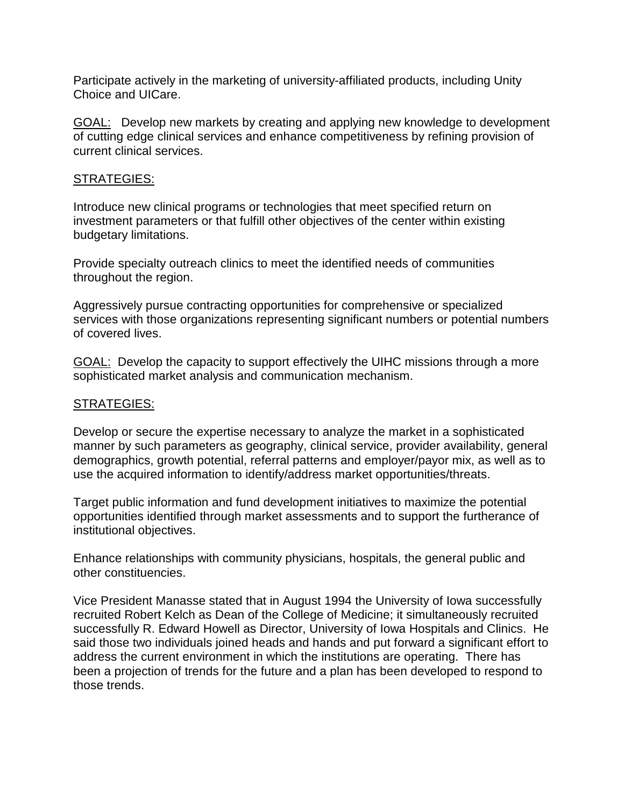Participate actively in the marketing of university-affiliated products, including Unity Choice and UICare.

GOAL: Develop new markets by creating and applying new knowledge to development of cutting edge clinical services and enhance competitiveness by refining provision of current clinical services.

#### STRATEGIES:

Introduce new clinical programs or technologies that meet specified return on investment parameters or that fulfill other objectives of the center within existing budgetary limitations.

Provide specialty outreach clinics to meet the identified needs of communities throughout the region.

Aggressively pursue contracting opportunities for comprehensive or specialized services with those organizations representing significant numbers or potential numbers of covered lives.

GOAL: Develop the capacity to support effectively the UIHC missions through a more sophisticated market analysis and communication mechanism.

#### STRATEGIES:

Develop or secure the expertise necessary to analyze the market in a sophisticated manner by such parameters as geography, clinical service, provider availability, general demographics, growth potential, referral patterns and employer/payor mix, as well as to use the acquired information to identify/address market opportunities/threats.

Target public information and fund development initiatives to maximize the potential opportunities identified through market assessments and to support the furtherance of institutional objectives.

Enhance relationships with community physicians, hospitals, the general public and other constituencies.

Vice President Manasse stated that in August 1994 the University of Iowa successfully recruited Robert Kelch as Dean of the College of Medicine; it simultaneously recruited successfully R. Edward Howell as Director, University of Iowa Hospitals and Clinics. He said those two individuals joined heads and hands and put forward a significant effort to address the current environment in which the institutions are operating. There has been a projection of trends for the future and a plan has been developed to respond to those trends.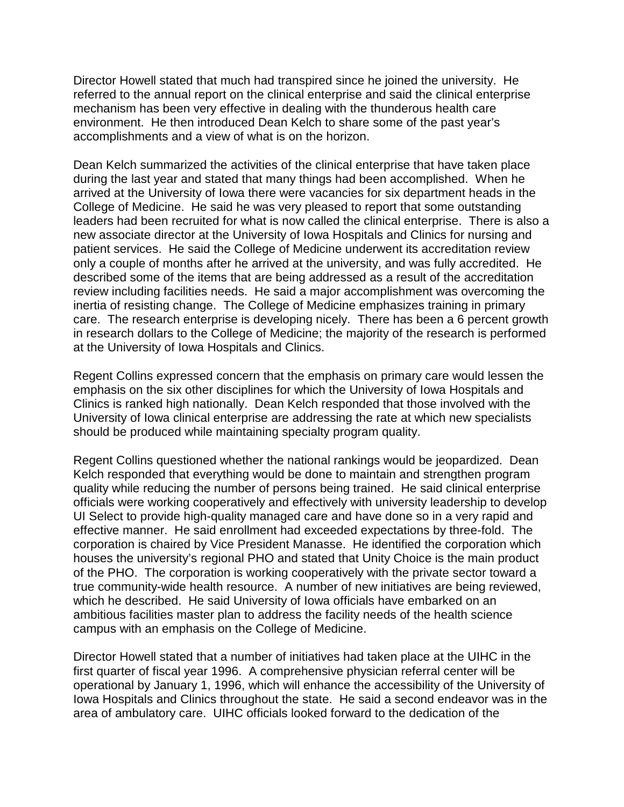Director Howell stated that much had transpired since he joined the university. He referred to the annual report on the clinical enterprise and said the clinical enterprise mechanism has been very effective in dealing with the thunderous health care environment. He then introduced Dean Kelch to share some of the past year's accomplishments and a view of what is on the horizon.

Dean Kelch summarized the activities of the clinical enterprise that have taken place during the last year and stated that many things had been accomplished. When he arrived at the University of Iowa there were vacancies for six department heads in the College of Medicine. He said he was very pleased to report that some outstanding leaders had been recruited for what is now called the clinical enterprise. There is also a new associate director at the University of Iowa Hospitals and Clinics for nursing and patient services. He said the College of Medicine underwent its accreditation review only a couple of months after he arrived at the university, and was fully accredited. He described some of the items that are being addressed as a result of the accreditation review including facilities needs. He said a major accomplishment was overcoming the inertia of resisting change. The College of Medicine emphasizes training in primary care. The research enterprise is developing nicely. There has been a 6 percent growth in research dollars to the College of Medicine; the majority of the research is performed at the University of Iowa Hospitals and Clinics.

Regent Collins expressed concern that the emphasis on primary care would lessen the emphasis on the six other disciplines for which the University of Iowa Hospitals and Clinics is ranked high nationally. Dean Kelch responded that those involved with the University of Iowa clinical enterprise are addressing the rate at which new specialists should be produced while maintaining specialty program quality.

Regent Collins questioned whether the national rankings would be jeopardized. Dean Kelch responded that everything would be done to maintain and strengthen program quality while reducing the number of persons being trained. He said clinical enterprise officials were working cooperatively and effectively with university leadership to develop UI Select to provide high-quality managed care and have done so in a very rapid and effective manner. He said enrollment had exceeded expectations by three-fold. The corporation is chaired by Vice President Manasse. He identified the corporation which houses the university's regional PHO and stated that Unity Choice is the main product of the PHO. The corporation is working cooperatively with the private sector toward a true community-wide health resource. A number of new initiatives are being reviewed, which he described. He said University of Iowa officials have embarked on an ambitious facilities master plan to address the facility needs of the health science campus with an emphasis on the College of Medicine.

Director Howell stated that a number of initiatives had taken place at the UIHC in the first quarter of fiscal year 1996. A comprehensive physician referral center will be operational by January 1, 1996, which will enhance the accessibility of the University of Iowa Hospitals and Clinics throughout the state. He said a second endeavor was in the area of ambulatory care. UIHC officials looked forward to the dedication of the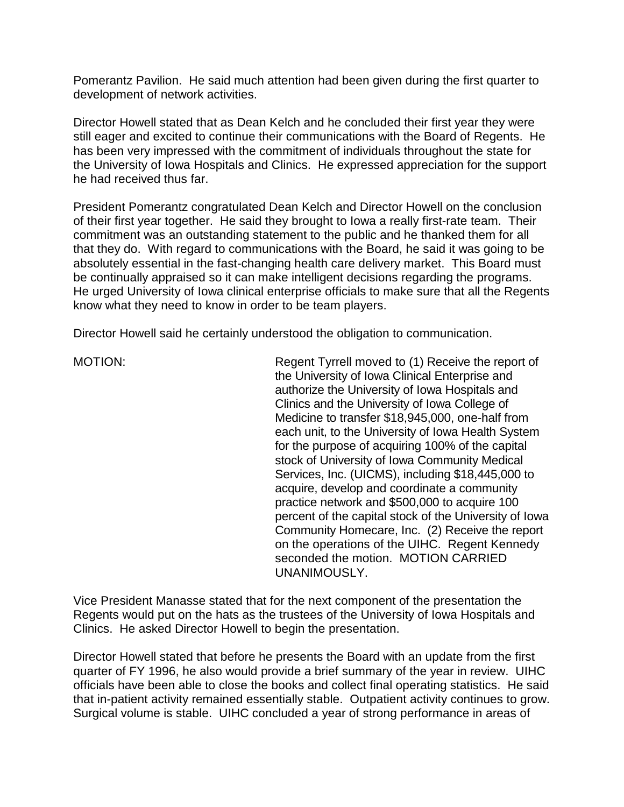Pomerantz Pavilion. He said much attention had been given during the first quarter to development of network activities.

Director Howell stated that as Dean Kelch and he concluded their first year they were still eager and excited to continue their communications with the Board of Regents. He has been very impressed with the commitment of individuals throughout the state for the University of Iowa Hospitals and Clinics. He expressed appreciation for the support he had received thus far.

President Pomerantz congratulated Dean Kelch and Director Howell on the conclusion of their first year together. He said they brought to Iowa a really first-rate team. Their commitment was an outstanding statement to the public and he thanked them for all that they do. With regard to communications with the Board, he said it was going to be absolutely essential in the fast-changing health care delivery market. This Board must be continually appraised so it can make intelligent decisions regarding the programs. He urged University of Iowa clinical enterprise officials to make sure that all the Regents know what they need to know in order to be team players.

Director Howell said he certainly understood the obligation to communication.

MOTION: Regent Tyrrell moved to (1) Receive the report of the University of Iowa Clinical Enterprise and authorize the University of Iowa Hospitals and Clinics and the University of Iowa College of Medicine to transfer \$18,945,000, one-half from each unit, to the University of Iowa Health System for the purpose of acquiring 100% of the capital stock of University of Iowa Community Medical Services, Inc. (UICMS), including \$18,445,000 to acquire, develop and coordinate a community practice network and \$500,000 to acquire 100 percent of the capital stock of the University of Iowa Community Homecare, Inc. (2) Receive the report on the operations of the UIHC. Regent Kennedy seconded the motion. MOTION CARRIED UNANIMOUSLY.

Vice President Manasse stated that for the next component of the presentation the Regents would put on the hats as the trustees of the University of Iowa Hospitals and Clinics. He asked Director Howell to begin the presentation.

Director Howell stated that before he presents the Board with an update from the first quarter of FY 1996, he also would provide a brief summary of the year in review. UIHC officials have been able to close the books and collect final operating statistics. He said that in-patient activity remained essentially stable. Outpatient activity continues to grow. Surgical volume is stable. UIHC concluded a year of strong performance in areas of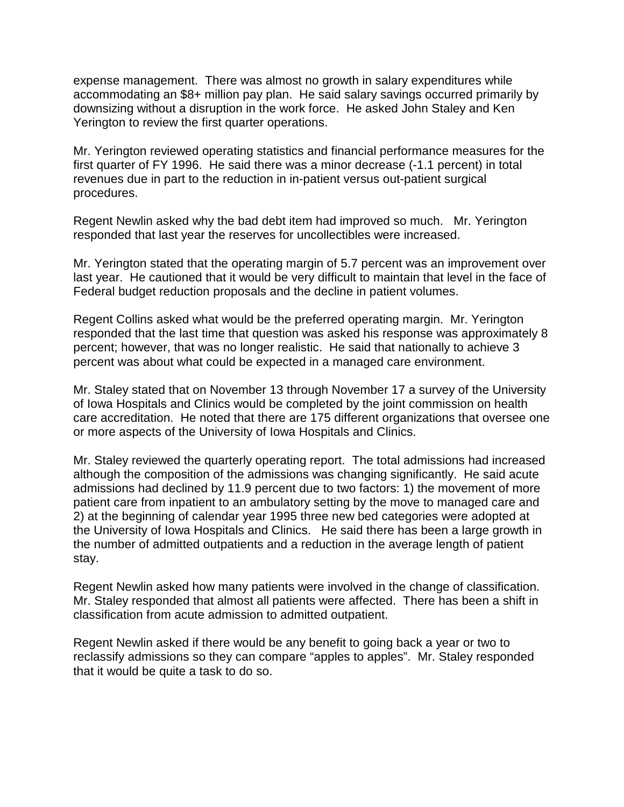expense management. There was almost no growth in salary expenditures while accommodating an \$8+ million pay plan. He said salary savings occurred primarily by downsizing without a disruption in the work force. He asked John Staley and Ken Yerington to review the first quarter operations.

Mr. Yerington reviewed operating statistics and financial performance measures for the first quarter of FY 1996. He said there was a minor decrease (-1.1 percent) in total revenues due in part to the reduction in in-patient versus out-patient surgical procedures.

Regent Newlin asked why the bad debt item had improved so much. Mr. Yerington responded that last year the reserves for uncollectibles were increased.

Mr. Yerington stated that the operating margin of 5.7 percent was an improvement over last year. He cautioned that it would be very difficult to maintain that level in the face of Federal budget reduction proposals and the decline in patient volumes.

Regent Collins asked what would be the preferred operating margin. Mr. Yerington responded that the last time that question was asked his response was approximately 8 percent; however, that was no longer realistic. He said that nationally to achieve 3 percent was about what could be expected in a managed care environment.

Mr. Staley stated that on November 13 through November 17 a survey of the University of Iowa Hospitals and Clinics would be completed by the joint commission on health care accreditation. He noted that there are 175 different organizations that oversee one or more aspects of the University of Iowa Hospitals and Clinics.

Mr. Staley reviewed the quarterly operating report. The total admissions had increased although the composition of the admissions was changing significantly. He said acute admissions had declined by 11.9 percent due to two factors: 1) the movement of more patient care from inpatient to an ambulatory setting by the move to managed care and 2) at the beginning of calendar year 1995 three new bed categories were adopted at the University of Iowa Hospitals and Clinics. He said there has been a large growth in the number of admitted outpatients and a reduction in the average length of patient stay.

Regent Newlin asked how many patients were involved in the change of classification. Mr. Staley responded that almost all patients were affected. There has been a shift in classification from acute admission to admitted outpatient.

Regent Newlin asked if there would be any benefit to going back a year or two to reclassify admissions so they can compare "apples to apples". Mr. Staley responded that it would be quite a task to do so.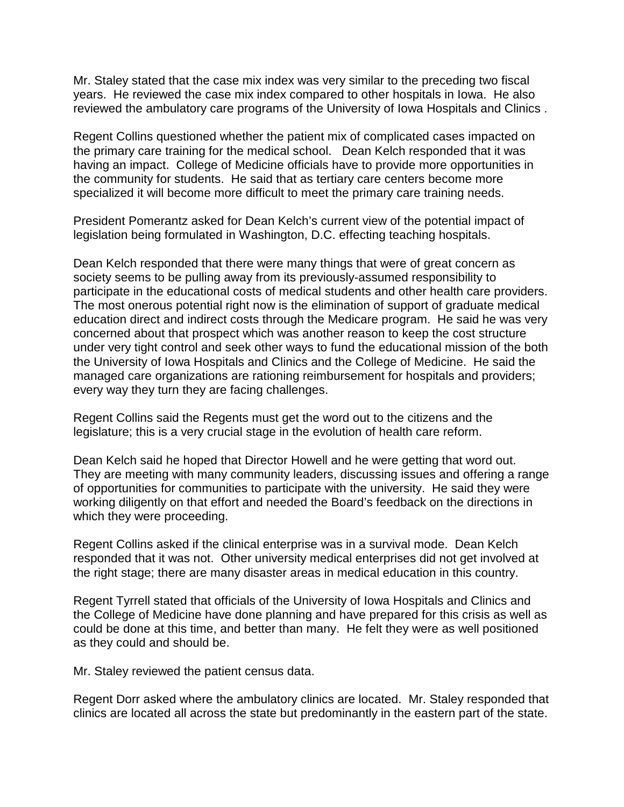Mr. Staley stated that the case mix index was very similar to the preceding two fiscal years. He reviewed the case mix index compared to other hospitals in Iowa. He also reviewed the ambulatory care programs of the University of Iowa Hospitals and Clinics .

Regent Collins questioned whether the patient mix of complicated cases impacted on the primary care training for the medical school. Dean Kelch responded that it was having an impact. College of Medicine officials have to provide more opportunities in the community for students. He said that as tertiary care centers become more specialized it will become more difficult to meet the primary care training needs.

President Pomerantz asked for Dean Kelch's current view of the potential impact of legislation being formulated in Washington, D.C. effecting teaching hospitals.

Dean Kelch responded that there were many things that were of great concern as society seems to be pulling away from its previously-assumed responsibility to participate in the educational costs of medical students and other health care providers. The most onerous potential right now is the elimination of support of graduate medical education direct and indirect costs through the Medicare program. He said he was very concerned about that prospect which was another reason to keep the cost structure under very tight control and seek other ways to fund the educational mission of the both the University of Iowa Hospitals and Clinics and the College of Medicine. He said the managed care organizations are rationing reimbursement for hospitals and providers; every way they turn they are facing challenges.

Regent Collins said the Regents must get the word out to the citizens and the legislature; this is a very crucial stage in the evolution of health care reform.

Dean Kelch said he hoped that Director Howell and he were getting that word out. They are meeting with many community leaders, discussing issues and offering a range of opportunities for communities to participate with the university. He said they were working diligently on that effort and needed the Board's feedback on the directions in which they were proceeding.

Regent Collins asked if the clinical enterprise was in a survival mode. Dean Kelch responded that it was not. Other university medical enterprises did not get involved at the right stage; there are many disaster areas in medical education in this country.

Regent Tyrrell stated that officials of the University of Iowa Hospitals and Clinics and the College of Medicine have done planning and have prepared for this crisis as well as could be done at this time, and better than many. He felt they were as well positioned as they could and should be.

Mr. Staley reviewed the patient census data.

Regent Dorr asked where the ambulatory clinics are located. Mr. Staley responded that clinics are located all across the state but predominantly in the eastern part of the state.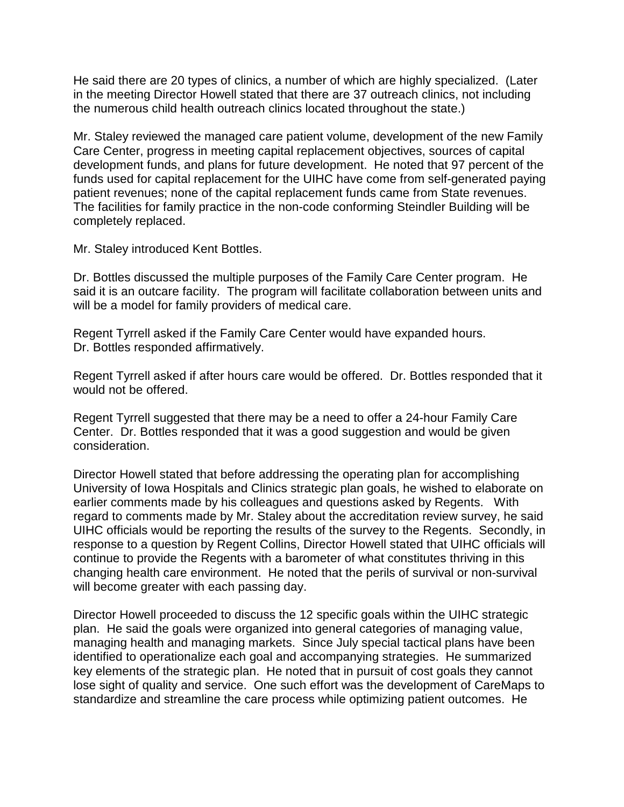He said there are 20 types of clinics, a number of which are highly specialized. (Later in the meeting Director Howell stated that there are 37 outreach clinics, not including the numerous child health outreach clinics located throughout the state.)

Mr. Staley reviewed the managed care patient volume, development of the new Family Care Center, progress in meeting capital replacement objectives, sources of capital development funds, and plans for future development. He noted that 97 percent of the funds used for capital replacement for the UIHC have come from self-generated paying patient revenues; none of the capital replacement funds came from State revenues. The facilities for family practice in the non-code conforming Steindler Building will be completely replaced.

Mr. Staley introduced Kent Bottles.

Dr. Bottles discussed the multiple purposes of the Family Care Center program. He said it is an outcare facility. The program will facilitate collaboration between units and will be a model for family providers of medical care.

Regent Tyrrell asked if the Family Care Center would have expanded hours. Dr. Bottles responded affirmatively.

Regent Tyrrell asked if after hours care would be offered. Dr. Bottles responded that it would not be offered.

Regent Tyrrell suggested that there may be a need to offer a 24-hour Family Care Center. Dr. Bottles responded that it was a good suggestion and would be given consideration.

Director Howell stated that before addressing the operating plan for accomplishing University of Iowa Hospitals and Clinics strategic plan goals, he wished to elaborate on earlier comments made by his colleagues and questions asked by Regents. With regard to comments made by Mr. Staley about the accreditation review survey, he said UIHC officials would be reporting the results of the survey to the Regents. Secondly, in response to a question by Regent Collins, Director Howell stated that UIHC officials will continue to provide the Regents with a barometer of what constitutes thriving in this changing health care environment. He noted that the perils of survival or non-survival will become greater with each passing day.

Director Howell proceeded to discuss the 12 specific goals within the UIHC strategic plan. He said the goals were organized into general categories of managing value, managing health and managing markets. Since July special tactical plans have been identified to operationalize each goal and accompanying strategies. He summarized key elements of the strategic plan. He noted that in pursuit of cost goals they cannot lose sight of quality and service. One such effort was the development of CareMaps to standardize and streamline the care process while optimizing patient outcomes. He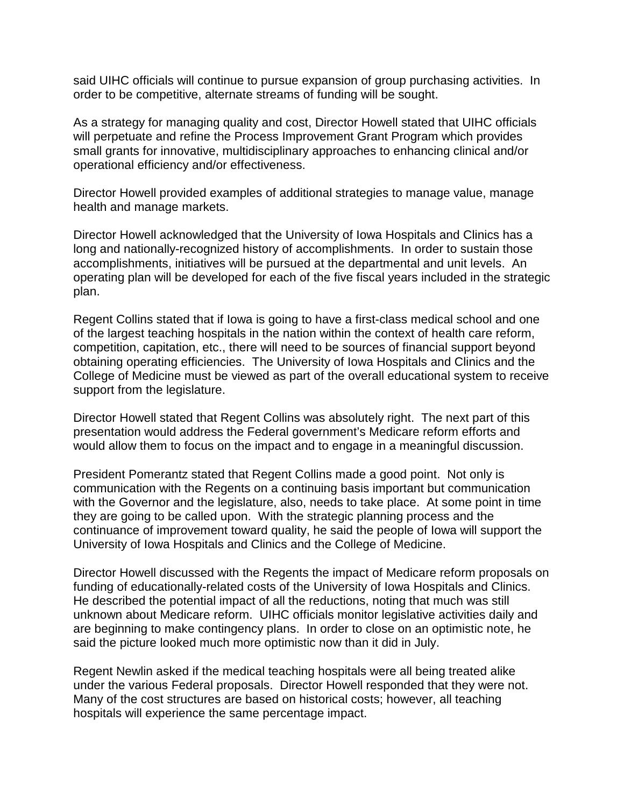said UIHC officials will continue to pursue expansion of group purchasing activities. In order to be competitive, alternate streams of funding will be sought.

As a strategy for managing quality and cost, Director Howell stated that UIHC officials will perpetuate and refine the Process Improvement Grant Program which provides small grants for innovative, multidisciplinary approaches to enhancing clinical and/or operational efficiency and/or effectiveness.

Director Howell provided examples of additional strategies to manage value, manage health and manage markets.

Director Howell acknowledged that the University of Iowa Hospitals and Clinics has a long and nationally-recognized history of accomplishments. In order to sustain those accomplishments, initiatives will be pursued at the departmental and unit levels. An operating plan will be developed for each of the five fiscal years included in the strategic plan.

Regent Collins stated that if Iowa is going to have a first-class medical school and one of the largest teaching hospitals in the nation within the context of health care reform, competition, capitation, etc., there will need to be sources of financial support beyond obtaining operating efficiencies. The University of Iowa Hospitals and Clinics and the College of Medicine must be viewed as part of the overall educational system to receive support from the legislature.

Director Howell stated that Regent Collins was absolutely right. The next part of this presentation would address the Federal government's Medicare reform efforts and would allow them to focus on the impact and to engage in a meaningful discussion.

President Pomerantz stated that Regent Collins made a good point. Not only is communication with the Regents on a continuing basis important but communication with the Governor and the legislature, also, needs to take place. At some point in time they are going to be called upon. With the strategic planning process and the continuance of improvement toward quality, he said the people of Iowa will support the University of Iowa Hospitals and Clinics and the College of Medicine.

Director Howell discussed with the Regents the impact of Medicare reform proposals on funding of educationally-related costs of the University of Iowa Hospitals and Clinics. He described the potential impact of all the reductions, noting that much was still unknown about Medicare reform. UIHC officials monitor legislative activities daily and are beginning to make contingency plans. In order to close on an optimistic note, he said the picture looked much more optimistic now than it did in July.

Regent Newlin asked if the medical teaching hospitals were all being treated alike under the various Federal proposals. Director Howell responded that they were not. Many of the cost structures are based on historical costs; however, all teaching hospitals will experience the same percentage impact.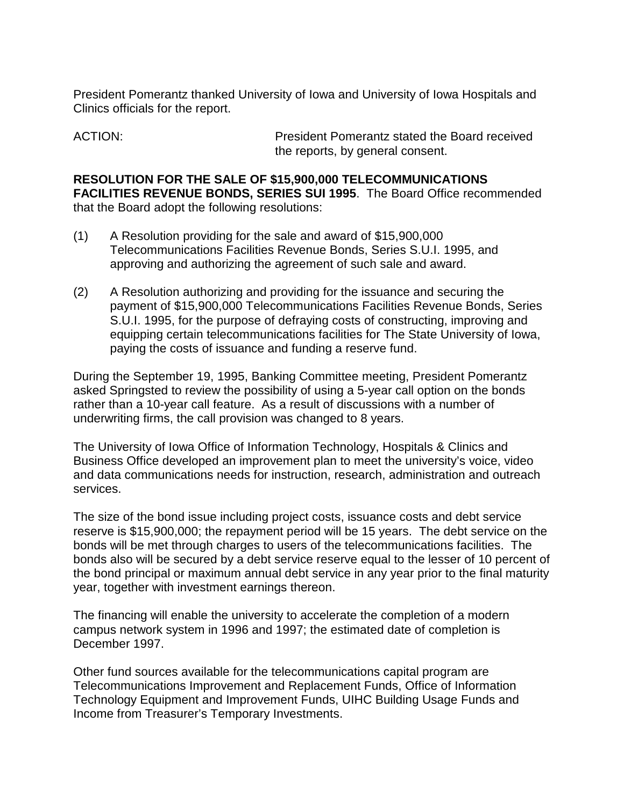President Pomerantz thanked University of Iowa and University of Iowa Hospitals and Clinics officials for the report.

ACTION: President Pomerantz stated the Board received the reports, by general consent.

**RESOLUTION FOR THE SALE OF \$15,900,000 TELECOMMUNICATIONS FACILITIES REVENUE BONDS, SERIES SUI 1995**. The Board Office recommended that the Board adopt the following resolutions:

- (1) A Resolution providing for the sale and award of \$15,900,000 Telecommunications Facilities Revenue Bonds, Series S.U.I. 1995, and approving and authorizing the agreement of such sale and award.
- (2) A Resolution authorizing and providing for the issuance and securing the payment of \$15,900,000 Telecommunications Facilities Revenue Bonds, Series S.U.I. 1995, for the purpose of defraying costs of constructing, improving and equipping certain telecommunications facilities for The State University of Iowa, paying the costs of issuance and funding a reserve fund.

During the September 19, 1995, Banking Committee meeting, President Pomerantz asked Springsted to review the possibility of using a 5-year call option on the bonds rather than a 10-year call feature. As a result of discussions with a number of underwriting firms, the call provision was changed to 8 years.

The University of Iowa Office of Information Technology, Hospitals & Clinics and Business Office developed an improvement plan to meet the university's voice, video and data communications needs for instruction, research, administration and outreach services.

The size of the bond issue including project costs, issuance costs and debt service reserve is \$15,900,000; the repayment period will be 15 years. The debt service on the bonds will be met through charges to users of the telecommunications facilities. The bonds also will be secured by a debt service reserve equal to the lesser of 10 percent of the bond principal or maximum annual debt service in any year prior to the final maturity year, together with investment earnings thereon.

The financing will enable the university to accelerate the completion of a modern campus network system in 1996 and 1997; the estimated date of completion is December 1997.

Other fund sources available for the telecommunications capital program are Telecommunications Improvement and Replacement Funds, Office of Information Technology Equipment and Improvement Funds, UIHC Building Usage Funds and Income from Treasurer's Temporary Investments.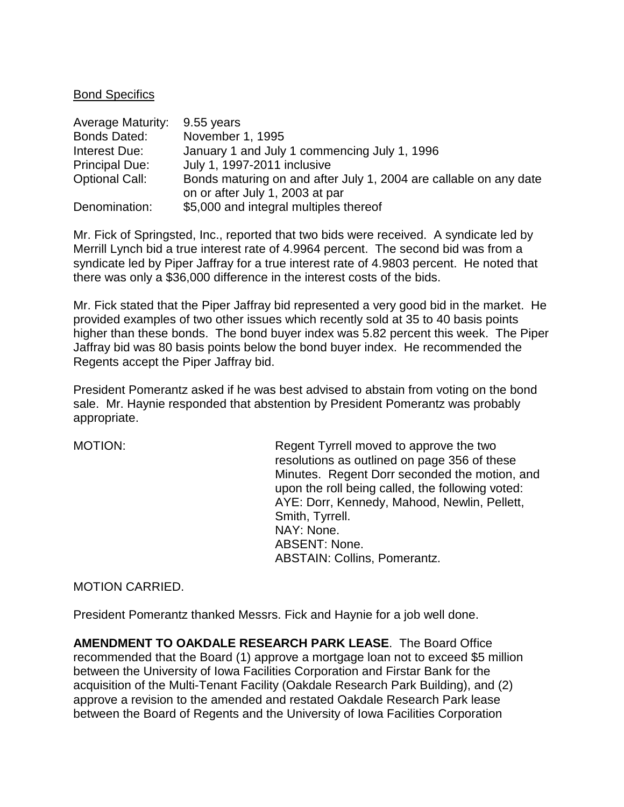#### Bond Specifics

| <b>Average Maturity:</b> | 9.55 years                                                        |
|--------------------------|-------------------------------------------------------------------|
| <b>Bonds Dated:</b>      | November 1, 1995                                                  |
| Interest Due:            | January 1 and July 1 commencing July 1, 1996                      |
| <b>Principal Due:</b>    | July 1, 1997-2011 inclusive                                       |
| <b>Optional Call:</b>    | Bonds maturing on and after July 1, 2004 are callable on any date |
|                          | on or after July 1, 2003 at par                                   |
| Denomination:            | \$5,000 and integral multiples thereof                            |

Mr. Fick of Springsted, Inc., reported that two bids were received. A syndicate led by Merrill Lynch bid a true interest rate of 4.9964 percent. The second bid was from a syndicate led by Piper Jaffray for a true interest rate of 4.9803 percent. He noted that there was only a \$36,000 difference in the interest costs of the bids.

Mr. Fick stated that the Piper Jaffray bid represented a very good bid in the market. He provided examples of two other issues which recently sold at 35 to 40 basis points higher than these bonds. The bond buyer index was 5.82 percent this week. The Piper Jaffray bid was 80 basis points below the bond buyer index. He recommended the Regents accept the Piper Jaffray bid.

President Pomerantz asked if he was best advised to abstain from voting on the bond sale. Mr. Haynie responded that abstention by President Pomerantz was probably appropriate.

MOTION: Regent Tyrrell moved to approve the two resolutions as outlined on page 356 of these Minutes. Regent Dorr seconded the motion, and upon the roll being called, the following voted: AYE: Dorr, Kennedy, Mahood, Newlin, Pellett, Smith, Tyrrell. NAY: None. ABSENT: None. ABSTAIN: Collins, Pomerantz.

MOTION CARRIED.

President Pomerantz thanked Messrs. Fick and Haynie for a job well done.

**AMENDMENT TO OAKDALE RESEARCH PARK LEASE**. The Board Office recommended that the Board (1) approve a mortgage loan not to exceed \$5 million between the University of Iowa Facilities Corporation and Firstar Bank for the acquisition of the Multi-Tenant Facility (Oakdale Research Park Building), and (2) approve a revision to the amended and restated Oakdale Research Park lease between the Board of Regents and the University of Iowa Facilities Corporation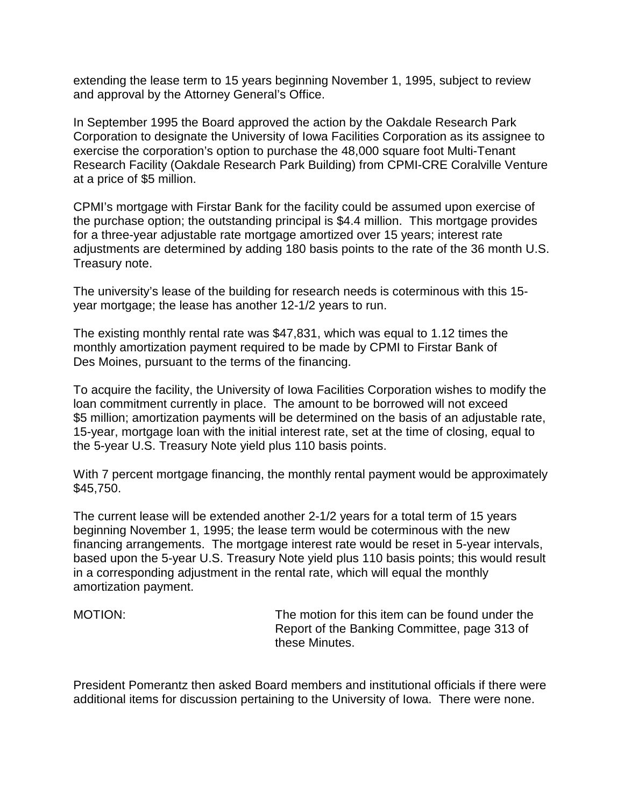extending the lease term to 15 years beginning November 1, 1995, subject to review and approval by the Attorney General's Office.

In September 1995 the Board approved the action by the Oakdale Research Park Corporation to designate the University of Iowa Facilities Corporation as its assignee to exercise the corporation's option to purchase the 48,000 square foot Multi-Tenant Research Facility (Oakdale Research Park Building) from CPMI-CRE Coralville Venture at a price of \$5 million.

CPMI's mortgage with Firstar Bank for the facility could be assumed upon exercise of the purchase option; the outstanding principal is \$4.4 million. This mortgage provides for a three-year adjustable rate mortgage amortized over 15 years; interest rate adjustments are determined by adding 180 basis points to the rate of the 36 month U.S. Treasury note.

The university's lease of the building for research needs is coterminous with this 15 year mortgage; the lease has another 12-1/2 years to run.

The existing monthly rental rate was \$47,831, which was equal to 1.12 times the monthly amortization payment required to be made by CPMI to Firstar Bank of Des Moines, pursuant to the terms of the financing.

To acquire the facility, the University of Iowa Facilities Corporation wishes to modify the loan commitment currently in place. The amount to be borrowed will not exceed \$5 million; amortization payments will be determined on the basis of an adjustable rate, 15-year, mortgage loan with the initial interest rate, set at the time of closing, equal to the 5-year U.S. Treasury Note yield plus 110 basis points.

With 7 percent mortgage financing, the monthly rental payment would be approximately \$45,750.

The current lease will be extended another 2-1/2 years for a total term of 15 years beginning November 1, 1995; the lease term would be coterminous with the new financing arrangements. The mortgage interest rate would be reset in 5-year intervals, based upon the 5-year U.S. Treasury Note yield plus 110 basis points; this would result in a corresponding adjustment in the rental rate, which will equal the monthly amortization payment.

MOTION: The motion for this item can be found under the Report of the Banking Committee, page 313 of these Minutes.

President Pomerantz then asked Board members and institutional officials if there were additional items for discussion pertaining to the University of Iowa. There were none.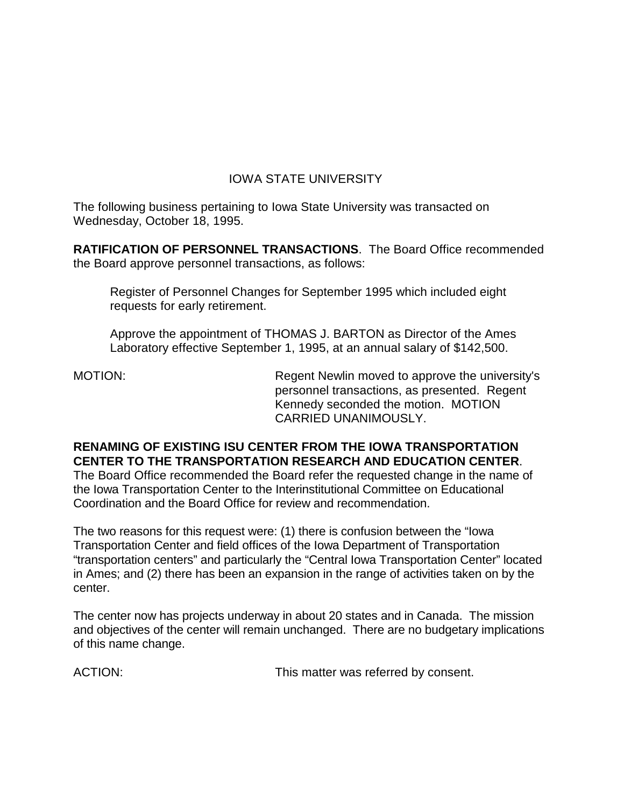# IOWA STATE UNIVERSITY

The following business pertaining to Iowa State University was transacted on Wednesday, October 18, 1995.

**RATIFICATION OF PERSONNEL TRANSACTIONS**. The Board Office recommended the Board approve personnel transactions, as follows:

Register of Personnel Changes for September 1995 which included eight requests for early retirement.

Approve the appointment of THOMAS J. BARTON as Director of the Ames Laboratory effective September 1, 1995, at an annual salary of \$142,500.

MOTION: Regent Newlin moved to approve the university's personnel transactions, as presented. Regent Kennedy seconded the motion. MOTION CARRIED UNANIMOUSLY.

# **RENAMING OF EXISTING ISU CENTER FROM THE IOWA TRANSPORTATION CENTER TO THE TRANSPORTATION RESEARCH AND EDUCATION CENTER**.

The Board Office recommended the Board refer the requested change in the name of the Iowa Transportation Center to the Interinstitutional Committee on Educational Coordination and the Board Office for review and recommendation.

The two reasons for this request were: (1) there is confusion between the "Iowa Transportation Center and field offices of the Iowa Department of Transportation "transportation centers" and particularly the "Central Iowa Transportation Center" located in Ames; and (2) there has been an expansion in the range of activities taken on by the center.

The center now has projects underway in about 20 states and in Canada. The mission and objectives of the center will remain unchanged. There are no budgetary implications of this name change.

ACTION: This matter was referred by consent.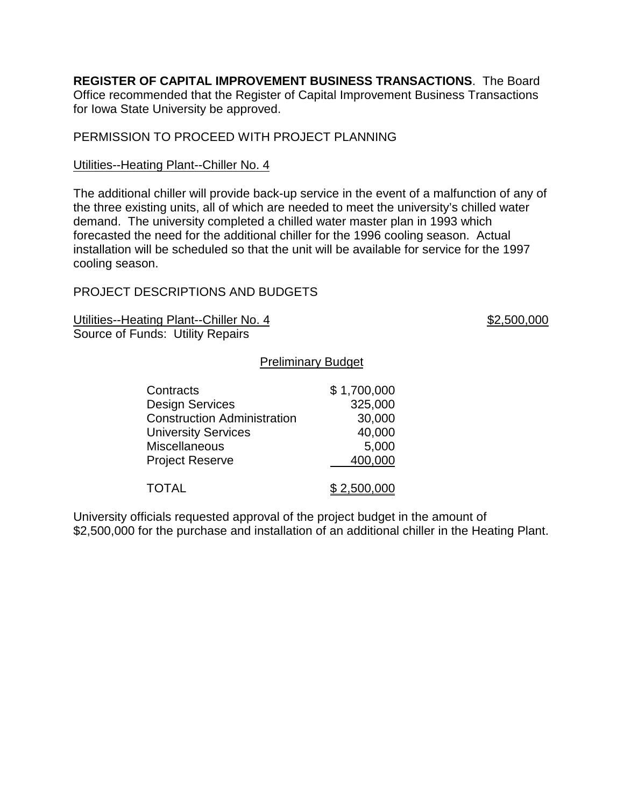**REGISTER OF CAPITAL IMPROVEMENT BUSINESS TRANSACTIONS**. The Board Office recommended that the Register of Capital Improvement Business Transactions for Iowa State University be approved.

## PERMISSION TO PROCEED WITH PROJECT PLANNING

#### Utilities--Heating Plant--Chiller No. 4

The additional chiller will provide back-up service in the event of a malfunction of any of the three existing units, all of which are needed to meet the university's chilled water demand. The university completed a chilled water master plan in 1993 which forecasted the need for the additional chiller for the 1996 cooling season. Actual installation will be scheduled so that the unit will be available for service for the 1997 cooling season.

## PROJECT DESCRIPTIONS AND BUDGETS

Utilities--Heating Plant--Chiller No. 4 \$2,500,000 Source of Funds: Utility Repairs

#### Preliminary Budget

| Contracts                          | \$1,700,000 |
|------------------------------------|-------------|
| <b>Design Services</b>             | 325,000     |
| <b>Construction Administration</b> | 30,000      |
| <b>University Services</b>         | 40,000      |
| <b>Miscellaneous</b>               | 5,000       |
| <b>Project Reserve</b>             | 400,000     |
|                                    |             |
| <b>TOTAL</b>                       | \$2,500,000 |

University officials requested approval of the project budget in the amount of \$2,500,000 for the purchase and installation of an additional chiller in the Heating Plant.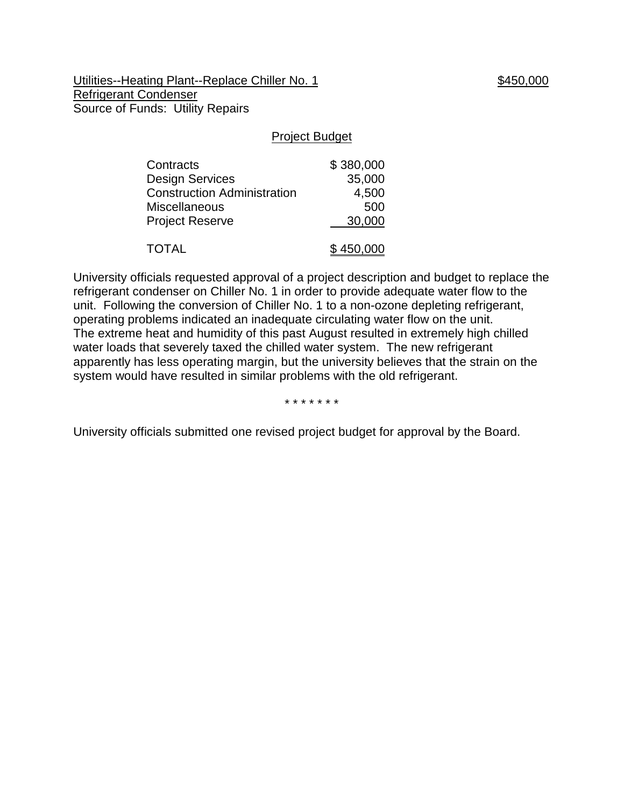Utilities--Heating Plant--Replace Chiller No. 1 \$450,000 Refrigerant Condenser Source of Funds: Utility Repairs

#### Project Budget

| Contracts                          | \$380,000 |
|------------------------------------|-----------|
| <b>Design Services</b>             | 35,000    |
| <b>Construction Administration</b> | 4,500     |
| <b>Miscellaneous</b>               | 500       |
| <b>Project Reserve</b>             | 30,000    |
| <b>TOTAL</b>                       | \$450,000 |

University officials requested approval of a project description and budget to replace the refrigerant condenser on Chiller No. 1 in order to provide adequate water flow to the unit. Following the conversion of Chiller No. 1 to a non-ozone depleting refrigerant, operating problems indicated an inadequate circulating water flow on the unit. The extreme heat and humidity of this past August resulted in extremely high chilled water loads that severely taxed the chilled water system. The new refrigerant apparently has less operating margin, but the university believes that the strain on the system would have resulted in similar problems with the old refrigerant.

\* \* \* \* \* \* \*

University officials submitted one revised project budget for approval by the Board.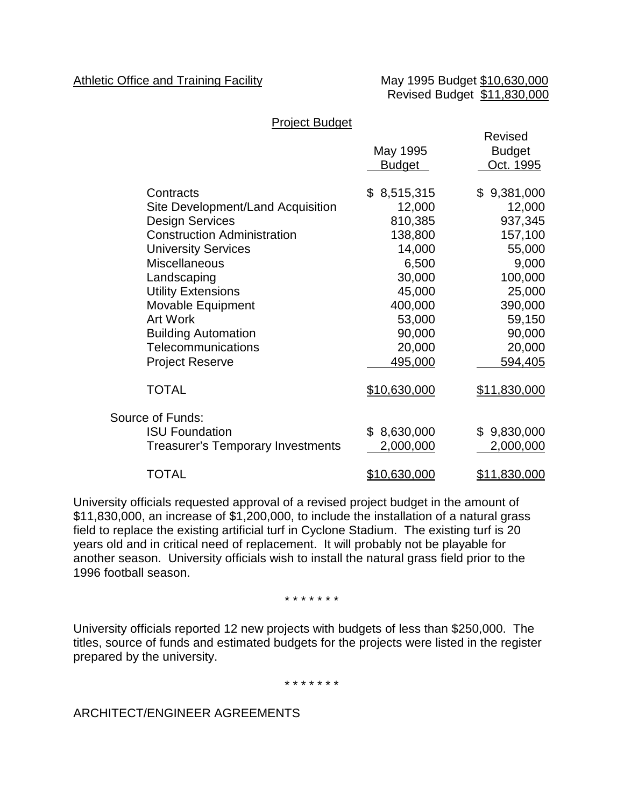## Athletic Office and Training Facility May 1995 Budget \$10,630,000

Revised Budget \$11,830,000

#### Project Budget

|                                          | May 1995<br>Budget | Revised<br><b>Budget</b><br>Oct. 1995 |
|------------------------------------------|--------------------|---------------------------------------|
| Contracts                                | \$8,515,315        | \$9,381,000                           |
| Site Development/Land Acquisition        | 12,000             | 12,000                                |
| <b>Design Services</b>                   | 810,385            | 937,345                               |
| <b>Construction Administration</b>       | 138,800            | 157,100                               |
| <b>University Services</b>               | 14,000             | 55,000                                |
| <b>Miscellaneous</b>                     | 6,500              | 9,000                                 |
| Landscaping                              | 30,000             | 100,000                               |
| <b>Utility Extensions</b>                | 45,000             | 25,000                                |
| Movable Equipment                        | 400,000            | 390,000                               |
| <b>Art Work</b>                          | 53,000             | 59,150                                |
| <b>Building Automation</b>               | 90,000             | 90,000                                |
| Telecommunications                       | 20,000             | 20,000                                |
| <b>Project Reserve</b>                   | 495,000            | 594,405                               |
| <b>TOTAL</b>                             | \$10,630,000       | \$11,830,000                          |
| Source of Funds:                         |                    |                                       |
| <b>ISU Foundation</b>                    | \$8,630,000        | \$9,830,000                           |
| <b>Treasurer's Temporary Investments</b> | 2,000,000          | 2,000,000                             |
| <b>TOTAL</b>                             | \$10,630,000       | \$11,830,000                          |

University officials requested approval of a revised project budget in the amount of \$11,830,000, an increase of \$1,200,000, to include the installation of a natural grass field to replace the existing artificial turf in Cyclone Stadium. The existing turf is 20 years old and in critical need of replacement. It will probably not be playable for another season. University officials wish to install the natural grass field prior to the 1996 football season.

#### \* \* \* \* \* \* \*

University officials reported 12 new projects with budgets of less than \$250,000. The titles, source of funds and estimated budgets for the projects were listed in the register prepared by the university.

#### \* \* \* \* \* \* \*

ARCHITECT/ENGINEER AGREEMENTS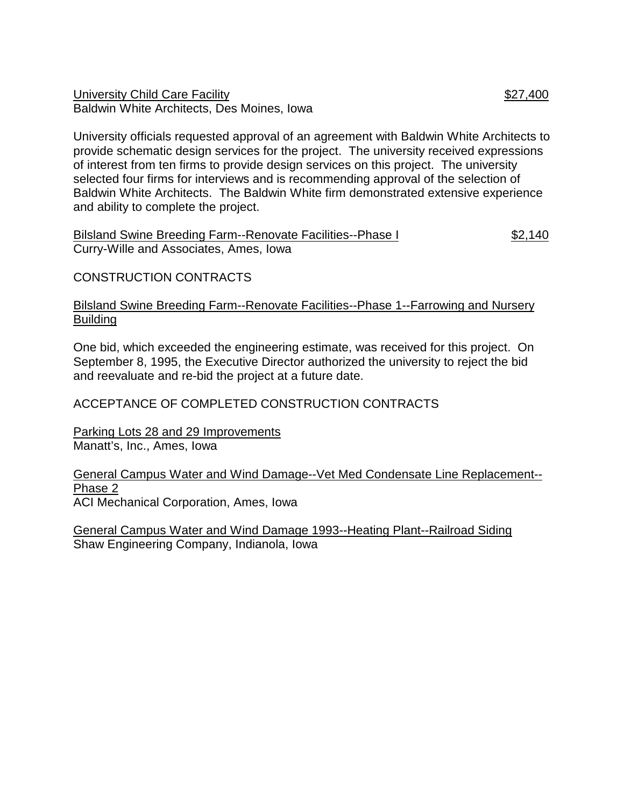University Child Care Facility  $$27,400$ Baldwin White Architects, Des Moines, Iowa

University officials requested approval of an agreement with Baldwin White Architects to provide schematic design services for the project. The university received expressions of interest from ten firms to provide design services on this project. The university selected four firms for interviews and is recommending approval of the selection of Baldwin White Architects. The Baldwin White firm demonstrated extensive experience and ability to complete the project.

Bilsland Swine Breeding Farm--Renovate Facilities--Phase I \$2,140 Curry-Wille and Associates, Ames, Iowa

CONSTRUCTION CONTRACTS

## Bilsland Swine Breeding Farm--Renovate Facilities--Phase 1--Farrowing and Nursery Building

One bid, which exceeded the engineering estimate, was received for this project. On September 8, 1995, the Executive Director authorized the university to reject the bid and reevaluate and re-bid the project at a future date.

# ACCEPTANCE OF COMPLETED CONSTRUCTION CONTRACTS

Parking Lots 28 and 29 Improvements Manatt's, Inc., Ames, Iowa

General Campus Water and Wind Damage--Vet Med Condensate Line Replacement-- Phase 2 ACI Mechanical Corporation, Ames, Iowa

General Campus Water and Wind Damage 1993--Heating Plant--Railroad Siding Shaw Engineering Company, Indianola, Iowa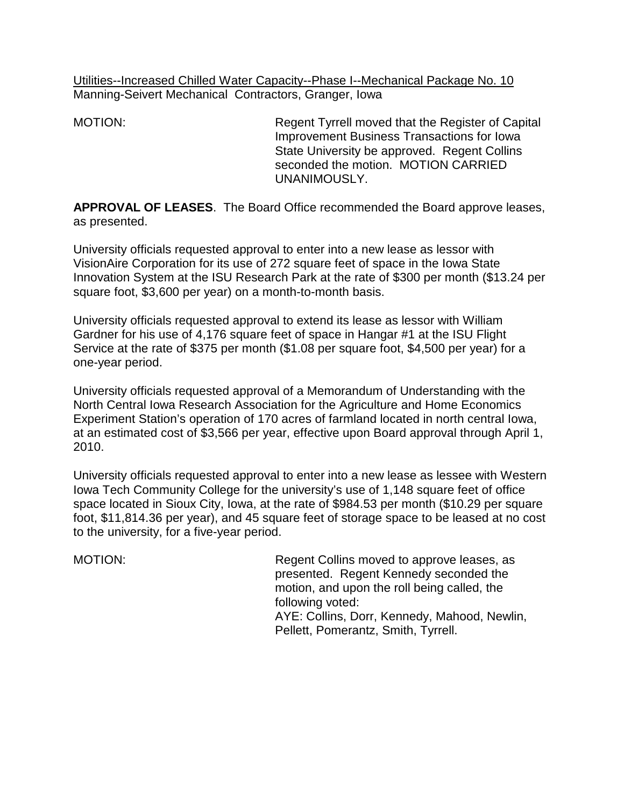Utilities--Increased Chilled Water Capacity--Phase I--Mechanical Package No. 10 Manning-Seivert Mechanical Contractors, Granger, Iowa

MOTION: Regent Tyrrell moved that the Register of Capital Improvement Business Transactions for Iowa State University be approved. Regent Collins seconded the motion. MOTION CARRIED UNANIMOUSLY.

**APPROVAL OF LEASES**. The Board Office recommended the Board approve leases, as presented.

University officials requested approval to enter into a new lease as lessor with VisionAire Corporation for its use of 272 square feet of space in the Iowa State Innovation System at the ISU Research Park at the rate of \$300 per month (\$13.24 per square foot, \$3,600 per year) on a month-to-month basis.

University officials requested approval to extend its lease as lessor with William Gardner for his use of 4,176 square feet of space in Hangar #1 at the ISU Flight Service at the rate of \$375 per month (\$1.08 per square foot, \$4,500 per year) for a one-year period.

University officials requested approval of a Memorandum of Understanding with the North Central Iowa Research Association for the Agriculture and Home Economics Experiment Station's operation of 170 acres of farmland located in north central Iowa, at an estimated cost of \$3,566 per year, effective upon Board approval through April 1, 2010.

University officials requested approval to enter into a new lease as lessee with Western Iowa Tech Community College for the university's use of 1,148 square feet of office space located in Sioux City, Iowa, at the rate of \$984.53 per month (\$10.29 per square foot, \$11,814.36 per year), and 45 square feet of storage space to be leased at no cost to the university, for a five-year period.

MOTION: Regent Collins moved to approve leases, as presented. Regent Kennedy seconded the motion, and upon the roll being called, the following voted: AYE: Collins, Dorr, Kennedy, Mahood, Newlin, Pellett, Pomerantz, Smith, Tyrrell.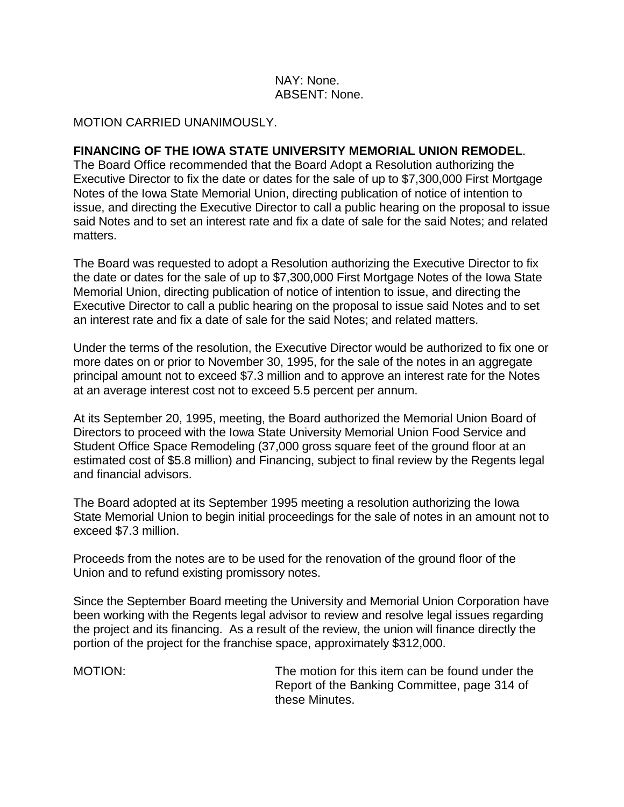## NAY: None. ABSENT: None.

#### MOTION CARRIED UNANIMOUSLY.

## **FINANCING OF THE IOWA STATE UNIVERSITY MEMORIAL UNION REMODEL**.

The Board Office recommended that the Board Adopt a Resolution authorizing the Executive Director to fix the date or dates for the sale of up to \$7,300,000 First Mortgage Notes of the Iowa State Memorial Union, directing publication of notice of intention to issue, and directing the Executive Director to call a public hearing on the proposal to issue said Notes and to set an interest rate and fix a date of sale for the said Notes; and related matters.

The Board was requested to adopt a Resolution authorizing the Executive Director to fix the date or dates for the sale of up to \$7,300,000 First Mortgage Notes of the Iowa State Memorial Union, directing publication of notice of intention to issue, and directing the Executive Director to call a public hearing on the proposal to issue said Notes and to set an interest rate and fix a date of sale for the said Notes; and related matters.

Under the terms of the resolution, the Executive Director would be authorized to fix one or more dates on or prior to November 30, 1995, for the sale of the notes in an aggregate principal amount not to exceed \$7.3 million and to approve an interest rate for the Notes at an average interest cost not to exceed 5.5 percent per annum.

At its September 20, 1995, meeting, the Board authorized the Memorial Union Board of Directors to proceed with the Iowa State University Memorial Union Food Service and Student Office Space Remodeling (37,000 gross square feet of the ground floor at an estimated cost of \$5.8 million) and Financing, subject to final review by the Regents legal and financial advisors.

The Board adopted at its September 1995 meeting a resolution authorizing the Iowa State Memorial Union to begin initial proceedings for the sale of notes in an amount not to exceed \$7.3 million.

Proceeds from the notes are to be used for the renovation of the ground floor of the Union and to refund existing promissory notes.

Since the September Board meeting the University and Memorial Union Corporation have been working with the Regents legal advisor to review and resolve legal issues regarding the project and its financing. As a result of the review, the union will finance directly the portion of the project for the franchise space, approximately \$312,000.

MOTION: The motion for this item can be found under the Report of the Banking Committee, page 314 of these Minutes.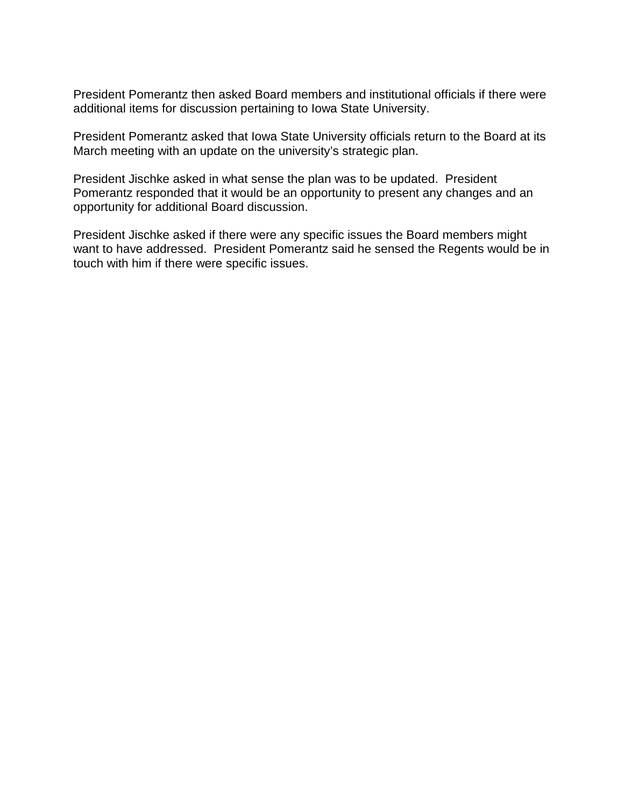President Pomerantz then asked Board members and institutional officials if there were additional items for discussion pertaining to Iowa State University.

President Pomerantz asked that Iowa State University officials return to the Board at its March meeting with an update on the university's strategic plan.

President Jischke asked in what sense the plan was to be updated. President Pomerantz responded that it would be an opportunity to present any changes and an opportunity for additional Board discussion.

President Jischke asked if there were any specific issues the Board members might want to have addressed. President Pomerantz said he sensed the Regents would be in touch with him if there were specific issues.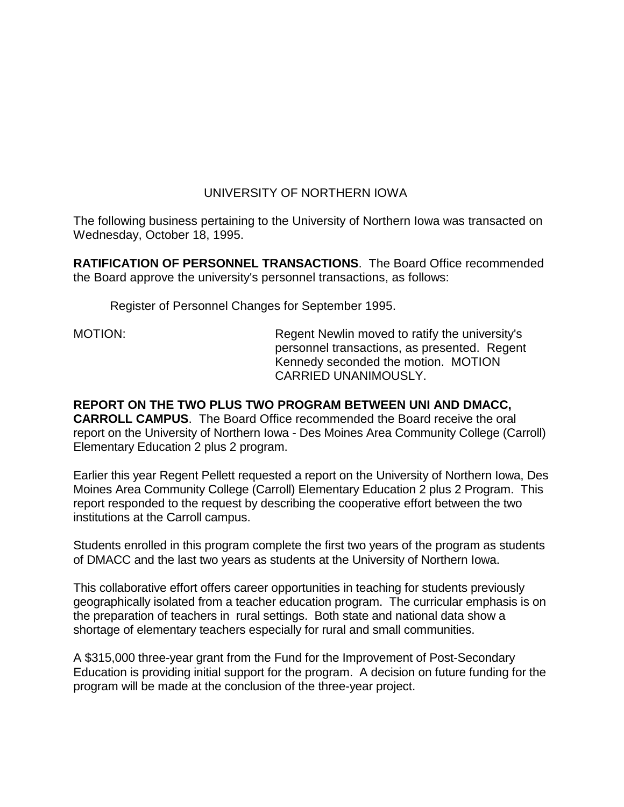## UNIVERSITY OF NORTHERN IOWA

The following business pertaining to the University of Northern Iowa was transacted on Wednesday, October 18, 1995.

**RATIFICATION OF PERSONNEL TRANSACTIONS**. The Board Office recommended the Board approve the university's personnel transactions, as follows:

Register of Personnel Changes for September 1995.

MOTION: Regent Newlin moved to ratify the university's personnel transactions, as presented. Regent Kennedy seconded the motion. MOTION CARRIED UNANIMOUSLY.

**REPORT ON THE TWO PLUS TWO PROGRAM BETWEEN UNI AND DMACC, CARROLL CAMPUS**. The Board Office recommended the Board receive the oral report on the University of Northern Iowa - Des Moines Area Community College (Carroll) Elementary Education 2 plus 2 program.

Earlier this year Regent Pellett requested a report on the University of Northern Iowa, Des Moines Area Community College (Carroll) Elementary Education 2 plus 2 Program. This report responded to the request by describing the cooperative effort between the two institutions at the Carroll campus.

Students enrolled in this program complete the first two years of the program as students of DMACC and the last two years as students at the University of Northern Iowa.

This collaborative effort offers career opportunities in teaching for students previously geographically isolated from a teacher education program. The curricular emphasis is on the preparation of teachers in rural settings. Both state and national data show a shortage of elementary teachers especially for rural and small communities.

A \$315,000 three-year grant from the Fund for the Improvement of Post-Secondary Education is providing initial support for the program. A decision on future funding for the program will be made at the conclusion of the three-year project.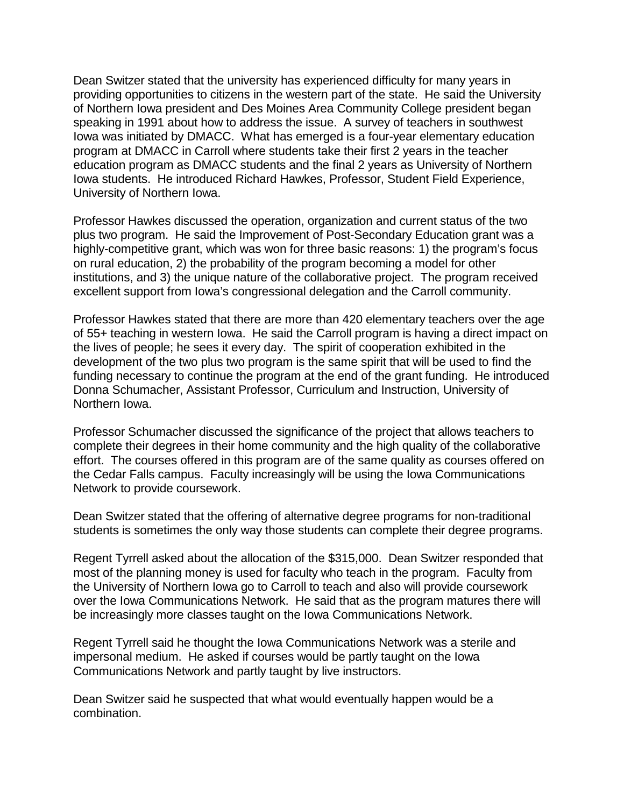Dean Switzer stated that the university has experienced difficulty for many years in providing opportunities to citizens in the western part of the state. He said the University of Northern Iowa president and Des Moines Area Community College president began speaking in 1991 about how to address the issue. A survey of teachers in southwest Iowa was initiated by DMACC. What has emerged is a four-year elementary education program at DMACC in Carroll where students take their first 2 years in the teacher education program as DMACC students and the final 2 years as University of Northern Iowa students. He introduced Richard Hawkes, Professor, Student Field Experience, University of Northern Iowa.

Professor Hawkes discussed the operation, organization and current status of the two plus two program. He said the Improvement of Post-Secondary Education grant was a highly-competitive grant, which was won for three basic reasons: 1) the program's focus on rural education, 2) the probability of the program becoming a model for other institutions, and 3) the unique nature of the collaborative project. The program received excellent support from Iowa's congressional delegation and the Carroll community.

Professor Hawkes stated that there are more than 420 elementary teachers over the age of 55+ teaching in western Iowa. He said the Carroll program is having a direct impact on the lives of people; he sees it every day. The spirit of cooperation exhibited in the development of the two plus two program is the same spirit that will be used to find the funding necessary to continue the program at the end of the grant funding. He introduced Donna Schumacher, Assistant Professor, Curriculum and Instruction, University of Northern Iowa.

Professor Schumacher discussed the significance of the project that allows teachers to complete their degrees in their home community and the high quality of the collaborative effort. The courses offered in this program are of the same quality as courses offered on the Cedar Falls campus. Faculty increasingly will be using the Iowa Communications Network to provide coursework.

Dean Switzer stated that the offering of alternative degree programs for non-traditional students is sometimes the only way those students can complete their degree programs.

Regent Tyrrell asked about the allocation of the \$315,000. Dean Switzer responded that most of the planning money is used for faculty who teach in the program. Faculty from the University of Northern Iowa go to Carroll to teach and also will provide coursework over the Iowa Communications Network. He said that as the program matures there will be increasingly more classes taught on the Iowa Communications Network.

Regent Tyrrell said he thought the Iowa Communications Network was a sterile and impersonal medium. He asked if courses would be partly taught on the Iowa Communications Network and partly taught by live instructors.

Dean Switzer said he suspected that what would eventually happen would be a combination.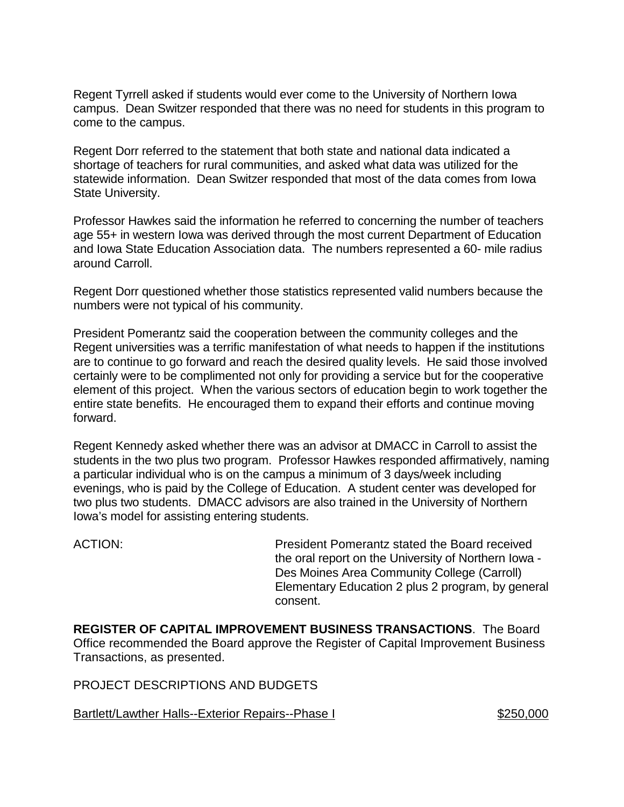Regent Tyrrell asked if students would ever come to the University of Northern Iowa campus. Dean Switzer responded that there was no need for students in this program to come to the campus.

Regent Dorr referred to the statement that both state and national data indicated a shortage of teachers for rural communities, and asked what data was utilized for the statewide information. Dean Switzer responded that most of the data comes from Iowa State University.

Professor Hawkes said the information he referred to concerning the number of teachers age 55+ in western Iowa was derived through the most current Department of Education and Iowa State Education Association data. The numbers represented a 60- mile radius around Carroll.

Regent Dorr questioned whether those statistics represented valid numbers because the numbers were not typical of his community.

President Pomerantz said the cooperation between the community colleges and the Regent universities was a terrific manifestation of what needs to happen if the institutions are to continue to go forward and reach the desired quality levels. He said those involved certainly were to be complimented not only for providing a service but for the cooperative element of this project. When the various sectors of education begin to work together the entire state benefits. He encouraged them to expand their efforts and continue moving forward.

Regent Kennedy asked whether there was an advisor at DMACC in Carroll to assist the students in the two plus two program. Professor Hawkes responded affirmatively, naming a particular individual who is on the campus a minimum of 3 days/week including evenings, who is paid by the College of Education. A student center was developed for two plus two students. DMACC advisors are also trained in the University of Northern Iowa's model for assisting entering students.

ACTION: President Pomerantz stated the Board received the oral report on the University of Northern Iowa - Des Moines Area Community College (Carroll) Elementary Education 2 plus 2 program, by general consent.

**REGISTER OF CAPITAL IMPROVEMENT BUSINESS TRANSACTIONS**. The Board Office recommended the Board approve the Register of Capital Improvement Business Transactions, as presented.

PROJECT DESCRIPTIONS AND BUDGETS

Bartlett/Lawther Halls--Exterior Repairs--Phase I \$250,000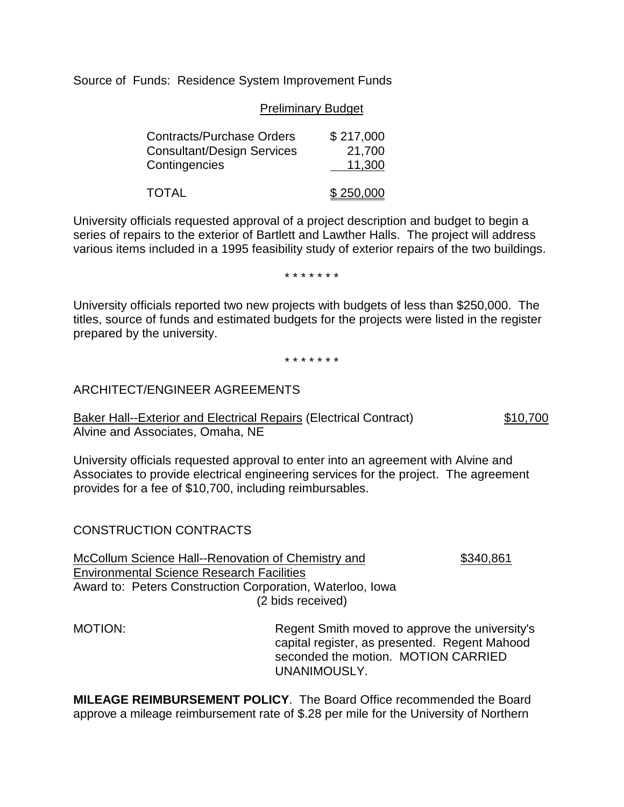Source of Funds: Residence System Improvement Funds

#### Preliminary Budget

| <b>Contracts/Purchase Orders</b>  | \$217,000 |
|-----------------------------------|-----------|
| <b>Consultant/Design Services</b> | 21,700    |
| Contingencies                     | 11,300    |
| <b>TOTAL</b>                      | \$250,000 |

University officials requested approval of a project description and budget to begin a series of repairs to the exterior of Bartlett and Lawther Halls. The project will address various items included in a 1995 feasibility study of exterior repairs of the two buildings.

\* \* \* \* \* \* \*

University officials reported two new projects with budgets of less than \$250,000. The titles, source of funds and estimated budgets for the projects were listed in the register prepared by the university.

\* \* \* \* \* \* \*

### ARCHITECT/ENGINEER AGREEMENTS

Baker Hall--Exterior and Electrical Repairs (Electrical Contract) \$10,700 Alvine and Associates, Omaha, NE

University officials requested approval to enter into an agreement with Alvine and Associates to provide electrical engineering services for the project. The agreement provides for a fee of \$10,700, including reimbursables.

### CONSTRUCTION CONTRACTS

McCollum Science Hall--Renovation of Chemistry and \$340,861 Environmental Science Research Facilities Award to: Peters Construction Corporation, Waterloo, Iowa (2 bids received)

MOTION: Regent Smith moved to approve the university's capital register, as presented. Regent Mahood seconded the motion. MOTION CARRIED UNANIMOUSLY.

**MILEAGE REIMBURSEMENT POLICY**. The Board Office recommended the Board approve a mileage reimbursement rate of \$.28 per mile for the University of Northern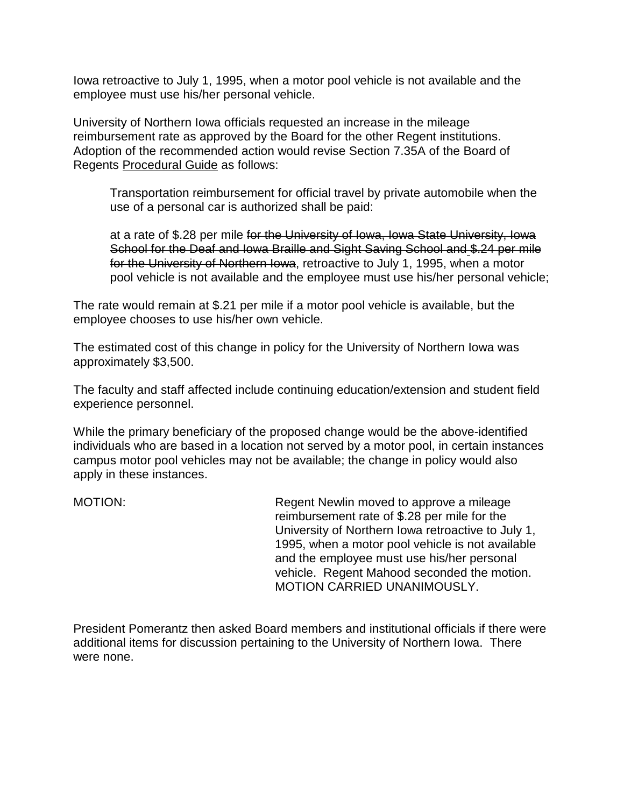Iowa retroactive to July 1, 1995, when a motor pool vehicle is not available and the employee must use his/her personal vehicle.

University of Northern Iowa officials requested an increase in the mileage reimbursement rate as approved by the Board for the other Regent institutions. Adoption of the recommended action would revise Section 7.35A of the Board of Regents Procedural Guide as follows:

Transportation reimbursement for official travel by private automobile when the use of a personal car is authorized shall be paid:

at a rate of \$.28 per mile for the University of Iowa, Iowa State University, Iowa School for the Deaf and Iowa Braille and Sight Saving School and \$.24 per mile for the University of Northern Iowa, retroactive to July 1, 1995, when a motor pool vehicle is not available and the employee must use his/her personal vehicle;

The rate would remain at \$.21 per mile if a motor pool vehicle is available, but the employee chooses to use his/her own vehicle.

The estimated cost of this change in policy for the University of Northern Iowa was approximately \$3,500.

The faculty and staff affected include continuing education/extension and student field experience personnel.

While the primary beneficiary of the proposed change would be the above-identified individuals who are based in a location not served by a motor pool, in certain instances campus motor pool vehicles may not be available; the change in policy would also apply in these instances.

MOTION: Regent Newlin moved to approve a mileage reimbursement rate of \$.28 per mile for the University of Northern Iowa retroactive to July 1, 1995, when a motor pool vehicle is not available and the employee must use his/her personal vehicle. Regent Mahood seconded the motion. MOTION CARRIED UNANIMOUSLY.

President Pomerantz then asked Board members and institutional officials if there were additional items for discussion pertaining to the University of Northern Iowa. There were none.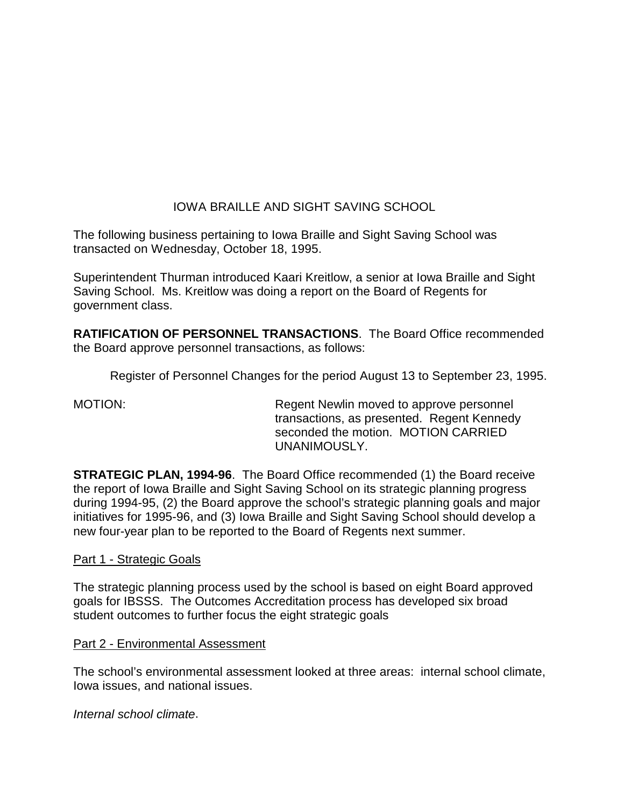# IOWA BRAILLE AND SIGHT SAVING SCHOOL

The following business pertaining to Iowa Braille and Sight Saving School was transacted on Wednesday, October 18, 1995.

Superintendent Thurman introduced Kaari Kreitlow, a senior at Iowa Braille and Sight Saving School. Ms. Kreitlow was doing a report on the Board of Regents for government class.

**RATIFICATION OF PERSONNEL TRANSACTIONS**. The Board Office recommended the Board approve personnel transactions, as follows:

Register of Personnel Changes for the period August 13 to September 23, 1995.

MOTION: Regent Newlin moved to approve personnel transactions, as presented. Regent Kennedy seconded the motion. MOTION CARRIED UNANIMOUSLY.

**STRATEGIC PLAN, 1994-96**. The Board Office recommended (1) the Board receive the report of Iowa Braille and Sight Saving School on its strategic planning progress during 1994-95, (2) the Board approve the school's strategic planning goals and major initiatives for 1995-96, and (3) Iowa Braille and Sight Saving School should develop a new four-year plan to be reported to the Board of Regents next summer.

### Part 1 - Strategic Goals

The strategic planning process used by the school is based on eight Board approved goals for IBSSS. The Outcomes Accreditation process has developed six broad student outcomes to further focus the eight strategic goals

### Part 2 - Environmental Assessment

The school's environmental assessment looked at three areas: internal school climate, Iowa issues, and national issues.

*Internal school climate*.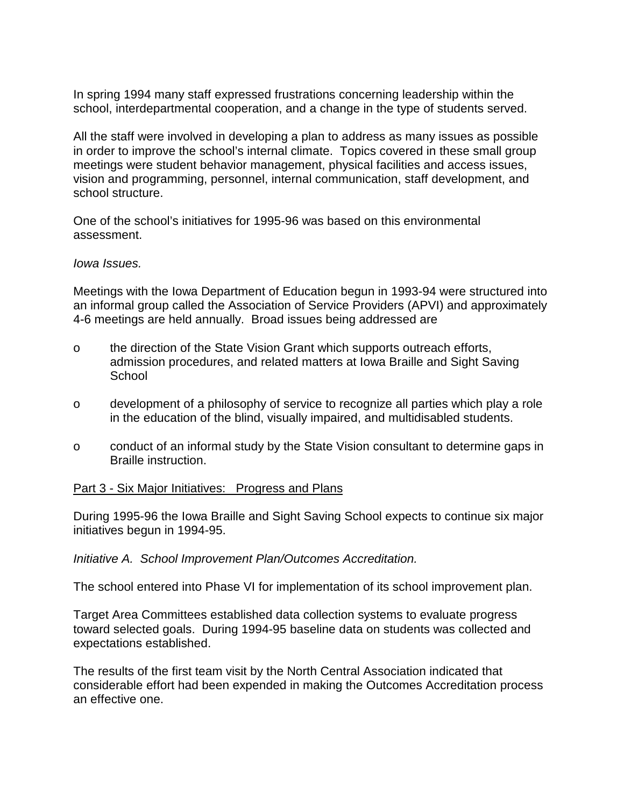In spring 1994 many staff expressed frustrations concerning leadership within the school, interdepartmental cooperation, and a change in the type of students served.

All the staff were involved in developing a plan to address as many issues as possible in order to improve the school's internal climate. Topics covered in these small group meetings were student behavior management, physical facilities and access issues, vision and programming, personnel, internal communication, staff development, and school structure.

One of the school's initiatives for 1995-96 was based on this environmental assessment.

#### *Iowa Issues.*

Meetings with the Iowa Department of Education begun in 1993-94 were structured into an informal group called the Association of Service Providers (APVI) and approximately 4-6 meetings are held annually. Broad issues being addressed are

- o the direction of the State Vision Grant which supports outreach efforts, admission procedures, and related matters at Iowa Braille and Sight Saving **School**
- o development of a philosophy of service to recognize all parties which play a role in the education of the blind, visually impaired, and multidisabled students.
- o conduct of an informal study by the State Vision consultant to determine gaps in Braille instruction.

### Part 3 - Six Major Initiatives: Progress and Plans

During 1995-96 the Iowa Braille and Sight Saving School expects to continue six major initiatives begun in 1994-95.

#### *Initiative A. School Improvement Plan/Outcomes Accreditation.*

The school entered into Phase VI for implementation of its school improvement plan.

Target Area Committees established data collection systems to evaluate progress toward selected goals. During 1994-95 baseline data on students was collected and expectations established.

The results of the first team visit by the North Central Association indicated that considerable effort had been expended in making the Outcomes Accreditation process an effective one.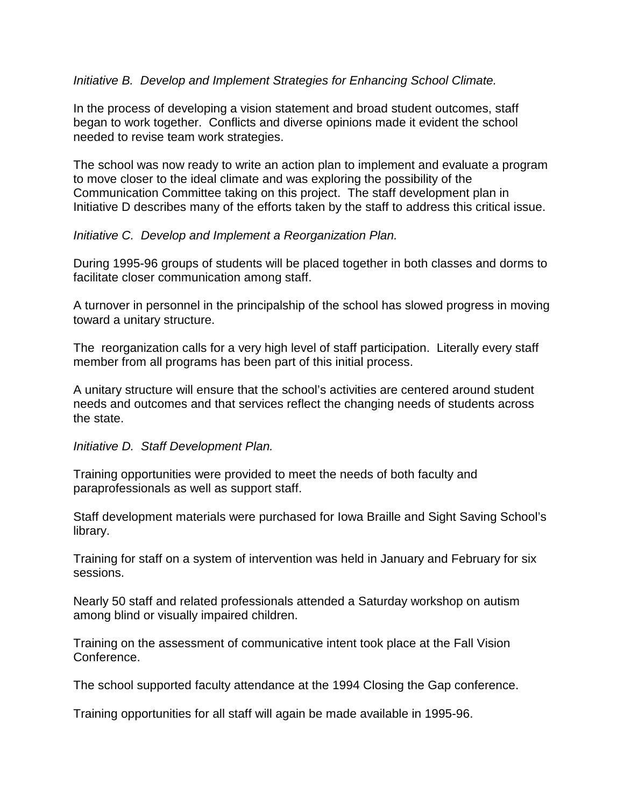### *Initiative B. Develop and Implement Strategies for Enhancing School Climate.*

In the process of developing a vision statement and broad student outcomes, staff began to work together. Conflicts and diverse opinions made it evident the school needed to revise team work strategies.

The school was now ready to write an action plan to implement and evaluate a program to move closer to the ideal climate and was exploring the possibility of the Communication Committee taking on this project. The staff development plan in Initiative D describes many of the efforts taken by the staff to address this critical issue.

### *Initiative C. Develop and Implement a Reorganization Plan.*

During 1995-96 groups of students will be placed together in both classes and dorms to facilitate closer communication among staff.

A turnover in personnel in the principalship of the school has slowed progress in moving toward a unitary structure.

The reorganization calls for a very high level of staff participation. Literally every staff member from all programs has been part of this initial process.

A unitary structure will ensure that the school's activities are centered around student needs and outcomes and that services reflect the changing needs of students across the state.

### *Initiative D. Staff Development Plan.*

Training opportunities were provided to meet the needs of both faculty and paraprofessionals as well as support staff.

Staff development materials were purchased for Iowa Braille and Sight Saving School's library.

Training for staff on a system of intervention was held in January and February for six sessions.

Nearly 50 staff and related professionals attended a Saturday workshop on autism among blind or visually impaired children.

Training on the assessment of communicative intent took place at the Fall Vision Conference.

The school supported faculty attendance at the 1994 Closing the Gap conference.

Training opportunities for all staff will again be made available in 1995-96.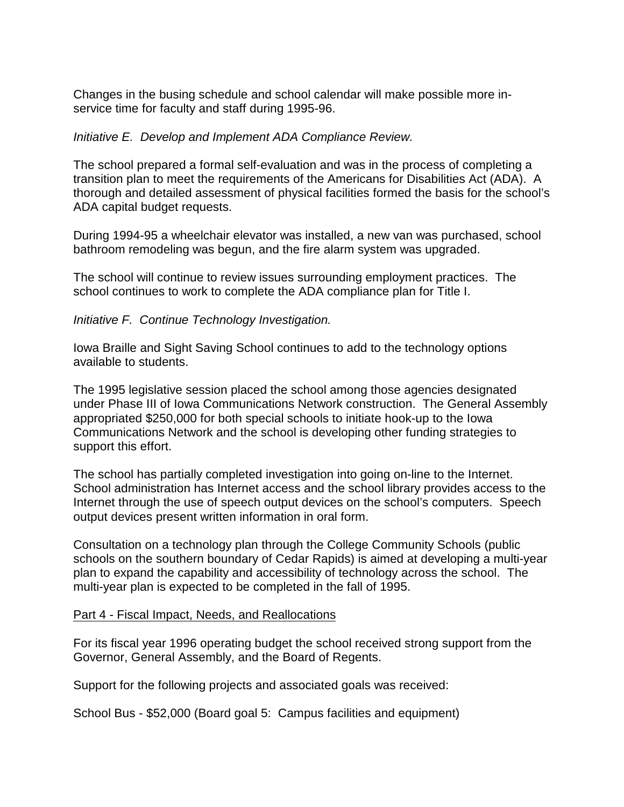Changes in the busing schedule and school calendar will make possible more inservice time for faculty and staff during 1995-96.

### *Initiative E. Develop and Implement ADA Compliance Review.*

The school prepared a formal self-evaluation and was in the process of completing a transition plan to meet the requirements of the Americans for Disabilities Act (ADA). A thorough and detailed assessment of physical facilities formed the basis for the school's ADA capital budget requests.

During 1994-95 a wheelchair elevator was installed, a new van was purchased, school bathroom remodeling was begun, and the fire alarm system was upgraded.

The school will continue to review issues surrounding employment practices. The school continues to work to complete the ADA compliance plan for Title I.

*Initiative F. Continue Technology Investigation.*

Iowa Braille and Sight Saving School continues to add to the technology options available to students.

The 1995 legislative session placed the school among those agencies designated under Phase III of Iowa Communications Network construction. The General Assembly appropriated \$250,000 for both special schools to initiate hook-up to the Iowa Communications Network and the school is developing other funding strategies to support this effort.

The school has partially completed investigation into going on-line to the Internet. School administration has Internet access and the school library provides access to the Internet through the use of speech output devices on the school's computers. Speech output devices present written information in oral form.

Consultation on a technology plan through the College Community Schools (public schools on the southern boundary of Cedar Rapids) is aimed at developing a multi-year plan to expand the capability and accessibility of technology across the school. The multi-year plan is expected to be completed in the fall of 1995.

### Part 4 - Fiscal Impact, Needs, and Reallocations

For its fiscal year 1996 operating budget the school received strong support from the Governor, General Assembly, and the Board of Regents.

Support for the following projects and associated goals was received:

School Bus - \$52,000 (Board goal 5: Campus facilities and equipment)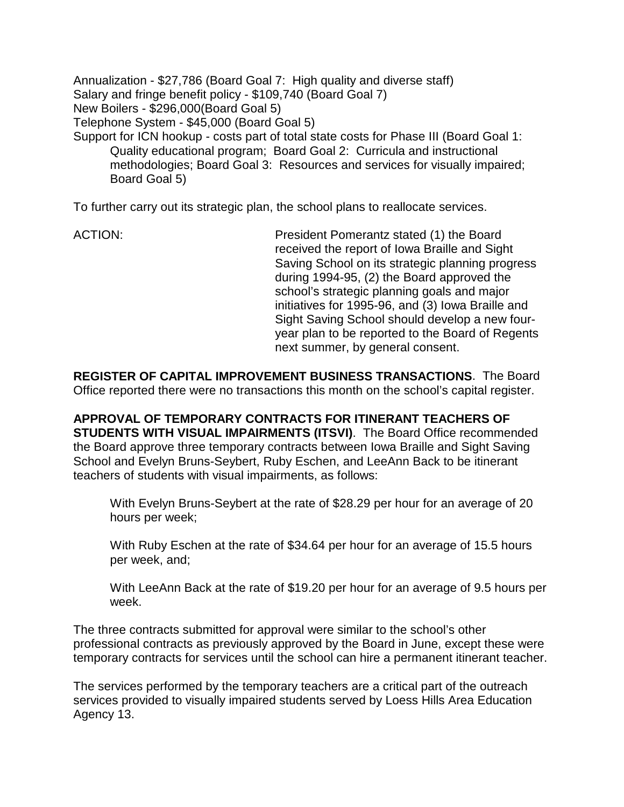Annualization - \$27,786 (Board Goal 7: High quality and diverse staff) Salary and fringe benefit policy - \$109,740 (Board Goal 7) New Boilers - \$296,000(Board Goal 5) Telephone System - \$45,000 (Board Goal 5) Support for ICN hookup - costs part of total state costs for Phase III (Board Goal 1: Quality educational program; Board Goal 2: Curricula and instructional

methodologies; Board Goal 3: Resources and services for visually impaired; Board Goal 5)

To further carry out its strategic plan, the school plans to reallocate services.

ACTION: President Pomerantz stated (1) the Board received the report of Iowa Braille and Sight Saving School on its strategic planning progress during 1994-95, (2) the Board approved the school's strategic planning goals and major initiatives for 1995-96, and (3) Iowa Braille and Sight Saving School should develop a new fouryear plan to be reported to the Board of Regents next summer, by general consent.

**REGISTER OF CAPITAL IMPROVEMENT BUSINESS TRANSACTIONS**. The Board Office reported there were no transactions this month on the school's capital register.

**APPROVAL OF TEMPORARY CONTRACTS FOR ITINERANT TEACHERS OF STUDENTS WITH VISUAL IMPAIRMENTS (ITSVI)**. The Board Office recommended the Board approve three temporary contracts between Iowa Braille and Sight Saving School and Evelyn Bruns-Seybert, Ruby Eschen, and LeeAnn Back to be itinerant teachers of students with visual impairments, as follows:

With Evelyn Bruns-Seybert at the rate of \$28.29 per hour for an average of 20 hours per week;

With Ruby Eschen at the rate of \$34.64 per hour for an average of 15.5 hours per week, and;

With LeeAnn Back at the rate of \$19.20 per hour for an average of 9.5 hours per week.

The three contracts submitted for approval were similar to the school's other professional contracts as previously approved by the Board in June, except these were temporary contracts for services until the school can hire a permanent itinerant teacher.

The services performed by the temporary teachers are a critical part of the outreach services provided to visually impaired students served by Loess Hills Area Education Agency 13.